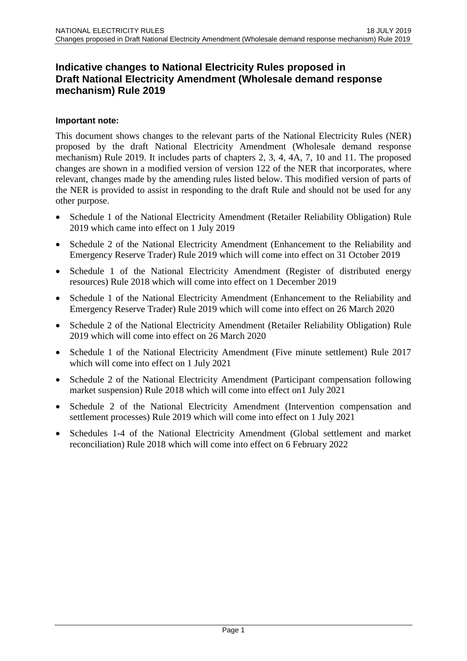# **Indicative changes to National Electricity Rules proposed in Draft National Electricity Amendment (Wholesale demand response mechanism) Rule 2019**

### **Important note:**

This document shows changes to the relevant parts of the National Electricity Rules (NER) proposed by the draft National Electricity Amendment (Wholesale demand response mechanism) Rule 2019. It includes parts of chapters 2, 3, 4, 4A, 7, 10 and 11. The proposed changes are shown in a modified version of version 122 of the NER that incorporates, where relevant, changes made by the amending rules listed below. This modified version of parts of the NER is provided to assist in responding to the draft Rule and should not be used for any other purpose.

- Schedule 1 of the National Electricity Amendment (Retailer Reliability Obligation) Rule 2019 which came into effect on 1 July 2019
- Schedule 2 of the National Electricity Amendment (Enhancement to the Reliability and Emergency Reserve Trader) Rule 2019 which will come into effect on 31 October 2019
- Schedule 1 of the National Electricity Amendment (Register of distributed energy resources) Rule 2018 which will come into effect on 1 December 2019
- Schedule 1 of the National Electricity Amendment (Enhancement to the Reliability and Emergency Reserve Trader) Rule 2019 which will come into effect on 26 March 2020
- Schedule 2 of the National Electricity Amendment (Retailer Reliability Obligation) Rule 2019 which will come into effect on 26 March 2020
- Schedule 1 of the National Electricity Amendment (Five minute settlement) Rule 2017 which will come into effect on 1 July 2021
- Schedule 2 of the National Electricity Amendment (Participant compensation following market suspension) Rule 2018 which will come into effect on1 July 2021
- Schedule 2 of the National Electricity Amendment (Intervention compensation and settlement processes) Rule 2019 which will come into effect on 1 July 2021
- Schedules 1-4 of the National Electricity Amendment (Global settlement and market reconciliation) Rule 2018 which will come into effect on 6 February 2022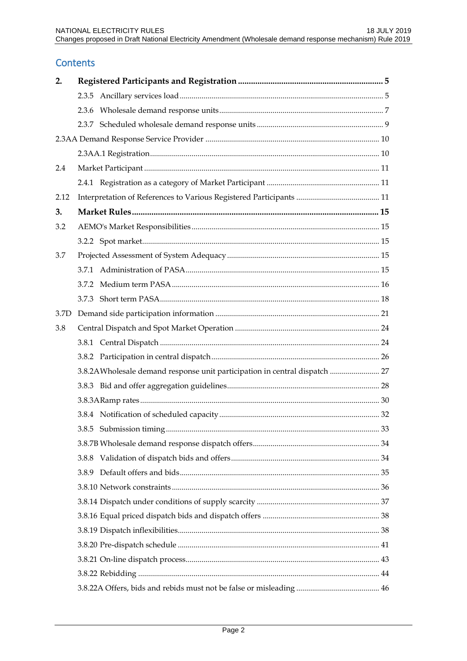# **Contents**

| 2.   |                                                                            |  |
|------|----------------------------------------------------------------------------|--|
|      |                                                                            |  |
|      |                                                                            |  |
|      |                                                                            |  |
|      |                                                                            |  |
|      |                                                                            |  |
| 2.4  |                                                                            |  |
|      |                                                                            |  |
| 2.12 |                                                                            |  |
| 3.   |                                                                            |  |
| 3.2  |                                                                            |  |
|      |                                                                            |  |
| 3.7  |                                                                            |  |
|      |                                                                            |  |
|      |                                                                            |  |
|      |                                                                            |  |
| 3.7D |                                                                            |  |
| 3.8  |                                                                            |  |
|      |                                                                            |  |
|      |                                                                            |  |
|      | 3.8.2AWholesale demand response unit participation in central dispatch  27 |  |
|      |                                                                            |  |
|      |                                                                            |  |
|      |                                                                            |  |
|      |                                                                            |  |
|      |                                                                            |  |
|      | 3.8.8                                                                      |  |
|      |                                                                            |  |
|      |                                                                            |  |
|      |                                                                            |  |
|      |                                                                            |  |
|      |                                                                            |  |
|      |                                                                            |  |
|      |                                                                            |  |
|      |                                                                            |  |
|      |                                                                            |  |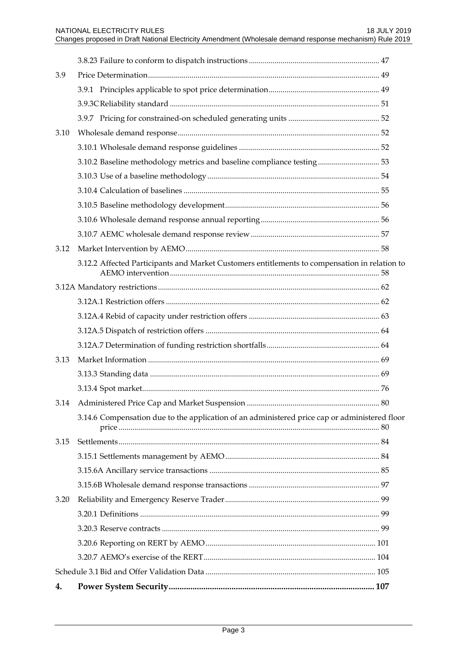| 3.9  |                                                                                               |  |
|------|-----------------------------------------------------------------------------------------------|--|
|      |                                                                                               |  |
|      |                                                                                               |  |
|      |                                                                                               |  |
| 3.10 |                                                                                               |  |
|      |                                                                                               |  |
|      | 3.10.2 Baseline methodology metrics and baseline compliance testing 53                        |  |
|      |                                                                                               |  |
|      |                                                                                               |  |
|      |                                                                                               |  |
|      |                                                                                               |  |
|      |                                                                                               |  |
| 3.12 |                                                                                               |  |
|      | 3.12.2 Affected Participants and Market Customers entitlements to compensation in relation to |  |
|      |                                                                                               |  |
|      |                                                                                               |  |
|      |                                                                                               |  |
|      |                                                                                               |  |
|      |                                                                                               |  |
| 3.13 |                                                                                               |  |
|      |                                                                                               |  |
|      |                                                                                               |  |
|      |                                                                                               |  |
|      | 3.14.6 Compensation due to the application of an administered price cap or administered floor |  |
| 3.15 |                                                                                               |  |
|      |                                                                                               |  |
|      |                                                                                               |  |
|      |                                                                                               |  |
| 3.20 |                                                                                               |  |
|      |                                                                                               |  |
|      |                                                                                               |  |
|      |                                                                                               |  |
|      |                                                                                               |  |
|      |                                                                                               |  |
| 4.   |                                                                                               |  |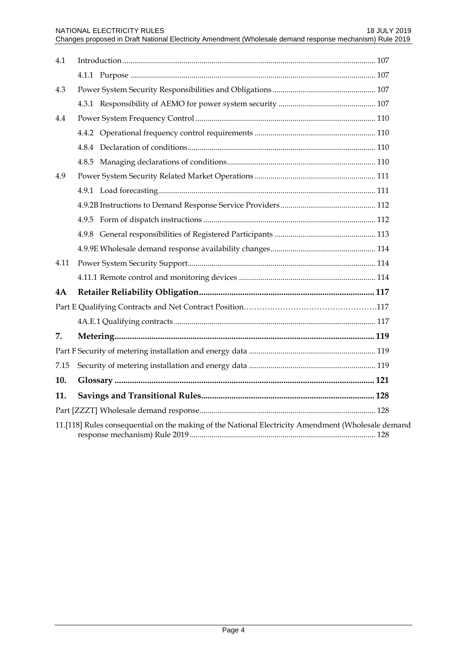| 4.1  |                                                                                                    |  |
|------|----------------------------------------------------------------------------------------------------|--|
|      |                                                                                                    |  |
| 4.3  |                                                                                                    |  |
|      |                                                                                                    |  |
| 4.4  |                                                                                                    |  |
|      |                                                                                                    |  |
|      |                                                                                                    |  |
|      |                                                                                                    |  |
| 4.9  |                                                                                                    |  |
|      |                                                                                                    |  |
|      |                                                                                                    |  |
|      |                                                                                                    |  |
|      |                                                                                                    |  |
|      |                                                                                                    |  |
| 4.11 |                                                                                                    |  |
|      |                                                                                                    |  |
| 4A   |                                                                                                    |  |
|      |                                                                                                    |  |
|      |                                                                                                    |  |
| 7.   |                                                                                                    |  |
|      |                                                                                                    |  |
| 7.15 |                                                                                                    |  |
| 10.  |                                                                                                    |  |
| 11.  |                                                                                                    |  |
|      |                                                                                                    |  |
|      | 11.[118] Rules consequential on the making of the National Electricity Amendment (Wholesale demand |  |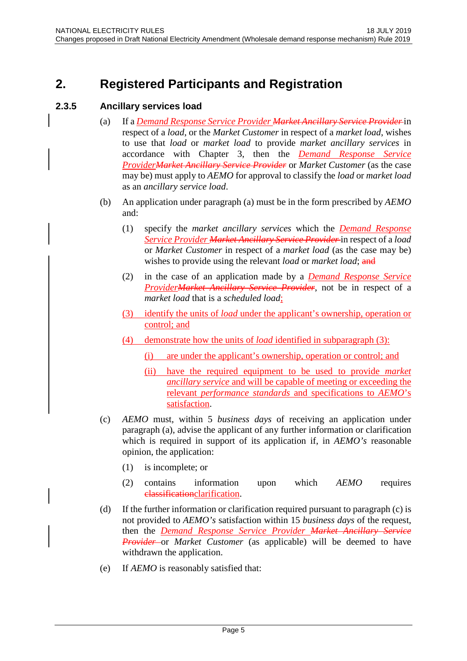# <span id="page-4-0"></span>**2. Registered Participants and Registration**

### <span id="page-4-1"></span>**2.3.5 Ancillary services load**

- (a) If a *Demand Response Service Provider Market Ancillary Service Provider* in respect of a *load*, or the *Market Customer* in respect of a *market load*, wishes to use that *load* or *market load* to provide *market ancillary services* in accordance with Chapter 3, then the *Demand Response Service ProviderMarket Ancillary Service Provider* or *Market Customer* (as the case may be) must apply to *AEMO* for approval to classify the *load* or *market load* as an *ancillary service load*.
- (b) An application under paragraph (a) must be in the form prescribed by *AEMO* and:
	- (1) specify the *market ancillary services* which the *Demand Response Service Provider Market Ancillary Service Provider* in respect of a *load* or *Market Customer* in respect of a *market load* (as the case may be) wishes to provide using the relevant *load* or *market load*; and
	- (2) in the case of an application made by a *Demand Response Service ProviderMarket Ancillary Service Provider*, not be in respect of a *market load* that is a *scheduled load*;
	- (3) identify the units of *load* under the applicant's ownership, operation or control; and
	- (4) demonstrate how the units of *load* identified in subparagraph (3):
		- (i) are under the applicant's ownership, operation or control; and
		- (ii) have the required equipment to be used to provide *market ancillary service* and will be capable of meeting or exceeding the relevant *performance standards* and specifications to *AEMO*'s satisfaction.
- (c) *AEMO* must, within 5 *business days* of receiving an application under paragraph (a), advise the applicant of any further information or clarification which is required in support of its application if, in *AEMO's* reasonable opinion, the application:
	- (1) is incomplete; or
	- (2) contains information upon which *AEMO* requires classificationclarification.
- (d) If the further information or clarification required pursuant to paragraph (c) is not provided to *AEMO's* satisfaction within 15 *business days* of the request, then the *Demand Response Service Provider Market Ancillary Service Provider* or *Market Customer* (as applicable) will be deemed to have withdrawn the application.
- (e) If *AEMO* is reasonably satisfied that: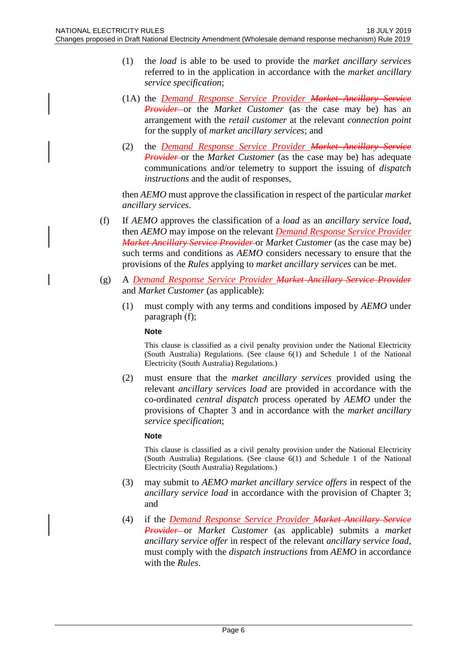- (1) the *load* is able to be used to provide the *market ancillary services* referred to in the application in accordance with the *market ancillary service specification*;
- (1A) the *Demand Response Service Provider Market Ancillary Service Provider* or the *Market Customer* (as the case may be) has an arrangement with the *retail customer* at the relevant *connection point* for the supply of *market ancillary services*; and
- (2) the *Demand Response Service Provider Market Ancillary Service Provider* or the *Market Customer* (as the case may be) has adequate communications and/or telemetry to support the issuing of *dispatch instructions* and the audit of responses,

then *AEMO* must approve the classification in respect of the particular *market ancillary services*.

- (f) If *AEMO* approves the classification of a *load* as an *ancillary service load*, then *AEMO* may impose on the relevant *Demand Response Service Provider Market Ancillary Service Provider* or *Market Customer* (as the case may be) such terms and conditions as *AEMO* considers necessary to ensure that the provisions of the *Rules* applying to *market ancillary services* can be met.
- (g) A *Demand Response Service Provider Market Ancillary Service Provider* and *Market Customer* (as applicable):
	- (1) must comply with any terms and conditions imposed by *AEMO* under paragraph (f);

#### **Note**

This clause is classified as a civil penalty provision under the National Electricity (South Australia) Regulations. (See clause 6(1) and Schedule 1 of the National Electricity (South Australia) Regulations.)

(2) must ensure that the *market ancillary services* provided using the relevant *ancillary services load* are provided in accordance with the co-ordinated *central dispatch* process operated by *AEMO* under the provisions of Chapter 3 and in accordance with the *market ancillary service specification*;

#### **Note**

This clause is classified as a civil penalty provision under the National Electricity (South Australia) Regulations. (See clause 6(1) and Schedule 1 of the National Electricity (South Australia) Regulations.)

- (3) may submit to *AEMO market ancillary service offers* in respect of the *ancillary service load* in accordance with the provision of Chapter 3; and
- (4) if the *Demand Response Service Provider Market Ancillary Service Provider* or *Market Customer* (as applicable) submits a *market ancillary service offer* in respect of the relevant *ancillary service load*, must comply with the *dispatch instructions* from *AEMO* in accordance with the *Rules*.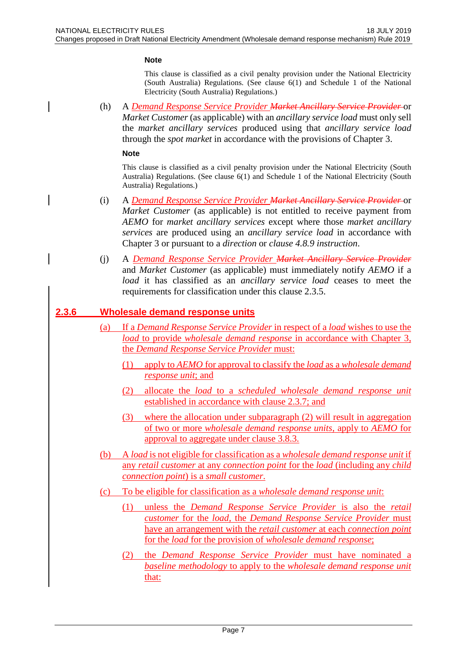#### **Note**

This clause is classified as a civil penalty provision under the National Electricity (South Australia) Regulations. (See clause 6(1) and Schedule 1 of the National Electricity (South Australia) Regulations.)

(h) A *Demand Response Service Provider Market Ancillary Service Provider* or *Market Customer* (as applicable) with an *ancillary service load* must only sell the *market ancillary services* produced using that *ancillary service load* through the *spot market* in accordance with the provisions of Chapter 3.

#### **Note**

This clause is classified as a civil penalty provision under the National Electricity (South Australia) Regulations. (See clause 6(1) and Schedule 1 of the National Electricity (South Australia) Regulations.)

- (i) A *Demand Response Service Provider Market Ancillary Service Provider* or *Market Customer* (as applicable) is not entitled to receive payment from *AEMO* for *market ancillary services* except where those *market ancillary services* are produced using an *ancillary service load* in accordance with Chapter 3 or pursuant to a *direction* or *clause 4.8.9 instruction*.
- (j) A *Demand Response Service Provider Market Ancillary Service Provider* and *Market Customer* (as applicable) must immediately notify *AEMO* if a *load* it has classified as an *ancillary service load* ceases to meet the requirements for classification under this clause 2.3.5.

#### <span id="page-6-0"></span>**2.3.6 Wholesale demand response units**

- (a) If a *Demand Response Service Provider* in respect of a *load* wishes to use the *load* to provide *wholesale demand response* in accordance with Chapter 3, the *Demand Response Service Provider* must:
	- (1) apply to *AEMO* for approval to classify the *load* as a *wholesale demand response unit*; and
	- (2) allocate the *load* to a *scheduled wholesale demand response unit* established in accordance with clause 2.3.7; and
	- (3) where the allocation under subparagraph (2) will result in aggregation of two or more *wholesale demand response units*, apply to *AEMO* for approval to aggregate under clause 3.8.3.
- (b) A *load* is not eligible for classification as a *wholesale demand response unit* if any *retail customer* at any *connection point* for the *load* (including any *child connection point*) is a *small customer*.
- (c) To be eligible for classification as a *wholesale demand response unit*:
	- (1) unless the *Demand Response Service Provider* is also the *retail customer* for the *load,* the *Demand Response Service Provider* must have an arrangement with the *retail customer* at each *connection point*  for the *load* for the provision of *wholesale demand response*;
	- (2) the *Demand Response Service Provider* must have nominated a *baseline methodology* to apply to the *wholesale demand response unit* that: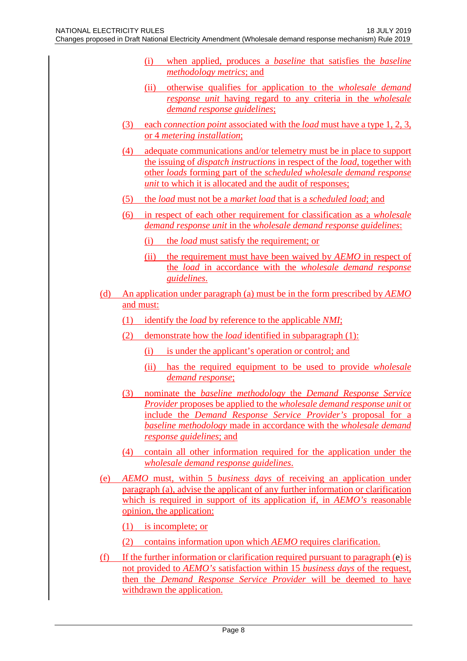- (i) when applied, produces a *baseline* that satisfies the *baseline methodology metrics*; and
- (ii) otherwise qualifies for application to the *wholesale demand response unit* having regard to any criteria in the *wholesale demand response guidelines*;
- (3) each *connection point* associated with the *load* must have a type 1, 2, 3, or 4 *metering installation*;
- (4) adequate communications and/or telemetry must be in place to support the issuing of *dispatch instructions* in respect of the *load*, together with other *loads* forming part of the *scheduled wholesale demand response unit* to which it is allocated and the audit of responses;
- (5) the *load* must not be a *market load* that is a *scheduled load*; and
- (6) in respect of each other requirement for classification as a *wholesale demand response unit* in the *wholesale demand response guidelines*:
	- (i) the *load* must satisfy the requirement; or
	- (ii) the requirement must have been waived by *AEMO* in respect of the *load* in accordance with the *wholesale demand response guidelines*.
- (d) An application under paragraph (a) must be in the form prescribed by *AEMO* and must:
	- (1) identify the *load* by reference to the applicable *NMI*;
	- (2) demonstrate how the *load* identified in subparagraph (1):
		- (i) is under the applicant's operation or control; and
		- (ii) has the required equipment to be used to provide *wholesale demand response*;
	- (3) nominate the *baseline methodology* the *Demand Response Service Provider* proposes be applied to the *wholesale demand response unit* or include the *Demand Response Service Provider's* proposal for a *baseline methodology* made in accordance with the *wholesale demand response guidelines*; and
	- (4) contain all other information required for the application under the *wholesale demand response guidelines*.
- (e) *AEMO* must, within 5 *business days* of receiving an application under paragraph (a), advise the applicant of any further information or clarification which is required in support of its application if, in *AEMO's* reasonable opinion, the application:
	- (1) is incomplete; or
	- (2) contains information upon which *AEMO* requires clarification.
- (f) If the further information or clarification required pursuant to paragraph (e) is not provided to *AEMO's* satisfaction within 15 *business days* of the request, then the *Demand Response Service Provider* will be deemed to have withdrawn the application.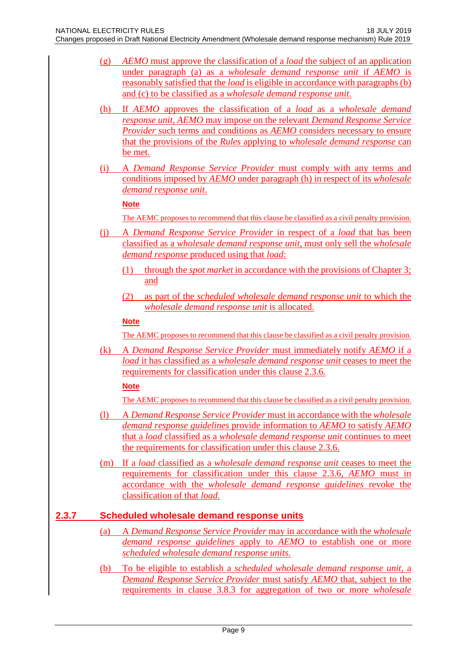- (g) *AEMO* must approve the classification of a *load* the subject of an application under paragraph (a) as a *wholesale demand response unit* if *AEMO* is reasonably satisfied that the *load* is eligible in accordance with paragraphs (b) and (c) to be classified as a *wholesale demand response unit*.
- (h) If *AEMO* approves the classification of a *load* as a *wholesale demand response unit*, *AEMO* may impose on the relevant *Demand Response Service Provider* such terms and conditions as *AEMO* considers necessary to ensure that the provisions of the *Rules* applying to *wholesale demand response* can be met.
- (i) A *Demand Response Service Provider* must comply with any terms and conditions imposed by *AEMO* under paragraph (h) in respect of its *wholesale demand response unit*.

### **Note**

- The AEMC proposes to recommend that this clause be classified as a civil penalty provision.
- (j) A *Demand Response Service Provider* in respect of a *load* that has been classified as a *wholesale demand response unit,* must only sell the *wholesale demand response* produced using that *load*:
	- (1) through the *spot market* in accordance with the provisions of Chapter 3; and
	- (2) as part of the *scheduled wholesale demand response unit* to which the *wholesale demand response unit* is allocated.

### **Note**

The AEMC proposes to recommend that this clause be classified as a civil penalty provision.

(k) A *Demand Response Service Provider* must immediately notify *AEMO* if a *load* it has classified as a *wholesale demand response unit* ceases to meet the requirements for classification under this clause 2.3.6.

### **Note**

The AEMC proposes to recommend that this clause be classified as a civil penalty provision.

- (l) A *Demand Response Service Provider* must in accordance with the *wholesale demand response guidelines* provide information to *AEMO* to satisfy *AEMO*  that a *load* classified as a *wholesale demand response unit* continues to meet the requirements for classification under this clause 2.3.6.
- (m) If a *load* classified as a *wholesale demand response unit* ceases to meet the requirements for classification under this clause 2.3.6, *AEMO* must in accordance with the *wholesale demand response guidelines* revoke the classification of that *load.*

# <span id="page-8-0"></span>**2.3.7 Scheduled wholesale demand response units**

- (a) A *Demand Response Service Provider* may in accordance with the *wholesale demand response guidelines* apply to *AEMO* to establish one or more *scheduled wholesale demand response units.*
- (b) To be eligible to establish a *scheduled wholesale demand response unit*, a *Demand Response Service Provider* must satisfy *AEMO* that, subject to the requirements in clause 3.8.3 for aggregation of two or more *wholesale*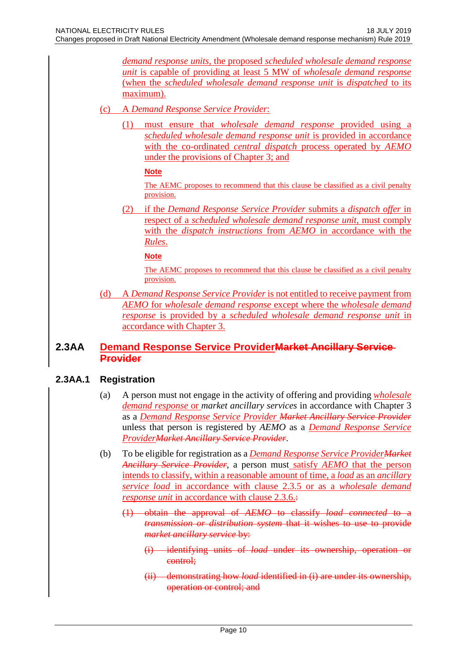*demand response units,* the proposed *scheduled wholesale demand response unit* is capable of providing at least 5 MW of *wholesale demand response* (when the *scheduled wholesale demand response unit* is *dispatched* to its maximum).

#### (c) A *Demand Response Service Provider*:

(1) must ensure that *wholesale demand response* provided using a *scheduled wholesale demand response unit* is provided in accordance with the co-ordinated *central dispatch* process operated by *AEMO*  under the provisions of Chapter 3; and

#### **Note**

The AEMC proposes to recommend that this clause be classified as a civil penalty provision.

(2) if the *Demand Response Service Provider* submits a *dispatch offer* in respect of a *scheduled wholesale demand response unit*, must comply with the *dispatch instructions* from *AEMO* in accordance with the *Rules*.

#### **Note**

The AEMC proposes to recommend that this clause be classified as a civil penalty provision.

(d) A *Demand Response Service Provider* is not entitled to receive payment from *AEMO* for *wholesale demand response* except where the *wholesale demand response* is provided by a *scheduled wholesale demand response unit* in accordance with Chapter 3.

### <span id="page-9-0"></span>**2.3AA Demand Response Service ProviderMarket Ancillary Service Provider**

### <span id="page-9-1"></span>**2.3AA.1 Registration**

- (a) A person must not engage in the activity of offering and providing *wholesale demand response* or *market ancillary services* in accordance with Chapter 3 as a *Demand Response Service Provider Market Ancillary Service Provider* unless that person is registered by *AEMO* as a *Demand Response Service ProviderMarket Ancillary Service Provider*.
- (b) To be eligible for registration as a *Demand Response Service ProviderMarket Ancillary Service Provider*, a person must satisfy *AEMO* that the person intends to classify, within a reasonable amount of time, a *load* as an *ancillary service load* in accordance with clause 2.3.5 or as a *wholesale demand response unit* in accordance with clause 2.3.6. $\div$ 
	- (1) obtain the approval of *AEMO* to classify *load connected* to a *transmission or distribution system* that it wishes to use to provide *market ancillary service* by:
		- (i) identifying units of *load* under its ownership, operation or control;
		- (ii) demonstrating how *load* identified in (i) are under its ownership, operation or control; and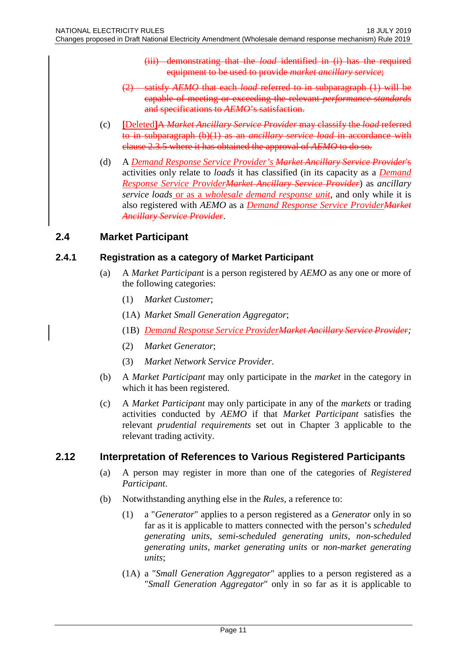- (iii) demonstrating that the *load* identified in (i) has the required equipment to be used to provide *market ancillary service*;
- (2) satisfy *AEMO* that each *load* referred to in subparagraph (1) will be capable of meeting or exceeding the relevant *performance standards* and specifications to *AEMO*'s satisfaction.
- (c) **[**Deleted**]**A *Market Ancillary Service Provider* may classify the *load* referred to in subparagraph (b)(1) as an *ancillary service load* in accordance with clause 2.3.5 where it has obtained the approval of *AEMO* to do so.
- (d) A *Demand Response Service Provider's Market Ancillary Service Provider*'s activities only relate to *loads* it has classified (in its capacity as a *Demand Response Service ProviderMarket Ancillary Service Provider*) as *ancillary service loads* or as a *wholesale demand response unit*, and only while it is also registered with *AEMO* as a *Demand Response Service ProviderMarket Ancillary Service Provider*.

# <span id="page-10-0"></span>**2.4 Market Participant**

### <span id="page-10-1"></span>**2.4.1 Registration as a category of Market Participant**

- (a) A *Market Participant* is a person registered by *AEMO* as any one or more of the following categories:
	- (1) *Market Customer*;
	- (1A) *Market Small Generation Aggregator*;
	- (1B) *Demand Response Service ProviderMarket Ancillary Service Provider;*
	- (2) *Market Generator*;
	- (3) *Market Network Service Provider*.
- (b) A *Market Participant* may only participate in the *market* in the category in which it has been registered.
- (c) A *Market Participant* may only participate in any of the *markets* or trading activities conducted by *AEMO* if that *Market Participant* satisfies the relevant *prudential requirements* set out in Chapter 3 applicable to the relevant trading activity.

# <span id="page-10-2"></span>**2.12 Interpretation of References to Various Registered Participants**

- (a) A person may register in more than one of the categories of *Registered Participant*.
- (b) Notwithstanding anything else in the *Rules*, a reference to:
	- (1) a "*Generator*" applies to a person registered as a *Generator* only in so far as it is applicable to matters connected with the person's *scheduled generating units*, *semi-scheduled generating units*, *non-scheduled generating units*, *market generating units* or *non-market generating units*;
	- (1A) a "*Small Generation Aggregator*" applies to a person registered as a "*Small Generation Aggregator*" only in so far as it is applicable to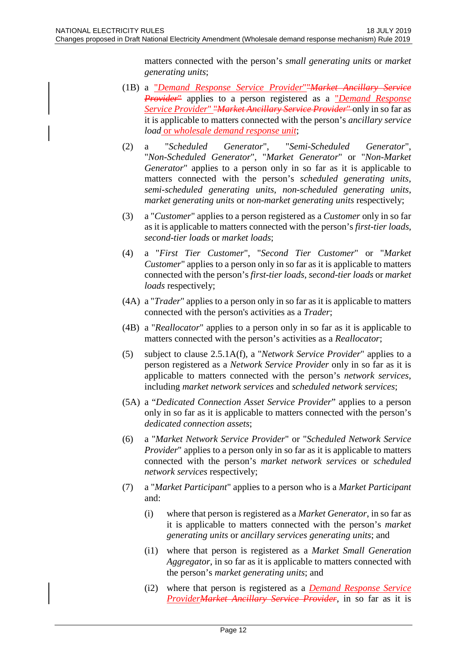matters connected with the person's *small generating units* or *market generating units*;

- (1B) a "*Demand Response Service Provider*""*Market Ancillary Service Provider*" applies to a person registered as a "*Demand Response Service Provider*" "*Market Ancillary Service Provider*" only in so far as it is applicable to matters connected with the person's *ancillary service load* or *wholesale demand response unit*;
- (2) a "*Scheduled Generator*", "*Semi-Scheduled Generator*", "*Non-Scheduled Generator*", "*Market Generator*" or "*Non-Market Generator*" applies to a person only in so far as it is applicable to matters connected with the person's *scheduled generating units*, *semi-scheduled generating units*, *non-scheduled generating units*, *market generating units* or *non-market generating units* respectively;
- (3) a "*Customer*" applies to a person registered as a *Customer* only in so far as it is applicable to matters connected with the person's *first-tier loads*, *second-tier loads* or *market loads*;
- (4) a "*First Tier Customer*", "*Second Tier Customer*" or "*Market Customer*" applies to a person only in so far as it is applicable to matters connected with the person's *first-tier loads*, *second-tier loads* or *market loads* respectively;
- (4A) a "*Trader*" applies to a person only in so far as it is applicable to matters connected with the person's activities as a *Trader*;
- (4B) a "*Reallocator*" applies to a person only in so far as it is applicable to matters connected with the person's activities as a *Reallocator*;
- (5) subject to clause 2.5.1A(f), a "*Network Service Provider*" applies to a person registered as a *Network Service Provider* only in so far as it is applicable to matters connected with the person's *network services*, including *market network services* and *scheduled network services*;
- (5A) a "*Dedicated Connection Asset Service Provider*" applies to a person only in so far as it is applicable to matters connected with the person's *dedicated connection assets*;
- (6) a "*Market Network Service Provider*" or "*Scheduled Network Service Provider*" applies to a person only in so far as it is applicable to matters connected with the person's *market network services* or *scheduled network services* respectively;
- (7) a "*Market Participant*" applies to a person who is a *Market Participant* and:
	- (i) where that person is registered as a *Market Generator*, in so far as it is applicable to matters connected with the person's *market generating units* or *ancillary services generating units*; and
	- (i1) where that person is registered as a *Market Small Generation Aggregator*, in so far as it is applicable to matters connected with the person's *market generating units*; and
	- (i2) where that person is registered as a *Demand Response Service ProviderMarket Ancillary Service Provider*, in so far as it is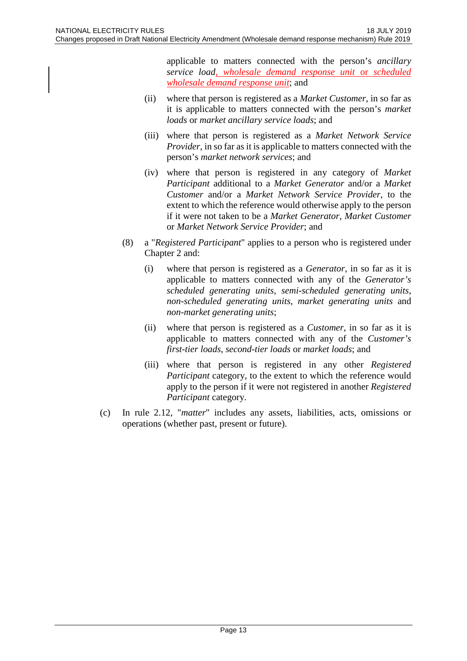applicable to matters connected with the person's *ancillary service load, wholesale demand response unit* or *scheduled wholesale demand response unit*; and

- (ii) where that person is registered as a *Market Customer*, in so far as it is applicable to matters connected with the person's *market loads* or *market ancillary service loads*; and
- (iii) where that person is registered as a *Market Network Service Provider*, in so far as it is applicable to matters connected with the person's *market network services*; and
- (iv) where that person is registered in any category of *Market Participant* additional to a *Market Generator* and/or a *Market Customer* and/or a *Market Network Service Provider*, to the extent to which the reference would otherwise apply to the person if it were not taken to be a *Market Generator*, *Market Customer* or *Market Network Service Provider*; and
- (8) a "*Registered Participant*" applies to a person who is registered under Chapter 2 and:
	- (i) where that person is registered as a *Generator*, in so far as it is applicable to matters connected with any of the *Generator's scheduled generating units*, *semi-scheduled generating units*, *non-scheduled generating units*, *market generating units* and *non-market generating units*;
	- (ii) where that person is registered as a *Customer*, in so far as it is applicable to matters connected with any of the *Customer's first-tier loads*, *second-tier loads* or *market loads*; and
	- (iii) where that person is registered in any other *Registered Participant* category, to the extent to which the reference would apply to the person if it were not registered in another *Registered Participant* category.
- (c) In rule 2.12, "*matter*" includes any assets, liabilities, acts, omissions or operations (whether past, present or future).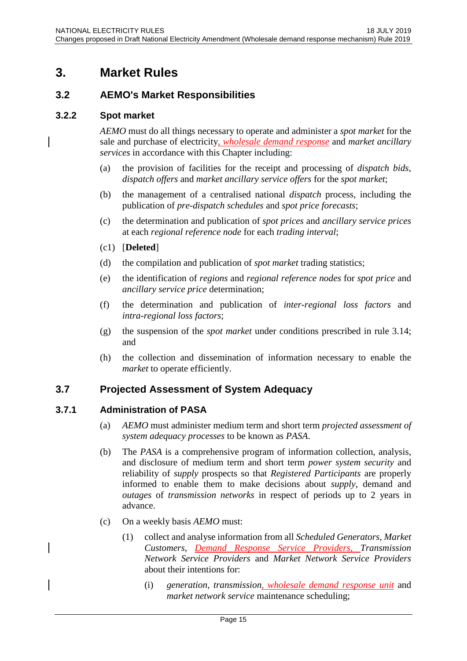# <span id="page-14-0"></span>**3. Market Rules**

# <span id="page-14-1"></span>**3.2 AEMO's Market Responsibilities**

### <span id="page-14-2"></span>**3.2.2 Spot market**

*AEMO* must do all things necessary to operate and administer a *spot market* for the sale and purchase of electricity, *wholesale demand response* and *market ancillary services* in accordance with this Chapter including:

- (a) the provision of facilities for the receipt and processing of *dispatch bids*, *dispatch offers* and *market ancillary service offers* for the *spot market*;
- (b) the management of a centralised national *dispatch* process, including the publication of *pre-dispatch schedules* and *spot price forecasts*;
- (c) the determination and publication of *spot prices* and *ancillary service prices* at each *regional reference node* for each *trading interval*;
- (c1) [**Deleted**]
- (d) the compilation and publication of *spot market* trading statistics;
- (e) the identification of *regions* and *regional reference nodes* for *spot price* and *ancillary service price* determination;
- (f) the determination and publication of *inter-regional loss factors* and *intra-regional loss factors*;
- (g) the suspension of the *spot market* under conditions prescribed in rule 3.14; and
- (h) the collection and dissemination of information necessary to enable the *market* to operate efficiently.

# <span id="page-14-3"></span>**3.7 Projected Assessment of System Adequacy**

### <span id="page-14-4"></span>**3.7.1 Administration of PASA**

- (a) *AEMO* must administer medium term and short term *projected assessment of system adequacy processes* to be known as *PASA*.
- (b) The *PASA* is a comprehensive program of information collection, analysis, and disclosure of medium term and short term *power system security* and reliability of *supply* prospects so that *Registered Participants* are properly informed to enable them to make decisions about *supply*, demand and *outages* of *transmission networks* in respect of periods up to 2 years in advance.
- (c) On a weekly basis *AEMO* must:
	- (1) collect and analyse information from all *Scheduled Generators*, *Market Customers*, *Demand Response Service Providers, Transmission Network Service Providers* and *Market Network Service Providers* about their intentions for:
		- (i) *generation*, *transmission, wholesale demand response unit* and *market network service* maintenance scheduling;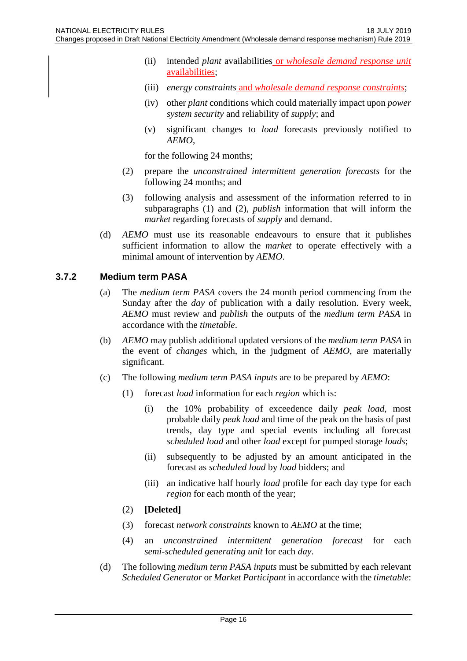- (ii) intended *plant* availabilities or *wholesale demand response unit* availabilities;
- (iii) *energy constraints* and *wholesale demand response constraints*;
- (iv) other *plant* conditions which could materially impact upon *power system security* and reliability of *supply*; and
- (v) significant changes to *load* forecasts previously notified to *AEMO*,

for the following 24 months;

- (2) prepare the *unconstrained intermittent generation forecasts* for the following 24 months; and
- (3) following analysis and assessment of the information referred to in subparagraphs (1) and (2), *publish* information that will inform the *market* regarding forecasts of *supply* and demand.
- (d) *AEMO* must use its reasonable endeavours to ensure that it publishes sufficient information to allow the *market* to operate effectively with a minimal amount of intervention by *AEMO*.

### <span id="page-15-0"></span>**3.7.2 Medium term PASA**

- (a) The *medium term PASA* covers the 24 month period commencing from the Sunday after the *day* of publication with a daily resolution. Every week, *AEMO* must review and *publish* the outputs of the *medium term PASA* in accordance with the *timetable*.
- (b) *AEMO* may publish additional updated versions of the *medium term PASA* in the event of *changes* which, in the judgment of *AEMO*, are materially significant.
- (c) The following *medium term PASA inputs* are to be prepared by *AEMO*:
	- (1) forecast *load* information for each *region* which is:
		- (i) the 10% probability of exceedence daily *peak load*, most probable daily *peak load* and time of the peak on the basis of past trends, day type and special events including all forecast *scheduled load* and other *load* except for pumped storage *loads*;
		- (ii) subsequently to be adjusted by an amount anticipated in the forecast as *scheduled load* by *load* bidders; and
		- (iii) an indicative half hourly *load* profile for each day type for each *region* for each month of the year;
	- (2) **[Deleted]**
	- (3) forecast *network constraints* known to *AEMO* at the time;
	- (4) an *unconstrained intermittent generation forecast* for each *semi-scheduled generating unit* for each *day*.
- (d) The following *medium term PASA inputs* must be submitted by each relevant *Scheduled Generator* or *Market Participant* in accordance with the *timetable*: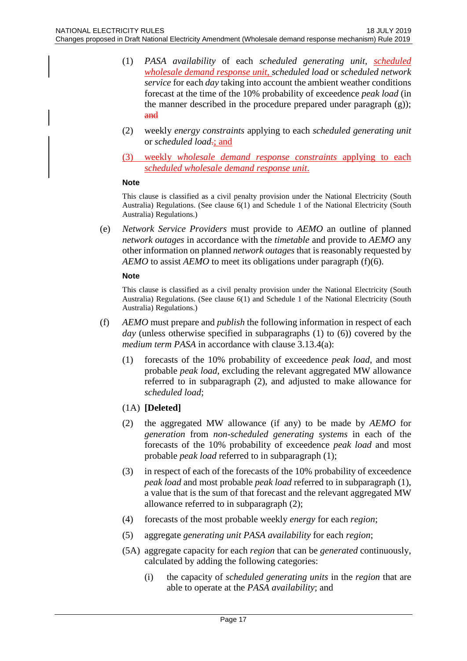- (1) *PASA availability* of each *scheduled generating unit*, *scheduled wholesale demand response unit, scheduled load* or *scheduled network service* for each *day* taking into account the ambient weather conditions forecast at the time of the 10% probability of exceedence *peak load* (in the manner described in the procedure prepared under paragraph (g)); and
- (2) weekly *energy constraints* applying to each *scheduled generating unit* or *scheduled load*.; and
- (3) weekly *wholesale demand response constraints* applying to each *scheduled wholesale demand response unit*.

#### **Note**

This clause is classified as a civil penalty provision under the National Electricity (South Australia) Regulations. (See clause 6(1) and Schedule 1 of the National Electricity (South Australia) Regulations.)

(e) *Network Service Providers* must provide to *AEMO* an outline of planned *network outages* in accordance with the *timetable* and provide to *AEMO* any other information on planned *network outages* that is reasonably requested by *AEMO* to assist *AEMO* to meet its obligations under paragraph (f)(6).

#### **Note**

This clause is classified as a civil penalty provision under the National Electricity (South Australia) Regulations. (See clause 6(1) and Schedule 1 of the National Electricity (South Australia) Regulations.)

- (f) *AEMO* must prepare and *publish* the following information in respect of each *day* (unless otherwise specified in subparagraphs (1) to (6)) covered by the *medium term PASA* in accordance with clause 3.13.4(a):
	- (1) forecasts of the 10% probability of exceedence *peak load*, and most probable *peak load*, excluding the relevant aggregated MW allowance referred to in subparagraph (2), and adjusted to make allowance for *scheduled load*;
	- (1A) **[Deleted]**
	- (2) the aggregated MW allowance (if any) to be made by *AEMO* for *generation* from *non-scheduled generating systems* in each of the forecasts of the 10% probability of exceedence *peak load* and most probable *peak load* referred to in subparagraph (1);
	- (3) in respect of each of the forecasts of the 10% probability of exceedence *peak load* and most probable *peak load* referred to in subparagraph (1), a value that is the sum of that forecast and the relevant aggregated MW allowance referred to in subparagraph (2);
	- (4) forecasts of the most probable weekly *energy* for each *region*;
	- (5) aggregate *generating unit PASA availability* for each *region*;
	- (5A) aggregate capacity for each *region* that can be *generated* continuously, calculated by adding the following categories:
		- (i) the capacity of *scheduled generating units* in the *region* that are able to operate at the *PASA availability*; and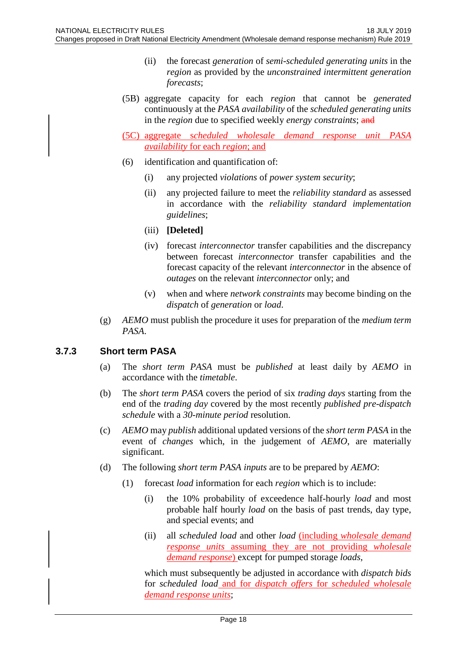- (ii) the forecast *generation* of *semi-scheduled generating units* in the *region* as provided by the *unconstrained intermittent generation forecasts*;
- (5B) aggregate capacity for each *region* that cannot be *generated* continuously at the *PASA availability* of the *scheduled generating units* in the *region* due to specified weekly *energy constraints*; and
- (5C) aggregate s*cheduled wholesale demand response unit PASA availability* for each *region*; and
- (6) identification and quantification of:
	- (i) any projected *violations* of *power system security*;
	- (ii) any projected failure to meet the *reliability standard* as assessed in accordance with the *reliability standard implementation guidelines*;
	- (iii) **[Deleted]**
	- (iv) forecast *interconnector* transfer capabilities and the discrepancy between forecast *interconnector* transfer capabilities and the forecast capacity of the relevant *interconnector* in the absence of *outages* on the relevant *interconnector* only; and
	- (v) when and where *network constraints* may become binding on the *dispatch* of *generation* or *load*.
- (g) *AEMO* must publish the procedure it uses for preparation of the *medium term PASA*.

# <span id="page-17-0"></span>**3.7.3 Short term PASA**

- (a) The *short term PASA* must be *published* at least daily by *AEMO* in accordance with the *timetable*.
- (b) The *short term PASA* covers the period of six *trading days* starting from the end of the *trading day* covered by the most recently *published pre-dispatch schedule* with a *30-minute period* resolution.
- (c) *AEMO* may *publish* additional updated versions of the *short term PASA* in the event of *changes* which, in the judgement of *AEMO*, are materially significant.
- (d) The following *short term PASA inputs* are to be prepared by *AEMO*:
	- (1) forecast *load* information for each *region* which is to include:
		- (i) the 10% probability of exceedence half-hourly *load* and most probable half hourly *load* on the basis of past trends, day type, and special events; and
		- (ii) all *scheduled load* and other *load* (including *wholesale demand response units* assuming they are not providing *wholesale demand response*) except for pumped storage *loads*,

which must subsequently be adjusted in accordance with *dispatch bids* for *scheduled load* and for *dispatch offers* for *scheduled wholesale demand response units*;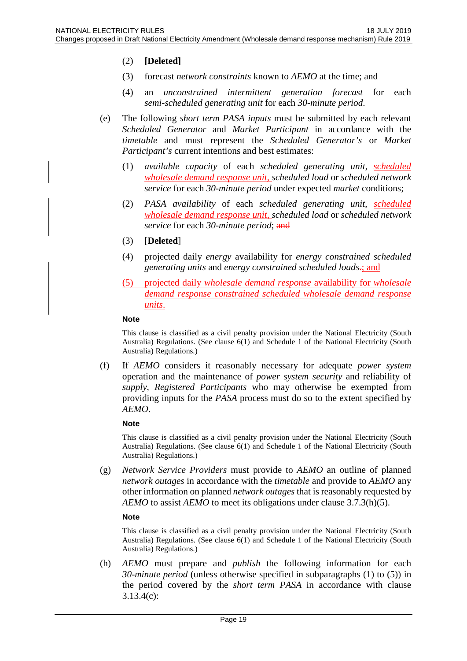### (2) **[Deleted]**

- (3) forecast *network constraints* known to *AEMO* at the time; and
- (4) an *unconstrained intermittent generation forecast* for each *semi-scheduled generating unit* for each *30-minute period*.
- (e) The following *short term PASA inputs* must be submitted by each relevant *Scheduled Generator* and *Market Participant* in accordance with the *timetable* and must represent the *Scheduled Generator's* or *Market Participant's* current intentions and best estimates:
	- (1) *available capacity* of each *scheduled generating unit*, *scheduled wholesale demand response unit*, *scheduled load* or *scheduled network service* for each *30-minute period* under expected *market* conditions;
	- (2) *PASA availability* of each *scheduled generating unit*, *scheduled wholesale demand response unit*, *scheduled load* or *scheduled network service* for each 30-minute period; and
	- (3) [**Deleted**]
	- (4) projected daily *energy* availability for *energy constrained scheduled generating units* and *energy constrained scheduled loads*.; and
	- (5) projected daily *wholesale demand response* availability for *wholesale demand response constrained scheduled wholesale demand response units*.

#### **Note**

This clause is classified as a civil penalty provision under the National Electricity (South Australia) Regulations. (See clause 6(1) and Schedule 1 of the National Electricity (South Australia) Regulations.)

(f) If *AEMO* considers it reasonably necessary for adequate *power system* operation and the maintenance of *power system security* and reliability of *supply*, *Registered Participants* who may otherwise be exempted from providing inputs for the *PASA* process must do so to the extent specified by *AEMO*.

#### **Note**

This clause is classified as a civil penalty provision under the National Electricity (South Australia) Regulations. (See clause 6(1) and Schedule 1 of the National Electricity (South Australia) Regulations.)

(g) *Network Service Providers* must provide to *AEMO* an outline of planned *network outages* in accordance with the *timetable* and provide to *AEMO* any other information on planned *network outages* that is reasonably requested by *AEMO* to assist *AEMO* to meet its obligations under clause 3.7.3(h)(5).

#### **Note**

This clause is classified as a civil penalty provision under the National Electricity (South Australia) Regulations. (See clause 6(1) and Schedule 1 of the National Electricity (South Australia) Regulations.)

(h) *AEMO* must prepare and *publish* the following information for each *30-minute period* (unless otherwise specified in subparagraphs (1) to (5)) in the period covered by the *short term PASA* in accordance with clause 3.13.4(c):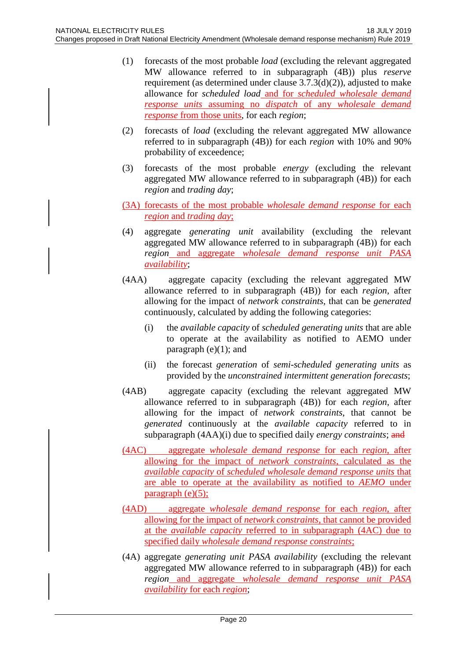- (1) forecasts of the most probable *load* (excluding the relevant aggregated MW allowance referred to in subparagraph (4B)) plus *reserve* requirement (as determined under clause 3.7.3(d)(2)), adjusted to make allowance for *scheduled load* and for *scheduled wholesale demand response units* assuming no *dispatch* of any *wholesale demand response* from those units, for each *region*;
- (2) forecasts of *load* (excluding the relevant aggregated MW allowance referred to in subparagraph (4B)) for each *region* with 10% and 90% probability of exceedence;
- (3) forecasts of the most probable *energy* (excluding the relevant aggregated MW allowance referred to in subparagraph (4B)) for each *region* and *trading day*;
- (3A) forecasts of the most probable *wholesale demand response* for each *region* and *trading day*;
- (4) aggregate *generating unit* availability (excluding the relevant aggregated MW allowance referred to in subparagraph (4B)) for each *region* and aggregate *wholesale demand response unit PASA availability*;
- (4AA) aggregate capacity (excluding the relevant aggregated MW allowance referred to in subparagraph (4B)) for each *region*, after allowing for the impact of *network constraints*, that can be *generated* continuously, calculated by adding the following categories:
	- (i) the *available capacity* of *scheduled generating units* that are able to operate at the availability as notified to AEMO under paragraph  $(e)(1)$ ; and
	- (ii) the forecast *generation* of *semi-scheduled generating units* as provided by the *unconstrained intermittent generation forecasts*;
- (4AB) aggregate capacity (excluding the relevant aggregated MW allowance referred to in subparagraph (4B)) for each *region*, after allowing for the impact of *network constraints*, that cannot be *generated* continuously at the *available capacity* referred to in subparagraph (4AA)(i) due to specified daily *energy constraints*; and
- (4AC) aggregate *wholesale demand response* for each *region*, after allowing for the impact of *network constraints*, calculated as the *available capacity* of *scheduled wholesale demand response units* that are able to operate at the availability as notified to *AEMO* under paragraph  $(e)(5)$ ;
- (4AD) aggregate *wholesale demand response* for each *region*, after allowing for the impact of *network constraints*, that cannot be provided at the *available capacity* referred to in subparagraph (4AC) due to specified daily *wholesale demand response constraints*;
- (4A) aggregate *generating unit PASA availability* (excluding the relevant aggregated MW allowance referred to in subparagraph (4B)) for each *region* and aggregate *wholesale demand response unit PASA availability* for each *region*;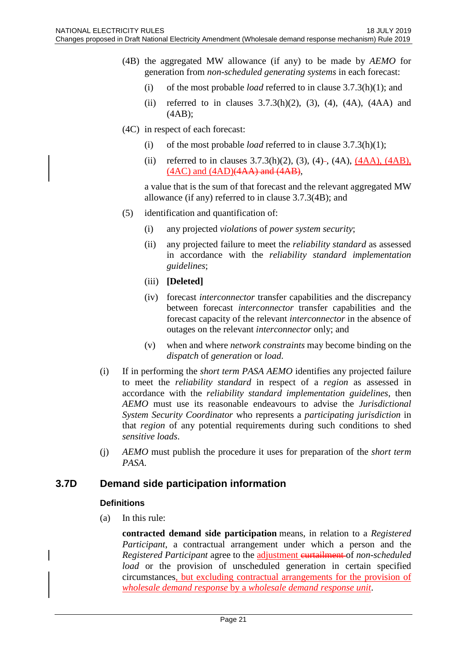- (4B) the aggregated MW allowance (if any) to be made by *AEMO* for generation from *non-scheduled generating systems* in each forecast:
	- (i) of the most probable *load* referred to in clause 3.7.3(h)(1); and
	- (ii) referred to in clauses  $3.7.3(h)(2)$ ,  $(3)$ ,  $(4)$ ,  $(4A)$ ,  $(4AA)$  and (4AB);
- (4C) in respect of each forecast:
	- (i) of the most probable *load* referred to in clause 3.7.3(h)(1);
	- (ii) referred to in clauses  $3.7.3(h)(2)$ ,  $(3)$ ,  $(4)$ –,  $(4A)$ ,  $(4AA)$ ,  $(4AB)$ , (4AC) and (4AD)(4AA) and (4AB),

a value that is the sum of that forecast and the relevant aggregated MW allowance (if any) referred to in clause 3.7.3(4B); and

- (5) identification and quantification of:
	- (i) any projected *violations* of *power system security*;
	- (ii) any projected failure to meet the *reliability standard* as assessed in accordance with the *reliability standard implementation guidelines*;
	- (iii) **[Deleted]**
	- (iv) forecast *interconnector* transfer capabilities and the discrepancy between forecast *interconnector* transfer capabilities and the forecast capacity of the relevant *interconnector* in the absence of outages on the relevant *interconnector* only; and
	- (v) when and where *network constraints* may become binding on the *dispatch* of *generation* or *load*.
- (i) If in performing the *short term PASA AEMO* identifies any projected failure to meet the *reliability standard* in respect of a *region* as assessed in accordance with the *reliability standard implementation guidelines*, then *AEMO* must use its reasonable endeavours to advise the *Jurisdictional System Security Coordinator* who represents a *participating jurisdiction* in that *region* of any potential requirements during such conditions to shed *sensitive loads*.
- (j) *AEMO* must publish the procedure it uses for preparation of the *short term PASA*.

# <span id="page-20-0"></span>**3.7D Demand side participation information**

#### **Definitions**

(a) In this rule:

**contracted demand side participation** means, in relation to a *Registered Participant*, a contractual arrangement under which a person and the *Registered Participant* agree to the adjustment curtailment of *non-scheduled load* or the provision of unscheduled generation in certain specified circumstances, but excluding contractual arrangements for the provision of *wholesale demand response* by a *wholesale demand response unit*.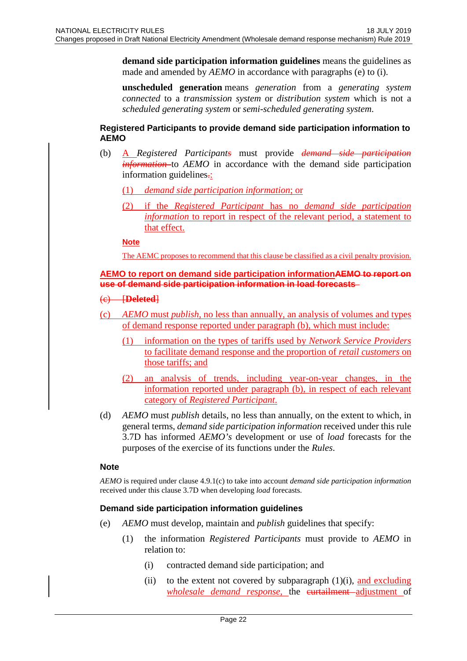**demand side participation information guidelines** means the guidelines as made and amended by *AEMO* in accordance with paragraphs (e) to (i).

**unscheduled generation** means *generation* from a *generating system connected* to a *transmission system* or *distribution system* which is not a *scheduled generating system* or *semi-scheduled generating system*.

#### **Registered Participants to provide demand side participation information to AEMO**

- (b) A *Registered Participants* must provide *demand side participation information* to *AEMO* in accordance with the demand side participation information guidelines.
	- (1) *demand side participation information*; or
	- (2) if the *Registered Participant* has no *demand side participation information* to report in respect of the relevant period, a statement to that effect.

**Note**

The AEMC proposes to recommend that this clause be classified as a civil penalty provision.

#### **AEMO to report on demand side participation informationAEMO to report on use of demand side participation information in load forecasts**

- (c) [**Deleted**]
- (c) *AEMO* must *publish*, no less than annually, an analysis of volumes and types of demand response reported under paragraph (b), which must include:
	- (1) information on the types of tariffs used by *Network Service Providers* to facilitate demand response and the proportion of *retail customers* on those tariffs; and
	- (2) an analysis of trends, including year-on-year changes, in the information reported under paragraph (b), in respect of each relevant category of *Registered Participant*.
- (d) *AEMO* must *publish* details, no less than annually, on the extent to which, in general terms, *demand side participation information* received under this rule 3.7D has informed *AEMO's* development or use of *load* forecasts for the purposes of the exercise of its functions under the *Rules*.

### **Note**

*AEMO* is required under clause 4.9.1(c) to take into account *demand side participation information* received under this clause 3.7D when developing *load* forecasts.

### **Demand side participation information guidelines**

- (e) *AEMO* must develop, maintain and *publish* guidelines that specify:
	- (1) the information *Registered Participants* must provide to *AEMO* in relation to:
		- (i) contracted demand side participation; and
		- (ii) to the extent not covered by subparagraph  $(1)(i)$ , and excluding *wholesale demand response*, the curtailment adjustment of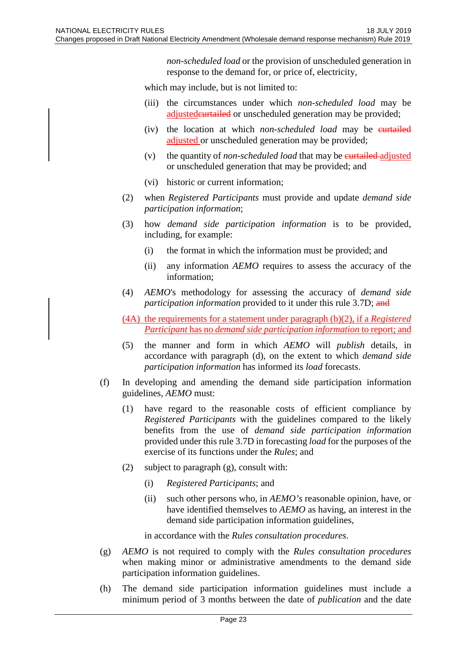*non-scheduled load* or the provision of unscheduled generation in response to the demand for, or price of, electricity,

which may include, but is not limited to:

- (iii) the circumstances under which *non-scheduled load* may be adjusted eurtailed or unscheduled generation may be provided;
- (iv) the location at which *non-scheduled load* may be eurtailed adjusted or unscheduled generation may be provided;
- (v) the quantity of *non-scheduled load* that may be *eurtailed adjusted* or unscheduled generation that may be provided; and
- (vi) historic or current information;
- (2) when *Registered Participants* must provide and update *demand side participation information*;
- (3) how *demand side participation information* is to be provided, including, for example:
	- (i) the format in which the information must be provided; and
	- (ii) any information *AEMO* requires to assess the accuracy of the information;
- (4) *AEMO*'s methodology for assessing the accuracy of *demand side participation information* provided to it under this rule 3.7D; and
- (4A) the requirements for a statement under paragraph (b)(2), if a *Registered Participant* has no *demand side participation information* to report; and
- (5) the manner and form in which *AEMO* will *publish* details, in accordance with paragraph (d), on the extent to which *demand side participation information* has informed its *load* forecasts.
- (f) In developing and amending the demand side participation information guidelines, *AEMO* must:
	- (1) have regard to the reasonable costs of efficient compliance by *Registered Participants* with the guidelines compared to the likely benefits from the use of *demand side participation information* provided under this rule 3.7D in forecasting *load* for the purposes of the exercise of its functions under the *Rules*; and
	- (2) subject to paragraph (g), consult with:
		- (i) *Registered Participants*; and
		- (ii) such other persons who, in *AEMO's* reasonable opinion, have, or have identified themselves to *AEMO* as having, an interest in the demand side participation information guidelines,

in accordance with the *Rules consultation procedures*.

- (g) *AEMO* is not required to comply with the *Rules consultation procedures* when making minor or administrative amendments to the demand side participation information guidelines.
- (h) The demand side participation information guidelines must include a minimum period of 3 months between the date of *publication* and the date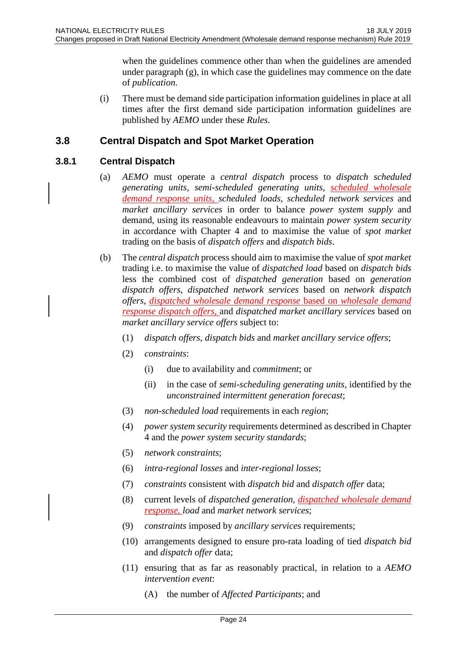when the guidelines commence other than when the guidelines are amended under paragraph (g), in which case the guidelines may commence on the date of *publication*.

(i) There must be demand side participation information guidelines in place at all times after the first demand side participation information guidelines are published by *AEMO* under these *Rules*.

# <span id="page-23-0"></span>**3.8 Central Dispatch and Spot Market Operation**

### <span id="page-23-1"></span>**3.8.1 Central Dispatch**

- (a) *AEMO* must operate a *central dispatch* process to *dispatch scheduled generating units*, *semi-scheduled generating units*, *scheduled wholesale demand response units, scheduled loads*, *scheduled network services* and *market ancillary services* in order to balance *power system supply* and demand, using its reasonable endeavours to maintain *power system security* in accordance with Chapter 4 and to maximise the value of *spot market* trading on the basis of *dispatch offers* and *dispatch bids*.
- (b) The *central dispatch* process should aim to maximise the value of *spot market* trading i.e. to maximise the value of *dispatched load* based on *dispatch bids* less the combined cost of *dispatched generation* based on *generation dispatch offers*, *dispatched network services* based on *network dispatch offers*, *dispatched wholesale demand response* based on *wholesale demand response dispatch offers*, and *dispatched market ancillary services* based on *market ancillary service offers* subject to:
	- (1) *dispatch offers*, *dispatch bids* and *market ancillary service offers*;
	- (2) *constraints*:
		- (i) due to availability and *commitment*; or
		- (ii) in the case of *semi-scheduling generating units*, identified by the *unconstrained intermittent generation forecast*;
	- (3) *non-scheduled load* requirements in each *region*;
	- (4) *power system security* requirements determined as described in Chapter 4 and the *power system security standards*;
	- (5) *network constraints*;
	- (6) *intra-regional losses* and *inter-regional losses*;
	- (7) *constraints* consistent with *dispatch bid* and *dispatch offer* data;
	- (8) current levels of *dispatched generation*, *dispatched wholesale demand response*, *load* and *market network services*;
	- (9) *constraints* imposed by *ancillary services* requirements;
	- (10) arrangements designed to ensure pro-rata loading of tied *dispatch bid* and *dispatch offer* data;
	- (11) ensuring that as far as reasonably practical, in relation to a *AEMO intervention event*:
		- (A) the number of *Affected Participants*; and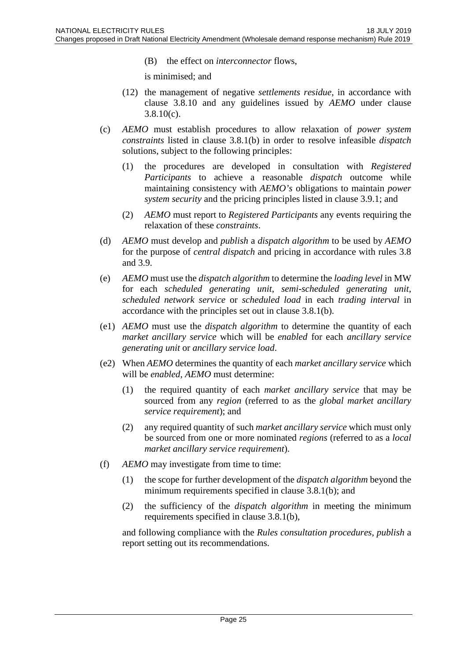(B) the effect on *interconnector* flows,

is minimised; and

- (12) the management of negative *settlements residue*, in accordance with clause 3.8.10 and any guidelines issued by *AEMO* under clause  $3.8.10(c)$ .
- (c) *AEMO* must establish procedures to allow relaxation of *power system constraints* listed in clause 3.8.1(b) in order to resolve infeasible *dispatch* solutions, subject to the following principles:
	- (1) the procedures are developed in consultation with *Registered Participants* to achieve a reasonable *dispatch* outcome while maintaining consistency with *AEMO's* obligations to maintain *power system security* and the pricing principles listed in clause 3.9.1; and
	- (2) *AEMO* must report to *Registered Participants* any events requiring the relaxation of these *constraints*.
- (d) *AEMO* must develop and *publish* a *dispatch algorithm* to be used by *AEMO* for the purpose of *central dispatch* and pricing in accordance with rules 3.8 and 3.9.
- (e) *AEMO* must use the *dispatch algorithm* to determine the *loading level* in MW for each *scheduled generating unit*, *semi-scheduled generating unit*, *scheduled network service* or *scheduled load* in each *trading interval* in accordance with the principles set out in clause 3.8.1(b).
- (e1) *AEMO* must use the *dispatch algorithm* to determine the quantity of each *market ancillary service* which will be *enabled* for each *ancillary service generating unit* or *ancillary service load*.
- (e2) When *AEMO* determines the quantity of each *market ancillary service* which will be *enabled*, *AEMO* must determine:
	- (1) the required quantity of each *market ancillary service* that may be sourced from any *region* (referred to as the *global market ancillary service requirement*); and
	- (2) any required quantity of such *market ancillary service* which must only be sourced from one or more nominated *regions* (referred to as a *local market ancillary service requirement*).
- (f) *AEMO* may investigate from time to time:
	- (1) the scope for further development of the *dispatch algorithm* beyond the minimum requirements specified in clause 3.8.1(b); and
	- (2) the sufficiency of the *dispatch algorithm* in meeting the minimum requirements specified in clause 3.8.1(b),

and following compliance with the *Rules consultation procedures*, *publish* a report setting out its recommendations.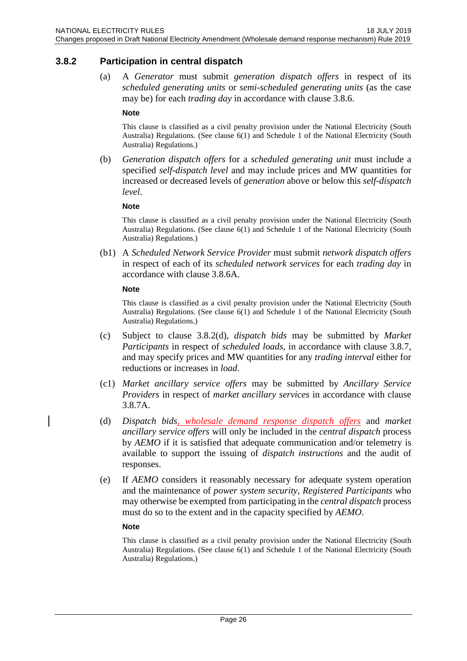### <span id="page-25-0"></span>**3.8.2 Participation in central dispatch**

(a) A *Generator* must submit *generation dispatch offers* in respect of its *scheduled generating units* or *semi-scheduled generating units* (as the case may be) for each *trading day* in accordance with clause 3.8.6.

#### **Note**

This clause is classified as a civil penalty provision under the National Electricity (South Australia) Regulations. (See clause 6(1) and Schedule 1 of the National Electricity (South Australia) Regulations.)

(b) *Generation dispatch offers* for a *scheduled generating unit* must include a specified *self-dispatch level* and may include prices and MW quantities for increased or decreased levels of *generation* above or below this *self-dispatch level*.

#### **Note**

This clause is classified as a civil penalty provision under the National Electricity (South Australia) Regulations. (See clause 6(1) and Schedule 1 of the National Electricity (South Australia) Regulations.)

(b1) A *Scheduled Network Service Provider* must submit *network dispatch offers* in respect of each of its *scheduled network services* for each *trading day* in accordance with clause 3.8.6A.

#### **Note**

This clause is classified as a civil penalty provision under the National Electricity (South Australia) Regulations. (See clause 6(1) and Schedule 1 of the National Electricity (South Australia) Regulations.)

- (c) Subject to clause 3.8.2(d), *dispatch bids* may be submitted by *Market Participants* in respect of *scheduled loads*, in accordance with clause 3.8.7, and may specify prices and MW quantities for any *trading interval* either for reductions or increases in *load*.
- (c1) *Market ancillary service offers* may be submitted by *Ancillary Service Providers* in respect of *market ancillary services* in accordance with clause 3.8.7A.
- (d) *Dispatch bids, wholesale demand response dispatch offers* and *market ancillary service offers* will only be included in the *central dispatch* process by *AEMO* if it is satisfied that adequate communication and/or telemetry is available to support the issuing of *dispatch instructions* and the audit of responses.
- (e) If *AEMO* considers it reasonably necessary for adequate system operation and the maintenance of *power system security*, *Registered Participants* who may otherwise be exempted from participating in the *central dispatch* process must do so to the extent and in the capacity specified by *AEMO*.

#### **Note**

This clause is classified as a civil penalty provision under the National Electricity (South Australia) Regulations. (See clause 6(1) and Schedule 1 of the National Electricity (South Australia) Regulations.)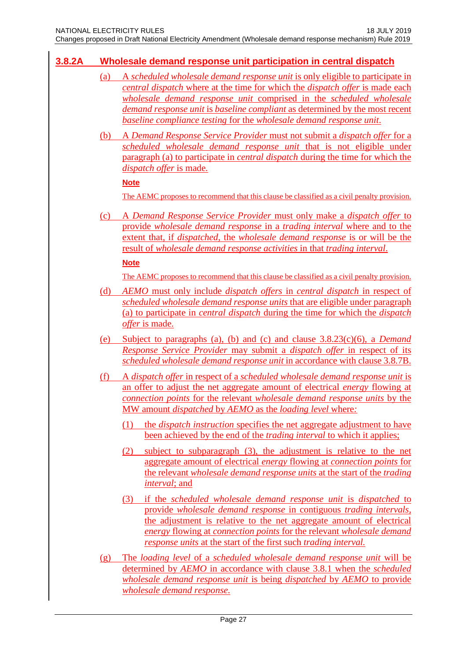# <span id="page-26-0"></span>**3.8.2A Wholesale demand response unit participation in central dispatch**

- (a) A *scheduled wholesale demand response unit* is only eligible to participate in *central dispatch* where at the time for which the *dispatch offer* is made each *wholesale demand response unit* comprised in the *scheduled wholesale demand response unit* is *baseline compliant* as determined by the most recent *baseline compliance testing* for the *wholesale demand response unit*.
- (b) A *Demand Response Service Provider* must not submit a *dispatch offer* for a *scheduled wholesale demand response unit* that is not eligible under paragraph (a) to participate in *central dispatch* during the time for which the *dispatch offer* is made*.*

#### **Note**

The AEMC proposes to recommend that this clause be classified as a civil penalty provision.

(c) A *Demand Response Service Provider* must only make a *dispatch offer* to provide *wholesale demand response* in a *trading interval* where and to the extent that, if *dispatched*, the *wholesale demand response* is or will be the result of *wholesale demand response activities* in that *trading interval*.

### **Note**

The AEMC proposes to recommend that this clause be classified as a civil penalty provision.

- (d) *AEMO* must only include *dispatch offers* in *central dispatch* in respect of *scheduled wholesale demand response units* that are eligible under paragraph (a) to participate in *central dispatch* during the time for which the *dispatch offer* is made.
- (e) Subject to paragraphs (a), (b) and (c) and clause 3.8.23(c)(6), a *Demand Response Service Provider* may submit a *dispatch offer* in respect of its *scheduled wholesale demand response unit* in accordance with clause 3.8.7B.
- (f) A *dispatch offer* in respect of a *scheduled wholesale demand response unit* is an offer to adjust the net aggregate amount of electrical *energy* flowing at *connection points* for the relevant *wholesale demand response units* by the MW amount *dispatched* by *AEMO* as the *loading level* where*:*
	- (1) the *dispatch instruction* specifies the net aggregate adjustment to have been achieved by the end of the *trading interval* to which it applies;
	- (2) subject to subparagraph (3), the adjustment is relative to the net aggregate amount of electrical *energy* flowing at *connection points* for the relevant *wholesale demand response units* at the start of the *trading interval*; and
	- (3) if the *scheduled wholesale demand response unit* is *dispatched* to provide *wholesale demand response* in contiguous *trading intervals,*  the adjustment is relative to the net aggregate amount of electrical *energy* flowing at *connection points* for the relevant *wholesale demand response units* at the start of the first such *trading interval.*
- (g) The *loading level* of a *scheduled wholesale demand response unit* will be determined by *AEMO* in accordance with clause 3.8.1 when the *scheduled wholesale demand response unit* is being *dispatched* by *AEMO* to provide *wholesale demand response*.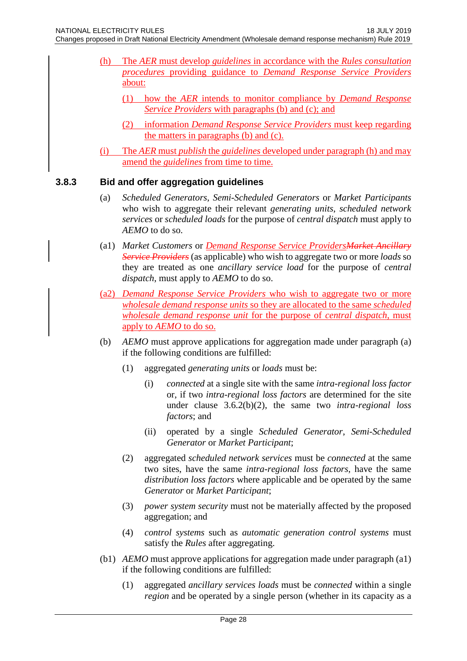- (h) The *AER* must develop *guidelines* in accordance with the *Rules consultation procedures* providing guidance to *Demand Response Service Providers*  about:
	- (1) how the *AER* intends to monitor compliance by *Demand Response Service Providers* with paragraphs (b) and (c); and
	- (2) information *Demand Response Service Providers* must keep regarding the matters in paragraphs (b) and (c).
- (i) The *AER* must *publish* the *guidelines* developed under paragraph (h) and may amend the *guidelines* from time to time.

### <span id="page-27-0"></span>**3.8.3 Bid and offer aggregation guidelines**

- (a) *Scheduled Generators*, *Semi-Scheduled Generators* or *Market Participants* who wish to aggregate their relevant *generating units*, *scheduled network services* or *scheduled loads* for the purpose of *central dispatch* must apply to *AEMO* to do so.
- (a1) *Market Customers* or *Demand Response Service ProvidersMarket Ancillary Service Providers* (as applicable) who wish to aggregate two or more *loads* so they are treated as one *ancillary service load* for the purpose of *central dispatch*, must apply to *AEMO* to do so.
- (a2) *Demand Response Service Providers* who wish to aggregate two or more *wholesale demand response units* so they are allocated to the same *scheduled wholesale demand response unit* for the purpose of *central dispatch*, must apply to *AEMO* to do so.
- (b) *AEMO* must approve applications for aggregation made under paragraph (a) if the following conditions are fulfilled:
	- (1) aggregated *generating units* or *loads* must be:
		- (i) *connected* at a single site with the same *intra-regional loss factor* or, if two *intra-regional loss factors* are determined for the site under clause 3.6.2(b)(2), the same two *intra-regional loss factors*; and
		- (ii) operated by a single *Scheduled Generator*, *Semi-Scheduled Generator* or *Market Participant*;
	- (2) aggregated *scheduled network services* must be *connected* at the same two sites, have the same *intra-regional loss factors*, have the same *distribution loss factors* where applicable and be operated by the same *Generator* or *Market Participant*;
	- (3) *power system security* must not be materially affected by the proposed aggregation; and
	- (4) *control systems* such as *automatic generation control systems* must satisfy the *Rules* after aggregating.
- (b1) *AEMO* must approve applications for aggregation made under paragraph (a1) if the following conditions are fulfilled:
	- (1) aggregated *ancillary services loads* must be *connected* within a single *region* and be operated by a single person (whether in its capacity as a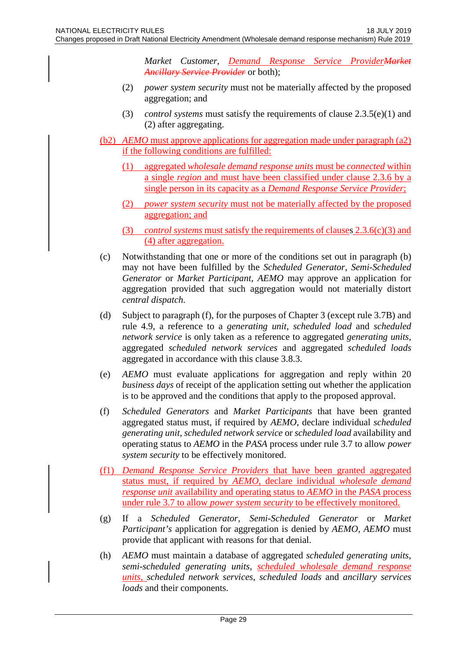*Market Customer*, *Demand Response Service ProviderMarket Ancillary Service Provider* or both);

- (2) *power system security* must not be materially affected by the proposed aggregation; and
- (3) *control systems* must satisfy the requirements of clause 2.3.5(e)(1) and (2) after aggregating.
- (b2) *AEMO* must approve applications for aggregation made under paragraph (a2) if the following conditions are fulfilled:
	- (1) aggregated *wholesale demand response units* must be *connected* within a single *region* and must have been classified under clause 2.3.6 by a single person in its capacity as a *Demand Response Service Provider*;
	- (2) *power system security* must not be materially affected by the proposed aggregation; and
	- (3) *control systems* must satisfy the requirements of clauses 2.3.6(c)(3) and (4) after aggregation.
- (c) Notwithstanding that one or more of the conditions set out in paragraph (b) may not have been fulfilled by the *Scheduled Generator*, *Semi-Scheduled Generator* or *Market Participant*, *AEMO* may approve an application for aggregation provided that such aggregation would not materially distort *central dispatch*.
- (d) Subject to paragraph (f), for the purposes of Chapter 3 (except rule 3.7B) and rule 4.9, a reference to a *generating unit*, *scheduled load* and *scheduled network service* is only taken as a reference to aggregated *generating units*, aggregated *scheduled network services* and aggregated *scheduled loads* aggregated in accordance with this clause 3.8.3.
- (e) *AEMO* must evaluate applications for aggregation and reply within 20 *business days* of receipt of the application setting out whether the application is to be approved and the conditions that apply to the proposed approval.
- (f) *Scheduled Generators* and *Market Participants* that have been granted aggregated status must, if required by *AEMO*, declare individual *scheduled generating unit*, *scheduled network service* or *scheduled load* availability and operating status to *AEMO* in the *PASA* process under rule 3.7 to allow *power system security* to be effectively monitored.
- (f1) *Demand Response Service Providers* that have been granted aggregated status must, if required by *AEMO*, declare individual *wholesale demand response unit* availability and operating status to *AEMO* in the *PASA* process under rule 3.7 to allow *power system security* to be effectively monitored.
- (g) If a *Scheduled Generator*, *Semi-Scheduled Generator* or *Market Participant's* application for aggregation is denied by *AEMO*, *AEMO* must provide that applicant with reasons for that denial.
- (h) *AEMO* must maintain a database of aggregated *scheduled generating units*, *semi-scheduled generating units*, *scheduled wholesale demand response units*, *scheduled network services*, *scheduled loads* and *ancillary services loads* and their components.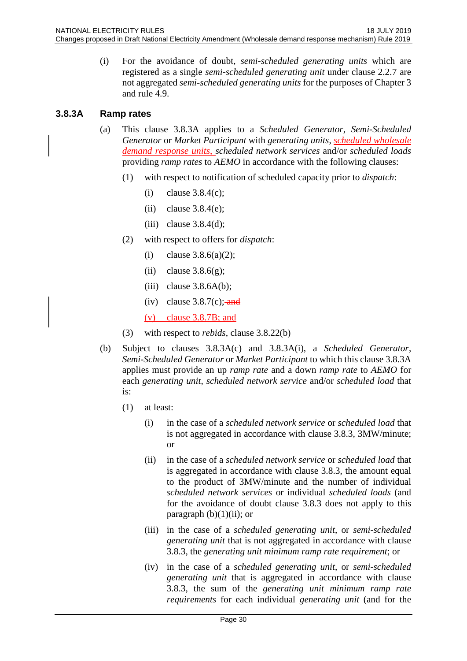(i) For the avoidance of doubt, *semi-scheduled generating units* which are registered as a single *semi-scheduled generating unit* under clause 2.2.7 are not aggregated *semi-scheduled generating units* for the purposes of Chapter 3 and rule 4.9.

# <span id="page-29-0"></span>**3.8.3A Ramp rates**

- (a) This clause 3.8.3A applies to a *Scheduled Generator*, *Semi-Scheduled Generator* or *Market Participant* with *generating units*, *scheduled wholesale demand response units*, *scheduled network services* and/or *scheduled loads* providing *ramp rates* to *AEMO* in accordance with the following clauses:
	- (1) with respect to notification of scheduled capacity prior to *dispatch*:
		- (i) clause  $3.8.4(c)$ ;
		- (ii) clause  $3.8.4(e)$ ;
		- (iii) clause 3.8.4(d);
	- (2) with respect to offers for *dispatch*:
		- (i) clause  $3.8.6(a)(2)$ ;
		- (ii) clause  $3.8.6(g)$ ;
		- (iii) clause  $3.8.6A(b)$ ;
		- (iv) clause  $3.8.7(c)$ ; and

(v) clause 3.8.7B; and

- (3) with respect to *rebids*, clause 3.8.22(b)
- (b) Subject to clauses 3.8.3A(c) and 3.8.3A(i), a *Scheduled Generator*, *Semi-Scheduled Generator* or *Market Participant* to which this clause 3.8.3A applies must provide an up *ramp rate* and a down *ramp rate* to *AEMO* for each *generating unit*, *scheduled network service* and/or *scheduled load* that is:
	- (1) at least:
		- (i) in the case of a *scheduled network service* or *scheduled load* that is not aggregated in accordance with clause 3.8.3, 3MW/minute; or
		- (ii) in the case of a *scheduled network service* or *scheduled load* that is aggregated in accordance with clause 3.8.3, the amount equal to the product of 3MW/minute and the number of individual *scheduled network services* or individual *scheduled loads* (and for the avoidance of doubt clause 3.8.3 does not apply to this paragraph  $(b)(1)(ii)$ ; or
		- (iii) in the case of a *scheduled generating unit*, or *semi-scheduled generating unit* that is not aggregated in accordance with clause 3.8.3, the *generating unit minimum ramp rate requirement*; or
		- (iv) in the case of a *scheduled generating unit*, or *semi-scheduled generating unit* that is aggregated in accordance with clause 3.8.3, the sum of the *generating unit minimum ramp rate requirements* for each individual *generating unit* (and for the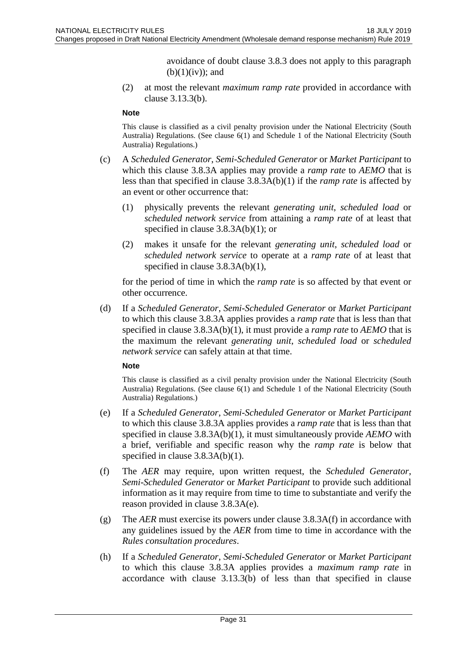avoidance of doubt clause 3.8.3 does not apply to this paragraph  $(b)(1)(iv)$ ; and

(2) at most the relevant *maximum ramp rate* provided in accordance with clause 3.13.3(b).

#### **Note**

This clause is classified as a civil penalty provision under the National Electricity (South Australia) Regulations. (See clause 6(1) and Schedule 1 of the National Electricity (South Australia) Regulations.)

- (c) A *Scheduled Generator*, *Semi-Scheduled Generator* or *Market Participant* to which this clause 3.8.3A applies may provide a *ramp rate* to *AEMO* that is less than that specified in clause 3.8.3A(b)(1) if the *ramp rate* is affected by an event or other occurrence that:
	- (1) physically prevents the relevant *generating unit*, *scheduled load* or *scheduled network service* from attaining a *ramp rate* of at least that specified in clause 3.8.3A(b)(1); or
	- (2) makes it unsafe for the relevant *generating unit*, *scheduled load* or *scheduled network service* to operate at a *ramp rate* of at least that specified in clause 3.8.3A(b)(1),

for the period of time in which the *ramp rate* is so affected by that event or other occurrence.

(d) If a *Scheduled Generator*, *Semi-Scheduled Generator* or *Market Participant* to which this clause 3.8.3A applies provides a *ramp rate* that is less than that specified in clause 3.8.3A(b)(1), it must provide a *ramp rate* to *AEMO* that is the maximum the relevant *generating unit*, *scheduled load* or *scheduled network service* can safely attain at that time.

#### **Note**

This clause is classified as a civil penalty provision under the National Electricity (South Australia) Regulations. (See clause 6(1) and Schedule 1 of the National Electricity (South Australia) Regulations.)

- (e) If a *Scheduled Generator*, *Semi-Scheduled Generator* or *Market Participant* to which this clause 3.8.3A applies provides a *ramp rate* that is less than that specified in clause 3.8.3A(b)(1), it must simultaneously provide *AEMO* with a brief, verifiable and specific reason why the *ramp rate* is below that specified in clause 3.8.3A(b)(1).
- (f) The *AER* may require, upon written request, the *Scheduled Generator*, *Semi-Scheduled Generator* or *Market Participant* to provide such additional information as it may require from time to time to substantiate and verify the reason provided in clause 3.8.3A(e).
- (g) The *AER* must exercise its powers under clause 3.8.3A(f) in accordance with any guidelines issued by the *AER* from time to time in accordance with the *Rules consultation procedures*.
- (h) If a *Scheduled Generator*, *Semi-Scheduled Generator* or *Market Participant* to which this clause 3.8.3A applies provides a *maximum ramp rate* in accordance with clause 3.13.3(b) of less than that specified in clause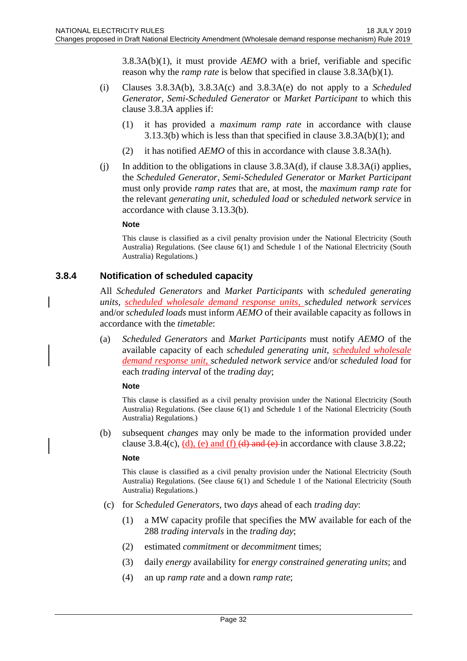3.8.3A(b)(1), it must provide *AEMO* with a brief, verifiable and specific reason why the *ramp rate* is below that specified in clause 3.8.3A(b)(1).

- (i) Clauses 3.8.3A(b), 3.8.3A(c) and 3.8.3A(e) do not apply to a *Scheduled Generator*, *Semi-Scheduled Generator* or *Market Participant* to which this clause 3.8.3A applies if:
	- (1) it has provided a *maximum ramp rate* in accordance with clause 3.13.3(b) which is less than that specified in clause 3.8.3A(b)(1); and
	- (2) it has notified *AEMO* of this in accordance with clause 3.8.3A(h).
- (j) In addition to the obligations in clause 3.8.3A(d), if clause 3.8.3A(i) applies, the *Scheduled Generator*, *Semi-Scheduled Generator* or *Market Participant* must only provide *ramp rates* that are, at most, the *maximum ramp rate* for the relevant *generating unit*, *scheduled load* or *scheduled network service* in accordance with clause 3.13.3(b).

#### **Note**

This clause is classified as a civil penalty provision under the National Electricity (South Australia) Regulations. (See clause 6(1) and Schedule 1 of the National Electricity (South Australia) Regulations.)

### <span id="page-31-0"></span>**3.8.4 Notification of scheduled capacity**

All *Scheduled Generators* and *Market Participants* with *scheduled generating units*, *scheduled wholesale demand response units, scheduled network services* and/or *scheduled loads* must inform *AEMO* of their available capacity as follows in accordance with the *timetable*:

(a) *Scheduled Generators* and *Market Participants* must notify *AEMO* of the available capacity of each *scheduled generating unit*, *scheduled wholesale demand response unit*, *scheduled network service* and/or *scheduled load* for each *trading interval* of the *trading day*;

#### **Note**

This clause is classified as a civil penalty provision under the National Electricity (South Australia) Regulations. (See clause 6(1) and Schedule 1 of the National Electricity (South Australia) Regulations.)

(b) subsequent *changes* may only be made to the information provided under clause 3.8.4(c),  $(d)$ , (e) and (f) (d) and (e) in accordance with clause 3.8.22;

#### **Note**

This clause is classified as a civil penalty provision under the National Electricity (South Australia) Regulations. (See clause 6(1) and Schedule 1 of the National Electricity (South Australia) Regulations.)

- (c) for *Scheduled Generators*, two *days* ahead of each *trading day*:
	- (1) a MW capacity profile that specifies the MW available for each of the 288 *trading intervals* in the *trading day*;
	- (2) estimated *commitment* or *decommitment* times;
	- (3) daily *energy* availability for *energy constrained generating units*; and
	- (4) an up *ramp rate* and a down *ramp rate*;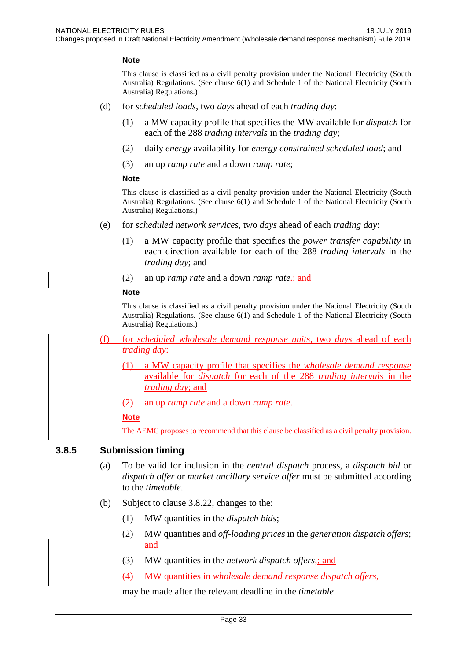#### **Note**

This clause is classified as a civil penalty provision under the National Electricity (South Australia) Regulations. (See clause 6(1) and Schedule 1 of the National Electricity (South Australia) Regulations.)

- (d) for *scheduled loads*, two *days* ahead of each *trading day*:
	- (1) a MW capacity profile that specifies the MW available for *dispatch* for each of the 288 *trading intervals* in the *trading day*;
	- (2) daily *energy* availability for *energy constrained scheduled load*; and
	- (3) an up *ramp rate* and a down *ramp rate*;

#### **Note**

This clause is classified as a civil penalty provision under the National Electricity (South Australia) Regulations. (See clause 6(1) and Schedule 1 of the National Electricity (South Australia) Regulations.)

- (e) for *scheduled network services*, two *days* ahead of each *trading day*:
	- (1) a MW capacity profile that specifies the *power transfer capability* in each direction available for each of the 288 *trading intervals* in the *trading day*; and
	- (2) an up *ramp rate* and a down *ramp rate*.; and

#### **Note**

This clause is classified as a civil penalty provision under the National Electricity (South Australia) Regulations. (See clause 6(1) and Schedule 1 of the National Electricity (South Australia) Regulations.)

- (f) for *scheduled wholesale demand response units*, two *days* ahead of each *trading day*:
	- (1) a MW capacity profile that specifies the *wholesale demand response* available for *dispatch* for each of the 288 *trading intervals* in the *trading day*; and
	- (2) an up *ramp rate* and a down *ramp rate*.

#### **Note**

The AEMC proposes to recommend that this clause be classified as a civil penalty provision.

#### <span id="page-32-0"></span>**3.8.5 Submission timing**

- (a) To be valid for inclusion in the *central dispatch* process, a *dispatch bid* or *dispatch offer* or *market ancillary service offer* must be submitted according to the *timetable*.
- (b) Subject to clause 3.8.22, changes to the:
	- (1) MW quantities in the *dispatch bids*;
	- (2) MW quantities and *off-loading prices* in the *generation dispatch offers*; and
	- (3) MW quantities in the *network dispatch offers*,; and
	- (4) MW quantities in *wholesale demand response dispatch offers*,

may be made after the relevant deadline in the *timetable*.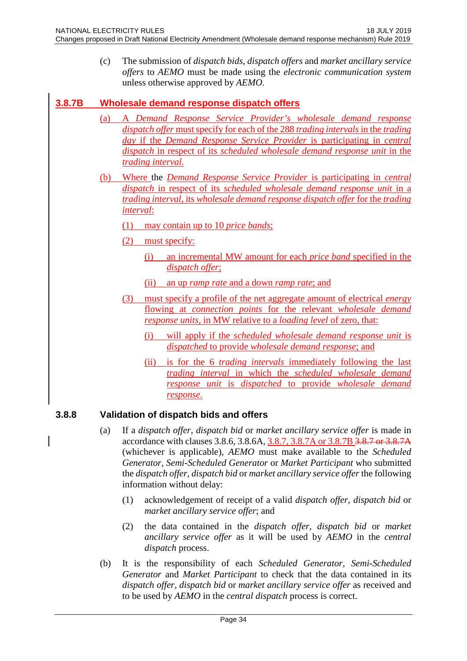(c) The submission of *dispatch bids*, *dispatch offers* and *market ancillary service offers* to *AEMO* must be made using the *electronic communication system* unless otherwise approved by *AEMO*.

# <span id="page-33-0"></span>**3.8.7B Wholesale demand response dispatch offers**

- (a) A *Demand Response Service Provider's wholesale demand response dispatch offer* must specify for each of the 288 *trading intervals* in the *trading day* if the *Demand Response Service Provider* is participating in *central dispatch* in respect of its *scheduled wholesale demand response unit* in the *trading interval.*
- (b) Where the *Demand Response Service Provider* is participating in *central dispatch* in respect of its *scheduled wholesale demand response unit* in a *trading interval*, its *wholesale demand response dispatch offer* for the *trading interval*:
	- (1) may contain up to 10 *price bands*;
	- (2) must specify:
		- (i) an incremental MW amount for each *price band* specified in the *dispatch offer*;
		- (ii) an up *ramp rate* and a down *ramp rate*; and
	- (3) must specify a profile of the net aggregate amount of electrical *energy* flowing at *connection points* for the relevant *wholesale demand response units,* in MW relative to a *loading level* of zero, that:
		- (i) will apply if the *scheduled wholesale demand response unit* is *dispatched* to provide *wholesale demand response*; and
		- (ii) is for the 6 *trading intervals* immediately following the last *trading interval* in which the *scheduled wholesale demand response unit* is *dispatched* to provide *wholesale demand response*.

# <span id="page-33-1"></span>**3.8.8 Validation of dispatch bids and offers**

- (a) If a *dispatch offer*, *dispatch bid* or *market ancillary service offer* is made in accordance with clauses 3.8.6, 3.8.6A, 3.8.7, 3.8.7A or 3.8.7B 3.8.7 or 3.8.7A (whichever is applicable), *AEMO* must make available to the *Scheduled Generator*, *Semi-Scheduled Generator* or *Market Participant* who submitted the *dispatch offer*, *dispatch bid* or *market ancillary service offer* the following information without delay:
	- (1) acknowledgement of receipt of a valid *dispatch offer*, *dispatch bid* or *market ancillary service offer*; and
	- (2) the data contained in the *dispatch offer*, *dispatch bid* or *market ancillary service offer* as it will be used by *AEMO* in the *central dispatch* process.
- (b) It is the responsibility of each *Scheduled Generator*, *Semi-Scheduled Generator* and *Market Participant* to check that the data contained in its *dispatch offer*, *dispatch bid* or *market ancillary service offer* as received and to be used by *AEMO* in the *central dispatch* process is correct.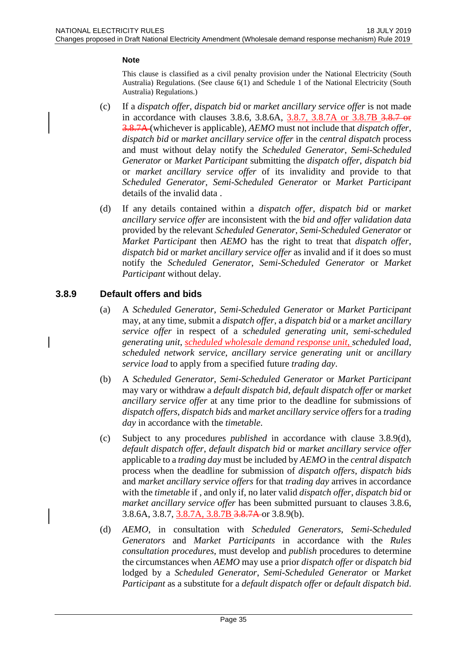#### **Note**

This clause is classified as a civil penalty provision under the National Electricity (South Australia) Regulations. (See clause 6(1) and Schedule 1 of the National Electricity (South Australia) Regulations.)

- (c) If a *dispatch offer*, *dispatch bid* or *market ancillary service offer* is not made in accordance with clauses 3.8.6, 3.8.6A, 3.8.7, 3.8.7A or 3.8.7B 3.8.7 or 3.8.7A (whichever is applicable), *AEMO* must not include that *dispatch offer*, *dispatch bid* or *market ancillary service offer* in the *central dispatch* process and must without delay notify the *Scheduled Generator*, *Semi-Scheduled Generator* or *Market Participant* submitting the *dispatch offer*, *dispatch bid* or *market ancillary service offer* of its invalidity and provide to that *Scheduled Generator*, *Semi-Scheduled Generator* or *Market Participant* details of the invalid data .
- (d) If any details contained within a *dispatch offer*, *dispatch bid* or *market ancillary service offer* are inconsistent with the *bid and offer validation data* provided by the relevant *Scheduled Generator*, *Semi-Scheduled Generator* or *Market Participant* then *AEMO* has the right to treat that *dispatch offer*, *dispatch bid* or *market ancillary service offer* as invalid and if it does so must notify the *Scheduled Generator*, *Semi-Scheduled Generator* or *Market Participant* without delay.

# <span id="page-34-0"></span>**3.8.9 Default offers and bids**

- (a) A *Scheduled Generator*, *Semi-Scheduled Generator* or *Market Participant* may, at any time, submit a *dispatch offer*, a *dispatch bid* or a *market ancillary service offer* in respect of a *scheduled generating unit*, *semi-scheduled generating unit*, *scheduled wholesale demand response unit*, *scheduled load*, *scheduled network service*, *ancillary service generating unit* or *ancillary service load* to apply from a specified future *trading day*.
- (b) A *Scheduled Generator*, *Semi-Scheduled Generator* or *Market Participant* may vary or withdraw a *default dispatch bid*, *default dispatch offer* or *market ancillary service offer* at any time prior to the deadline for submissions of *dispatch offers*, *dispatch bids* and *market ancillary service offers* for a *trading day* in accordance with the *timetable*.
- (c) Subject to any procedures *published* in accordance with clause 3.8.9(d), *default dispatch offer*, *default dispatch bid* or *market ancillary service offer* applicable to a *trading day* must be included by *AEMO* in the *central dispatch* process when the deadline for submission of *dispatch offers*, *dispatch bids* and *market ancillary service offers* for that *trading day* arrives in accordance with the *timetable* if , and only if, no later valid *dispatch offer*, *dispatch bid* or *market ancillary service offer* has been submitted pursuant to clauses 3.8.6, 3.8.6A, 3.8.7, 3.8.7A, 3.8.7B 3.8.7A or 3.8.9(b).
- (d) *AEMO*, in consultation with *Scheduled Generators*, *Semi-Scheduled Generators* and *Market Participants* in accordance with the *Rules consultation procedures*, must develop and *publish* procedures to determine the circumstances when *AEMO* may use a prior *dispatch offer* or *dispatch bid* lodged by a *Scheduled Generator*, *Semi-Scheduled Generator* or *Market Participant* as a substitute for a *default dispatch offer* or *default dispatch bid*.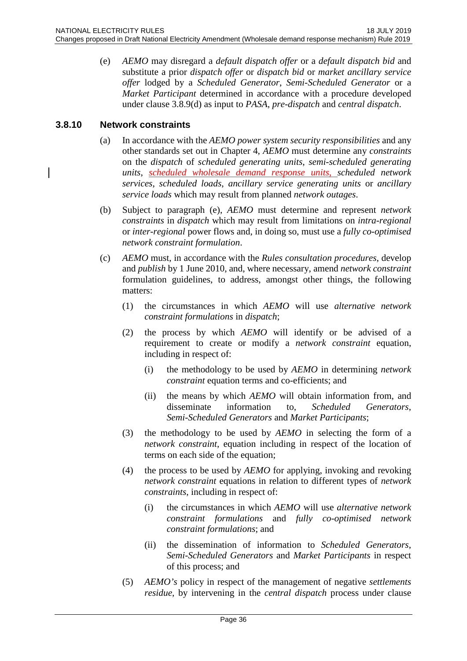(e) *AEMO* may disregard a *default dispatch offer* or a *default dispatch bid* and substitute a prior *dispatch offer* or *dispatch bid* or *market ancillary service offer* lodged by a *Scheduled Generator*, *Semi-Scheduled Generator* or a *Market Participant* determined in accordance with a procedure developed under clause 3.8.9(d) as input to *PASA*, *pre-dispatch* and *central dispatch*.

### <span id="page-35-0"></span>**3.8.10 Network constraints**

- (a) In accordance with the *AEMO power system security responsibilities* and any other standards set out in Chapter 4, *AEMO* must determine any *constraints* on the *dispatch* of *scheduled generating units*, *semi-scheduled generating units*, *scheduled wholesale demand response units*, *scheduled network services*, *scheduled loads*, *ancillary service generating units* or *ancillary service loads* which may result from planned *network outages*.
- (b) Subject to paragraph (e), *AEMO* must determine and represent *network constraints* in *dispatch* which may result from limitations on *intra-regional* or *inter-regional* power flows and, in doing so, must use a *fully co-optimised network constraint formulation*.
- (c) *AEMO* must, in accordance with the *Rules consultation procedures*, develop and *publish* by 1 June 2010, and, where necessary, amend *network constraint* formulation guidelines, to address, amongst other things, the following matters:
	- (1) the circumstances in which *AEMO* will use *alternative network constraint formulations* in *dispatch*;
	- (2) the process by which *AEMO* will identify or be advised of a requirement to create or modify a *network constraint* equation, including in respect of:
		- (i) the methodology to be used by *AEMO* in determining *network constraint* equation terms and co-efficients; and
		- (ii) the means by which *AEMO* will obtain information from, and disseminate information to, *Scheduled Generators*, *Semi-Scheduled Generators* and *Market Participants*;
	- (3) the methodology to be used by *AEMO* in selecting the form of a *network constraint*, equation including in respect of the location of terms on each side of the equation;
	- (4) the process to be used by *AEMO* for applying, invoking and revoking *network constraint* equations in relation to different types of *network constraints*, including in respect of:
		- (i) the circumstances in which *AEMO* will use *alternative network constraint formulations* and *fully co-optimised network constraint formulations*; and
		- (ii) the dissemination of information to *Scheduled Generators*, *Semi-Scheduled Generators* and *Market Participants* in respect of this process; and
	- (5) *AEMO's* policy in respect of the management of negative *settlements residue*, by intervening in the *central dispatch* process under clause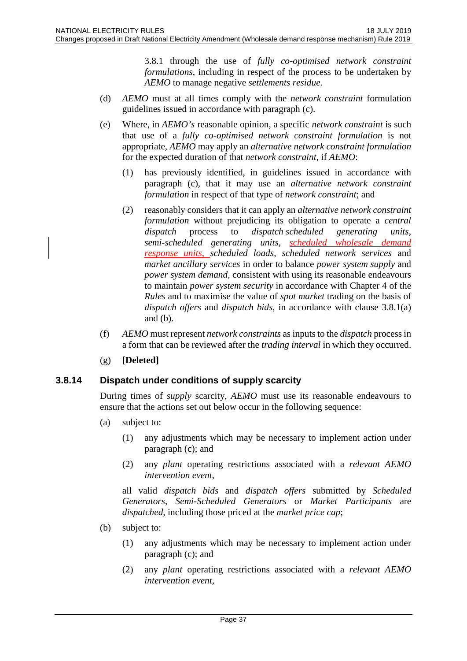3.8.1 through the use of *fully co-optimised network constraint formulations*, including in respect of the process to be undertaken by *AEMO* to manage negative *settlements residue*.

- (d) *AEMO* must at all times comply with the *network constraint* formulation guidelines issued in accordance with paragraph (c).
- (e) Where, in *AEMO's* reasonable opinion, a specific *network constraint* is such that use of a *fully co-optimised network constraint formulation* is not appropriate, *AEMO* may apply an *alternative network constraint formulation* for the expected duration of that *network constraint*, if *AEMO*:
	- (1) has previously identified, in guidelines issued in accordance with paragraph (c), that it may use an *alternative network constraint formulation* in respect of that type of *network constraint*; and
	- (2) reasonably considers that it can apply an *alternative network constraint formulation* without prejudicing its obligation to operate a *central dispatch* process to *dispatch scheduled generating units*, *semi-scheduled generating units*, *scheduled wholesale demand response units*, *scheduled loads*, *scheduled network services* and *market ancillary services* in order to balance *power system supply* and *power system demand*, consistent with using its reasonable endeavours to maintain *power system security* in accordance with Chapter 4 of the *Rules* and to maximise the value of *spot market* trading on the basis of *dispatch offers* and *dispatch bids*, in accordance with clause 3.8.1(a) and (b).
- (f) *AEMO* must represent *network constraints* as inputs to the *dispatch* process in a form that can be reviewed after the *trading interval* in which they occurred.
- (g) **[Deleted]**

#### **3.8.14 Dispatch under conditions of supply scarcity**

During times of *supply* scarcity, *AEMO* must use its reasonable endeavours to ensure that the actions set out below occur in the following sequence:

- (a) subject to:
	- (1) any adjustments which may be necessary to implement action under paragraph (c); and
	- (2) any *plant* operating restrictions associated with a *relevant AEMO intervention event*,

all valid *dispatch bids* and *dispatch offers* submitted by *Scheduled Generators*, *Semi-Scheduled Generators* or *Market Participants* are *dispatched*, including those priced at the *market price cap*;

- (b) subject to:
	- (1) any adjustments which may be necessary to implement action under paragraph (c); and
	- (2) any *plant* operating restrictions associated with a *relevant AEMO intervention event*,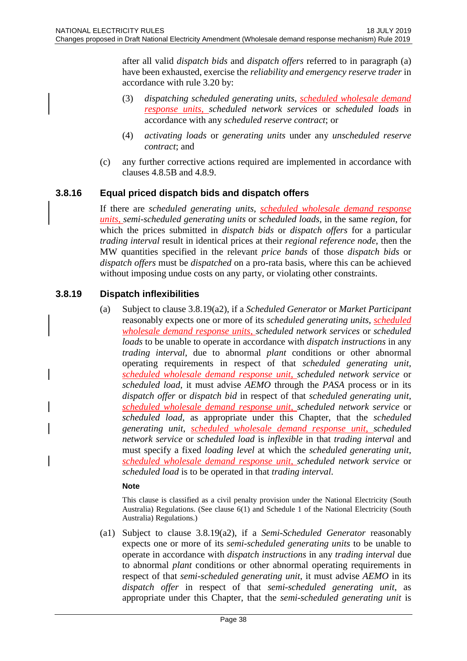after all valid *dispatch bids* and *dispatch offers* referred to in paragraph (a) have been exhausted, exercise the *reliability and emergency reserve trader* in accordance with rule 3.20 by:

- (3) *dispatching scheduled generating units*, *scheduled wholesale demand response units*, *scheduled network services* or *scheduled loads* in accordance with any *scheduled reserve contract*; or
- (4) *activating loads* or *generating units* under any *unscheduled reserve contract*; and
- (c) any further corrective actions required are implemented in accordance with clauses 4.8.5B and 4.8.9.

## **3.8.16 Equal priced dispatch bids and dispatch offers**

If there are *scheduled generating units*, *scheduled wholesale demand response units*, *semi-scheduled generating units* or *scheduled loads*, in the same *region*, for which the prices submitted in *dispatch bids* or *dispatch offers* for a particular *trading interval* result in identical prices at their *regional reference node*, then the MW quantities specified in the relevant *price bands* of those *dispatch bids* or *dispatch offers* must be *dispatched* on a pro-rata basis, where this can be achieved without imposing undue costs on any party, or violating other constraints.

## **3.8.19 Dispatch inflexibilities**

(a) Subject to clause 3.8.19(a2), if a *Scheduled Generator* or *Market Participant* reasonably expects one or more of its *scheduled generating units*, *scheduled wholesale demand response units*, *scheduled network services* or *scheduled loads* to be unable to operate in accordance with *dispatch instructions* in any *trading interval*, due to abnormal *plant* conditions or other abnormal operating requirements in respect of that *scheduled generating unit*, *scheduled wholesale demand response unit*, *scheduled network service* or *scheduled load*, it must advise *AEMO* through the *PASA* process or in its *dispatch offer* or *dispatch bid* in respect of that *scheduled generating unit*, *scheduled wholesale demand response unit, scheduled network service* or *scheduled load*, as appropriate under this Chapter, that the *scheduled generating unit*, *scheduled wholesale demand response unit*, *scheduled network service* or *scheduled load* is *inflexible* in that *trading interval* and must specify a fixed *loading level* at which the *scheduled generating unit*, *scheduled wholesale demand response unit, scheduled network service* or *scheduled load* is to be operated in that *trading interval*.

#### **Note**

This clause is classified as a civil penalty provision under the National Electricity (South Australia) Regulations. (See clause 6(1) and Schedule 1 of the National Electricity (South Australia) Regulations.)

(a1) Subject to clause 3.8.19(a2), if a *Semi-Scheduled Generator* reasonably expects one or more of its *semi-scheduled generating units* to be unable to operate in accordance with *dispatch instructions* in any *trading interval* due to abnormal *plant* conditions or other abnormal operating requirements in respect of that *semi-scheduled generating unit*, it must advise *AEMO* in its *dispatch offer* in respect of that *semi-scheduled generating unit*, as appropriate under this Chapter, that the *semi-scheduled generating unit* is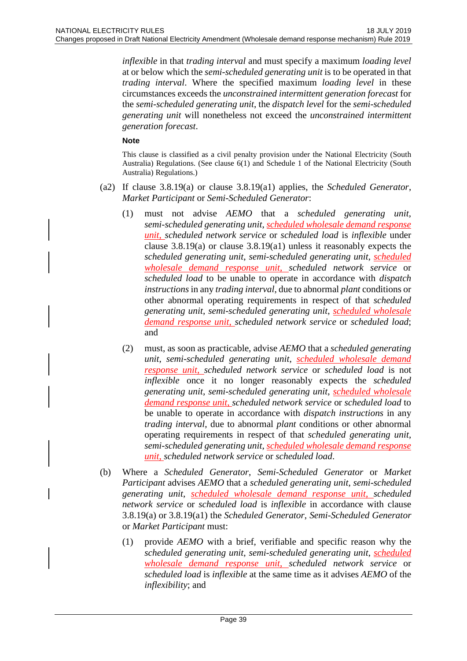*inflexible* in that *trading interval* and must specify a maximum *loading level* at or below which the *semi-scheduled generating unit* is to be operated in that *trading interval*. Where the specified maximum *loading level* in these circumstances exceeds the *unconstrained intermittent generation forecast* for the *semi-scheduled generating unit*, the *dispatch level* for the *semi-scheduled generating unit* will nonetheless not exceed the *unconstrained intermittent generation forecast*.

#### **Note**

- (a2) If clause 3.8.19(a) or clause 3.8.19(a1) applies, the *Scheduled Generator*, *Market Participant* or *Semi-Scheduled Generator*:
	- (1) must not advise *AEMO* that a *scheduled generating unit*, *semi-scheduled generating unit*, *scheduled wholesale demand response unit*, *scheduled network service* or *scheduled load* is *inflexible* under clause 3.8.19(a) or clause 3.8.19(a1) unless it reasonably expects the *scheduled generating unit*, *semi-scheduled generating unit*, *scheduled wholesale demand response unit*, *scheduled network service* or *scheduled load* to be unable to operate in accordance with *dispatch instructions* in any *trading interval*, due to abnormal *plant* conditions or other abnormal operating requirements in respect of that *scheduled generating unit*, *semi-scheduled generating unit*, *scheduled wholesale demand response unit*, *scheduled network service* or *scheduled load*; and
	- (2) must, as soon as practicable, advise *AEMO* that a *scheduled generating unit*, *semi-scheduled generating unit*, *scheduled wholesale demand response unit*, *scheduled network service* or *scheduled load* is not *inflexible* once it no longer reasonably expects the *scheduled generating unit*, *semi-scheduled generating unit*, *scheduled wholesale demand response unit*, *scheduled network service* or *scheduled load* to be unable to operate in accordance with *dispatch instructions* in any *trading interval*, due to abnormal *plant* conditions or other abnormal operating requirements in respect of that *scheduled generating unit*, *semi-scheduled generating unit*, *scheduled wholesale demand response unit*, *scheduled network service* or *scheduled load*.
- (b) Where a *Scheduled Generator*, *Semi-Scheduled Generator* or *Market Participant* advises *AEMO* that a *scheduled generating unit*, *semi-scheduled generating unit*, *scheduled wholesale demand response unit*, *scheduled network service* or *scheduled load* is *inflexible* in accordance with clause 3.8.19(a) or 3.8.19(a1) the *Scheduled Generator*, *Semi-Scheduled Generator* or *Market Participant* must:
	- (1) provide *AEMO* with a brief, verifiable and specific reason why the *scheduled generating unit*, *semi-scheduled generating unit*, *scheduled wholesale demand response unit*, *scheduled network service* or *scheduled load* is *inflexible* at the same time as it advises *AEMO* of the *inflexibility*; and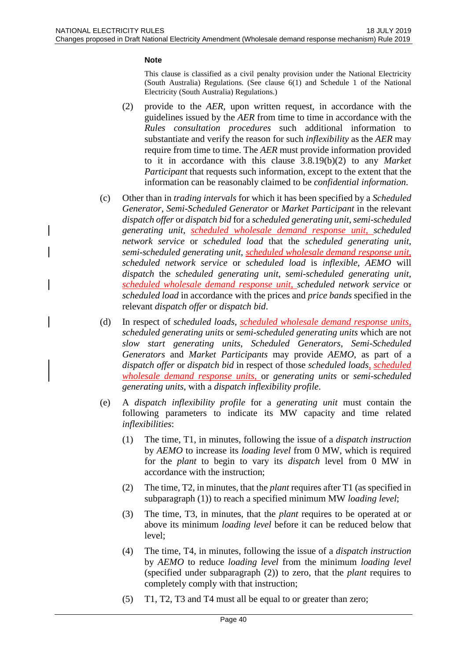#### **Note**

- (2) provide to the *AER*, upon written request, in accordance with the guidelines issued by the *AER* from time to time in accordance with the *Rules consultation procedures* such additional information to substantiate and verify the reason for such *inflexibility* as the *AER* may require from time to time. The *AER* must provide information provided to it in accordance with this clause 3.8.19(b)(2) to any *Market Participant* that requests such information, except to the extent that the information can be reasonably claimed to be *confidential information*.
- (c) Other than in *trading intervals* for which it has been specified by a *Scheduled Generator*, *Semi-Scheduled Generator* or *Market Participant* in the relevant *dispatch offer* or *dispatch bid* for a *scheduled generating unit*, *semi-scheduled generating unit*, *scheduled wholesale demand response unit*, *scheduled network service* or *scheduled load* that the *scheduled generating unit*, *semi-scheduled generating unit*, *scheduled wholesale demand response unit*, *scheduled network service* or *scheduled load* is *inflexible*, *AEMO* will *dispatch* the *scheduled generating unit*, *semi-scheduled generating unit*, *scheduled wholesale demand response unit*, *scheduled network service* or *scheduled load* in accordance with the prices and *price bands* specified in the relevant *dispatch offer* or *dispatch bid*.
- (d) In respect of *scheduled loads*, *scheduled wholesale demand response units*, *scheduled generating units* or *semi-scheduled generating units* which are not *slow start generating units*, *Scheduled Generators*, *Semi-Scheduled Generators* and *Market Participants* may provide *AEMO*, as part of a *dispatch offer* or *dispatch bid* in respect of those *scheduled loads*, *scheduled wholesale demand response units*, or *generating units* or *semi-scheduled generating units*, with a *dispatch inflexibility profile*.
- (e) A *dispatch inflexibility profile* for a *generating unit* must contain the following parameters to indicate its MW capacity and time related *inflexibilities*:
	- (1) The time, T1, in minutes, following the issue of a *dispatch instruction* by *AEMO* to increase its *loading level* from 0 MW, which is required for the *plant* to begin to vary its *dispatch* level from 0 MW in accordance with the instruction;
	- (2) The time, T2, in minutes, that the *plant* requires after T1 (as specified in subparagraph (1)) to reach a specified minimum MW *loading level*;
	- (3) The time, T3, in minutes, that the *plant* requires to be operated at or above its minimum *loading level* before it can be reduced below that level;
	- (4) The time, T4, in minutes, following the issue of a *dispatch instruction* by *AEMO* to reduce *loading level* from the minimum *loading level* (specified under subparagraph (2)) to zero, that the *plant* requires to completely comply with that instruction;
	- (5) T1, T2, T3 and T4 must all be equal to or greater than zero;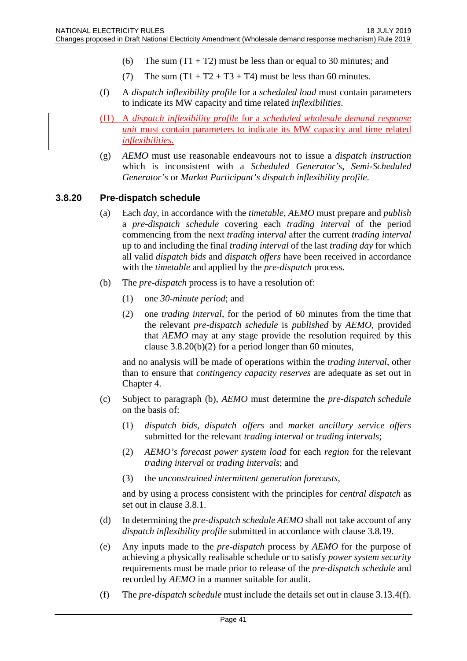- (6) The sum  $(T1 + T2)$  must be less than or equal to 30 minutes; and
- (7) The sum  $(T1 + T2 + T3 + T4)$  must be less than 60 minutes.
- (f) A *dispatch inflexibility profile* for a *scheduled load* must contain parameters to indicate its MW capacity and time related *inflexibilities*.
- (f1) A *dispatch inflexibility profile* for a *scheduled wholesale demand response unit* must contain parameters to indicate its MW capacity and time related *inflexibilities*.
- (g) *AEMO* must use reasonable endeavours not to issue a *dispatch instruction* which is inconsistent with a *Scheduled Generator's*, *Semi-Scheduled Generator's* or *Market Participant's dispatch inflexibility profile*.

## **3.8.20 Pre-dispatch schedule**

- (a) Each *day*, in accordance with the *timetable*, *AEMO* must prepare and *publish* a *pre-dispatch schedule* covering each *trading interval* of the period commencing from the next *trading interval* after the current *trading interval* up to and including the final *trading interval* of the last *trading day* for which all valid *dispatch bids* and *dispatch offers* have been received in accordance with the *timetable* and applied by the *pre-dispatch* process.
- (b) The *pre-dispatch* process is to have a resolution of:
	- (1) one *30-minute period*; and
	- (2) one *trading interval*, for the period of 60 minutes from the time that the relevant *pre-dispatch schedule* is *published* by *AEMO*, provided that *AEMO* may at any stage provide the resolution required by this clause  $3.8.20(b)(2)$  for a period longer than 60 minutes,

and no analysis will be made of operations within the *trading interval*, other than to ensure that *contingency capacity reserves* are adequate as set out in Chapter 4.

- (c) Subject to paragraph (b), *AEMO* must determine the *pre-dispatch schedule*  on the basis of:
	- (1) *dispatch bids*, *dispatch offers* and *market ancillary service offers* submitted for the relevant *trading interval* or *trading intervals*;
	- (2) *AEMO's forecast power system load* for each *region* for the relevant *trading interval* or *trading intervals*; and
	- (3) the *unconstrained intermittent generation forecasts*,

and by using a process consistent with the principles for *central dispatch* as set out in clause 3.8.1.

- (d) In determining the *pre-dispatch schedule AEMO* shall not take account of any *dispatch inflexibility profile* submitted in accordance with clause 3.8.19.
- (e) Any inputs made to the *pre-dispatch* process by *AEMO* for the purpose of achieving a physically realisable schedule or to satisfy *power system security* requirements must be made prior to release of the *pre-dispatch schedule* and recorded by *AEMO* in a manner suitable for audit.
- (f) The *pre-dispatch schedule* must include the details set out in clause 3.13.4(f).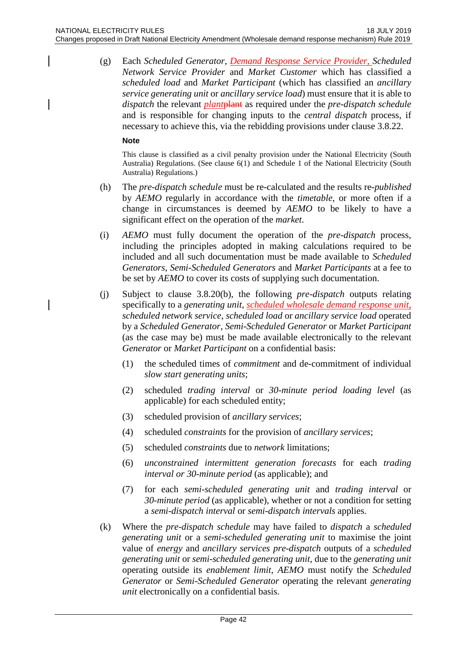(g) Each *Scheduled Generator*, *Demand Response Service Provider*, *Scheduled Network Service Provider* and *Market Customer* which has classified a *scheduled load* and *Market Participant* (which has classified an *ancillary service generating unit* or *ancillary service load*) must ensure that it is able to *dispatch* the relevant *plant*plant as required under the *pre-dispatch schedule* and is responsible for changing inputs to the *central dispatch* process, if necessary to achieve this, via the rebidding provisions under clause 3.8.22.

#### **Note**

- (h) The *pre-dispatch schedule* must be re-calculated and the results re-*published* by *AEMO* regularly in accordance with the *timetable*, or more often if a change in circumstances is deemed by *AEMO* to be likely to have a significant effect on the operation of the *market*.
- (i) *AEMO* must fully document the operation of the *pre-dispatch* process, including the principles adopted in making calculations required to be included and all such documentation must be made available to *Scheduled Generators*, *Semi-Scheduled Generators* and *Market Participants* at a fee to be set by *AEMO* to cover its costs of supplying such documentation.
- (j) Subject to clause 3.8.20(b), the following *pre-dispatch* outputs relating specifically to a *generating unit*, *scheduled wholesale demand response unit, scheduled network service*, *scheduled load* or *ancillary service load* operated by a *Scheduled Generator*, *Semi-Scheduled Generator* or *Market Participant* (as the case may be) must be made available electronically to the relevant *Generator* or *Market Participant* on a confidential basis:
	- (1) the scheduled times of *commitment* and de-commitment of individual *slow start generating units*;
	- (2) scheduled *trading interval* or *30-minute period loading level* (as applicable) for each scheduled entity;
	- (3) scheduled provision of *ancillary services*;
	- (4) scheduled *constraints* for the provision of *ancillary services*;
	- (5) scheduled *constraints* due to *network* limitations;
	- (6) *unconstrained intermittent generation forecasts* for each *trading interval or 30-minute period* (as applicable); and
	- (7) for each *semi-scheduled generating unit* and *trading interval* or *30-minute period* (as applicable), whether or not a condition for setting a *semi-dispatch interval* or *semi-dispatch intervals* applies.
- (k) Where the *pre-dispatch schedule* may have failed to *dispatch* a *scheduled generating unit* or a *semi-scheduled generating unit* to maximise the joint value of *energy* and *ancillary services pre-dispatch* outputs of a *scheduled generating unit* or *semi-scheduled generating unit*, due to the *generating unit* operating outside its *enablement limit*, *AEMO* must notify the *Scheduled Generator* or *Semi-Scheduled Generator* operating the relevant *generating unit* electronically on a confidential basis.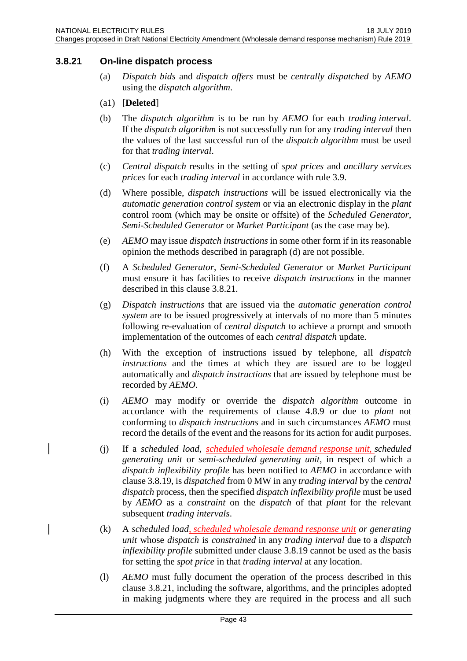### **3.8.21 On-line dispatch process**

(a) *Dispatch bids* and *dispatch offers* must be *centrally dispatched* by *AEMO* using the *dispatch algorithm*.

#### (a1) [**Deleted**]

- (b) The *dispatch algorithm* is to be run by *AEMO* for each *trading interval*. If the *dispatch algorithm* is not successfully run for any *trading interval* then the values of the last successful run of the *dispatch algorithm* must be used for that *trading interval*.
- (c) *Central dispatch* results in the setting of *spot prices* and *ancillary services prices* for each *trading interval* in accordance with rule 3.9.
- (d) Where possible, *dispatch instructions* will be issued electronically via the *automatic generation control system* or via an electronic display in the *plant* control room (which may be onsite or offsite) of the *Scheduled Generator*, *Semi-Scheduled Generator* or *Market Participant* (as the case may be).
- (e) *AEMO* may issue *dispatch instructions* in some other form if in its reasonable opinion the methods described in paragraph (d) are not possible.
- (f) A *Scheduled Generator*, *Semi-Scheduled Generator* or *Market Participant* must ensure it has facilities to receive *dispatch instructions* in the manner described in this clause 3.8.21.
- (g) *Dispatch instructions* that are issued via the *automatic generation control system* are to be issued progressively at intervals of no more than 5 minutes following re-evaluation of *central dispatch* to achieve a prompt and smooth implementation of the outcomes of each *central dispatch* update.
- (h) With the exception of instructions issued by telephone, all *dispatch instructions* and the times at which they are issued are to be logged automatically and *dispatch instructions* that are issued by telephone must be recorded by *AEMO*.
- (i) *AEMO* may modify or override the *dispatch algorithm* outcome in accordance with the requirements of clause 4.8.9 or due to *plant* not conforming to *dispatch instructions* and in such circumstances *AEMO* must record the details of the event and the reasons for its action for audit purposes.
- (j) If a *scheduled load*, *scheduled wholesale demand response unit, scheduled generating unit* or *semi-scheduled generating unit*, in respect of which a *dispatch inflexibility profile* has been notified to *AEMO* in accordance with clause 3.8.19, is *dispatched* from 0 MW in any *trading interval* by the *central dispatch* process, then the specified *dispatch inflexibility profile* must be used by *AEMO* as a *constraint* on the *dispatch* of that *plant* for the relevant subsequent *trading intervals*.
- (k) A *scheduled load, scheduled wholesale demand response unit or generating unit* whose *dispatch* is *constrained* in any *trading interval* due to a *dispatch inflexibility profile* submitted under clause 3.8.19 cannot be used as the basis for setting the *spot price* in that *trading interval* at any location.
- (l) *AEMO* must fully document the operation of the process described in this clause 3.8.21, including the software, algorithms, and the principles adopted in making judgments where they are required in the process and all such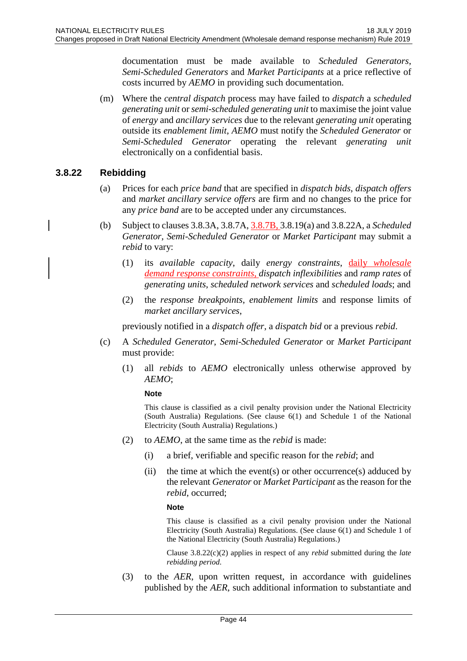documentation must be made available to *Scheduled Generators*, *Semi-Scheduled Generators* and *Market Participants* at a price reflective of costs incurred by *AEMO* in providing such documentation.

(m) Where the *central dispatch* process may have failed to *dispatch* a *scheduled generating unit* or *semi-scheduled generating unit* to maximise the joint value of *energy* and *ancillary services* due to the relevant *generating unit* operating outside its *enablement limit*, *AEMO* must notify the *Scheduled Generator* or *Semi-Scheduled Generator* operating the relevant *generating unit* electronically on a confidential basis.

### **3.8.22 Rebidding**

- (a) Prices for each *price band* that are specified in *dispatch bids*, *dispatch offers* and *market ancillary service offers* are firm and no changes to the price for any *price band* are to be accepted under any circumstances.
- (b) Subject to clauses 3.8.3A, 3.8.7A, 3.8.7B, 3.8.19(a) and 3.8.22A, a *Scheduled Generator*, *Semi-Scheduled Generator* or *Market Participant* may submit a *rebid* to vary:
	- (1) its *available capacity*, daily *energy constraints*, daily *wholesale demand response constraints*, *dispatch inflexibilities* and *ramp rates* of *generating units*, *scheduled network services* and *scheduled loads*; and
	- (2) the *response breakpoints*, *enablement limits* and response limits of *market ancillary services*,

previously notified in a *dispatch offer*, a *dispatch bid* or a previous *rebid*.

- (c) A *Scheduled Generator*, *Semi-Scheduled Generator* or *Market Participant* must provide:
	- (1) all *rebids* to *AEMO* electronically unless otherwise approved by *AEMO*;

**Note**

This clause is classified as a civil penalty provision under the National Electricity (South Australia) Regulations. (See clause 6(1) and Schedule 1 of the National Electricity (South Australia) Regulations.)

- (2) to *AEMO*, at the same time as the *rebid* is made:
	- (i) a brief, verifiable and specific reason for the *rebid*; and
	- (ii) the time at which the event(s) or other occurrence(s) adduced by the relevant *Generator* or *Market Participant* as the reason for the *rebid*, occurred;

#### **Note**

This clause is classified as a civil penalty provision under the National Electricity (South Australia) Regulations. (See clause 6(1) and Schedule 1 of the National Electricity (South Australia) Regulations.)

Clause 3.8.22(c)(2) applies in respect of any *rebid* submitted during the *late rebidding period*.

(3) to the *AER*, upon written request, in accordance with guidelines published by the *AER*, such additional information to substantiate and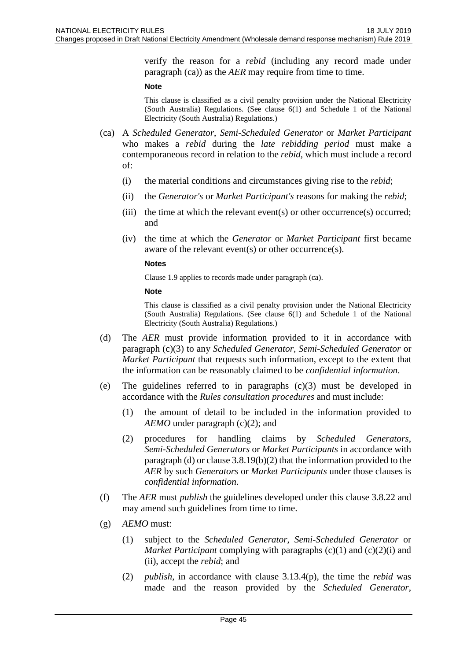verify the reason for a *rebid* (including any record made under paragraph (ca)) as the *AER* may require from time to time.

#### **Note**

This clause is classified as a civil penalty provision under the National Electricity (South Australia) Regulations. (See clause 6(1) and Schedule 1 of the National Electricity (South Australia) Regulations.)

- (ca) A *Scheduled Generator*, *Semi-Scheduled Generator* or *Market Participant* who makes a *rebid* during the *late rebidding period* must make a contemporaneous record in relation to the *rebid*, which must include a record of:
	- (i) the material conditions and circumstances giving rise to the *rebid*;
	- (ii) the *Generator's* or *Market Participant's* reasons for making the *rebid*;
	- (iii) the time at which the relevant event(s) or other occurrence(s) occurred; and
	- (iv) the time at which the *Generator* or *Market Participant* first became aware of the relevant event(s) or other occurrence(s).

#### **Notes**

Clause 1.9 applies to records made under paragraph (ca).

#### **Note**

- (d) The *AER* must provide information provided to it in accordance with paragraph (c)(3) to any *Scheduled Generator*, *Semi-Scheduled Generator* or *Market Participant* that requests such information, except to the extent that the information can be reasonably claimed to be *confidential information*.
- (e) The guidelines referred to in paragraphs  $(c)(3)$  must be developed in accordance with the *Rules consultation procedures* and must include:
	- (1) the amount of detail to be included in the information provided to *AEMO* under paragraph (c)(2); and
	- (2) procedures for handling claims by *Scheduled Generators*, *Semi-Scheduled Generators* or *Market Participants* in accordance with paragraph (d) or clause 3.8.19(b)(2) that the information provided to the *AER* by such *Generators* or *Market Participants* under those clauses is *confidential information*.
- (f) The *AER* must *publish* the guidelines developed under this clause 3.8.22 and may amend such guidelines from time to time.
- (g) *AEMO* must:
	- (1) subject to the *Scheduled Generator*, *Semi-Scheduled Generator* or *Market Participant* complying with paragraphs (c)(1) and (c)(2)(i) and (ii), accept the *rebid*; and
	- (2) *publish*, in accordance with clause 3.13.4(p), the time the *rebid* was made and the reason provided by the *Scheduled Generator*,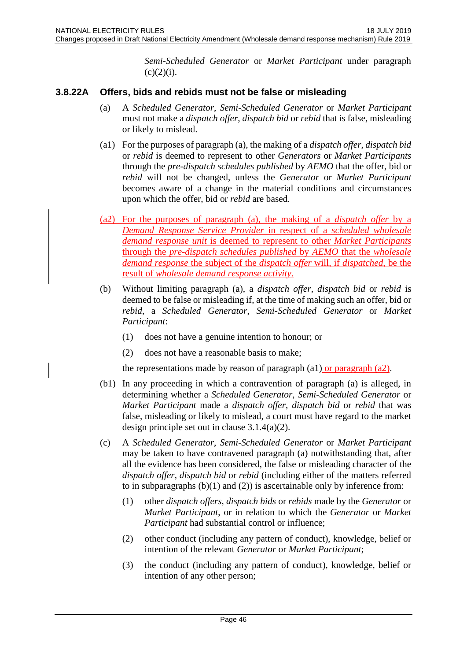*Semi-Scheduled Generator* or *Market Participant* under paragraph  $(c)(2)(i)$ .

## **3.8.22A Offers, bids and rebids must not be false or misleading**

- (a) A *Scheduled Generator*, *Semi-Scheduled Generator* or *Market Participant* must not make a *dispatch offer*, *dispatch bid* or *rebid* that is false, misleading or likely to mislead.
- (a1) For the purposes of paragraph (a), the making of a *dispatch offer*, *dispatch bid* or *rebid* is deemed to represent to other *Generators* or *Market Participants* through the *pre-dispatch schedules published* by *AEMO* that the offer, bid or *rebid* will not be changed, unless the *Generator* or *Market Participant* becomes aware of a change in the material conditions and circumstances upon which the offer, bid or *rebid* are based.
- (a2) For the purposes of paragraph (a), the making of a *dispatch offer* by a *Demand Response Service Provider* in respect of a *scheduled wholesale demand response unit* is deemed to represent to other *Market Participants* through the *pre-dispatch schedules published* by *AEMO* that the *wholesale demand response* the subject of the *dispatch offer* will, if *dispatched*, be the result of *wholesale demand response activity*.
- (b) Without limiting paragraph (a), a *dispatch offer*, *dispatch bid* or *rebid* is deemed to be false or misleading if, at the time of making such an offer, bid or *rebid*, a *Scheduled Generator*, *Semi-Scheduled Generator* or *Market Participant*:
	- (1) does not have a genuine intention to honour; or
	- (2) does not have a reasonable basis to make;

the representations made by reason of paragraph  $(a1)$  or paragraph  $(a2)$ .

- (b1) In any proceeding in which a contravention of paragraph (a) is alleged, in determining whether a *Scheduled Generator*, *Semi-Scheduled Generator* or *Market Participant* made a *dispatch offer*, *dispatch bid* or *rebid* that was false, misleading or likely to mislead, a court must have regard to the market design principle set out in clause 3.1.4(a)(2).
- (c) A *Scheduled Generator*, *Semi-Scheduled Generator* or *Market Participant* may be taken to have contravened paragraph (a) notwithstanding that, after all the evidence has been considered, the false or misleading character of the *dispatch offer*, *dispatch bid* or *rebid* (including either of the matters referred to in subparagraphs  $(b)(1)$  and  $(2)$ ) is ascertainable only by inference from:
	- (1) other *dispatch offers*, *dispatch bids* or *rebids* made by the *Generator* or *Market Participant*, or in relation to which the *Generator* or *Market Participant* had substantial control or influence;
	- (2) other conduct (including any pattern of conduct), knowledge, belief or intention of the relevant *Generator* or *Market Participant*;
	- (3) the conduct (including any pattern of conduct), knowledge, belief or intention of any other person;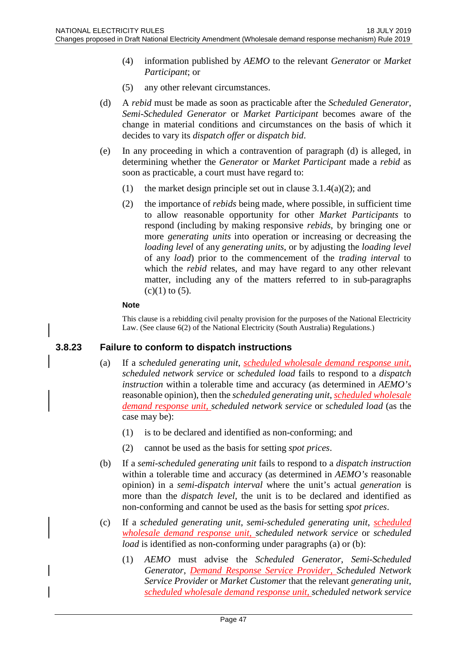- (4) information published by *AEMO* to the relevant *Generator* or *Market Participant*; or
- (5) any other relevant circumstances.
- (d) A *rebid* must be made as soon as practicable after the *Scheduled Generator*, *Semi-Scheduled Generator* or *Market Participant* becomes aware of the change in material conditions and circumstances on the basis of which it decides to vary its *dispatch offer* or *dispatch bid*.
- (e) In any proceeding in which a contravention of paragraph (d) is alleged, in determining whether the *Generator* or *Market Participant* made a *rebid* as soon as practicable, a court must have regard to:
	- (1) the market design principle set out in clause  $3.1.4(a)(2)$ ; and
	- (2) the importance of *rebids* being made, where possible, in sufficient time to allow reasonable opportunity for other *Market Participants* to respond (including by making responsive *rebids*, by bringing one or more *generating units* into operation or increasing or decreasing the *loading level* of any *generating units*, or by adjusting the *loading level* of any *load*) prior to the commencement of the *trading interval* to which the *rebid* relates, and may have regard to any other relevant matter, including any of the matters referred to in sub-paragraphs  $(c)(1)$  to  $(5)$ .

#### **Note**

This clause is a rebidding civil penalty provision for the purposes of the National Electricity Law. (See clause 6(2) of the National Electricity (South Australia) Regulations.)

## **3.8.23 Failure to conform to dispatch instructions**

- (a) If a *scheduled generating unit*, *scheduled wholesale demand response unit, scheduled network service* or *scheduled load* fails to respond to a *dispatch instruction* within a tolerable time and accuracy (as determined in *AEMO's* reasonable opinion), then the *scheduled generating unit*, *scheduled wholesale demand response unit, scheduled network service* or *scheduled load* (as the case may be):
	- (1) is to be declared and identified as non-conforming; and
	- (2) cannot be used as the basis for setting *spot prices*.
- (b) If a *semi-scheduled generating unit* fails to respond to a *dispatch instruction* within a tolerable time and accuracy (as determined in *AEMO's* reasonable opinion) in a *semi-dispatch interval* where the unit's actual *generation* is more than the *dispatch level*, the unit is to be declared and identified as non-conforming and cannot be used as the basis for setting *spot prices*.
- (c) If a *scheduled generating unit*, *semi-scheduled generating unit*, *scheduled wholesale demand response unit, scheduled network service* or *scheduled load* is identified as non-conforming under paragraphs (a) or (b):
	- (1) *AEMO* must advise the *Scheduled Generator*, *Semi-Scheduled Generator*, *Demand Response Service Provider*, *Scheduled Network Service Provider* or *Market Customer* that the relevant *generating unit*, *scheduled wholesale demand response unit, scheduled network service*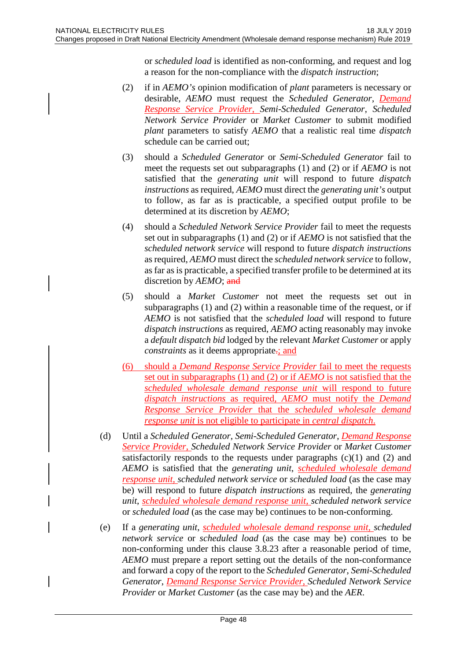or *scheduled load* is identified as non-conforming, and request and log a reason for the non-compliance with the *dispatch instruction*;

- (2) if in *AEMO's* opinion modification of *plant* parameters is necessary or desirable, *AEMO* must request the *Scheduled Generator*, *Demand Response Service Provider*, *Semi-Scheduled Generator*, *Scheduled Network Service Provider* or *Market Customer* to submit modified *plant* parameters to satisfy *AEMO* that a realistic real time *dispatch* schedule can be carried out;
- (3) should a *Scheduled Generator* or *Semi-Scheduled Generator* fail to meet the requests set out subparagraphs (1) and (2) or if *AEMO* is not satisfied that the *generating unit* will respond to future *dispatch instructions* as required, *AEMO* must direct the *generating unit's* output to follow, as far as is practicable, a specified output profile to be determined at its discretion by *AEMO*;
- (4) should a *Scheduled Network Service Provider* fail to meet the requests set out in subparagraphs (1) and (2) or if *AEMO* is not satisfied that the *scheduled network service* will respond to future *dispatch instructions* as required, *AEMO* must direct the *scheduled network service* to follow, as far as is practicable, a specified transfer profile to be determined at its discretion by *AEMO*; and
- (5) should a *Market Customer* not meet the requests set out in subparagraphs (1) and (2) within a reasonable time of the request, or if *AEMO* is not satisfied that the *scheduled load* will respond to future *dispatch instructions* as required, *AEMO* acting reasonably may invoke a *default dispatch bid* lodged by the relevant *Market Customer* or apply *constraints* as it deems appropriate<sub>-</sub>; and
- (6) should a *Demand Response Service Provider* fail to meet the requests set out in subparagraphs (1) and (2) or if *AEMO* is not satisfied that the *scheduled wholesale demand response unit* will respond to future *dispatch instructions* as required, *AEMO* must notify the *Demand Response Service Provider* that the *scheduled wholesale demand response unit* is not eligible to participate in *central dispatch*.
- (d) Until a *Scheduled Generator*, *Semi-Scheduled Generator*, *Demand Response Service Provider*, *Scheduled Network Service Provider* or *Market Customer* satisfactorily responds to the requests under paragraphs  $(c)(1)$  and  $(2)$  and *AEMO* is satisfied that the *generating unit*, *scheduled wholesale demand response unit, scheduled network service* or *scheduled load* (as the case may be) will respond to future *dispatch instructions* as required, the *generating unit*, *scheduled wholesale demand response unit, scheduled network service* or *scheduled load* (as the case may be) continues to be non-conforming.
- (e) If a *generating unit*, *scheduled wholesale demand response unit, scheduled network service* or *scheduled load* (as the case may be) continues to be non-conforming under this clause 3.8.23 after a reasonable period of time, *AEMO* must prepare a report setting out the details of the non-conformance and forward a copy of the report to the *Scheduled Generator*, *Semi-Scheduled Generator*, *Demand Response Service Provider*, *Scheduled Network Service Provider* or *Market Customer* (as the case may be) and the *AER*.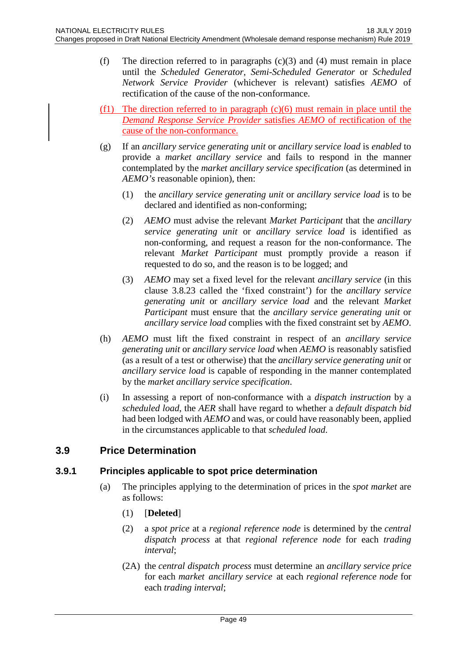- (f) The direction referred to in paragraphs  $(c)(3)$  and  $(4)$  must remain in place until the *Scheduled Generator*, *Semi-Scheduled Generator* or *Scheduled Network Service Provider* (whichever is relevant) satisfies *AEMO* of rectification of the cause of the non-conformance.
- (f1) The direction referred to in paragraph  $(c)(6)$  must remain in place until the *Demand Response Service Provider* satisfies *AEMO* of rectification of the cause of the non-conformance.
- (g) If an *ancillary service generating unit* or *ancillary service load* is *enabled* to provide a *market ancillary service* and fails to respond in the manner contemplated by the *market ancillary service specification* (as determined in *AEMO's* reasonable opinion), then:
	- (1) the *ancillary service generating unit* or *ancillary service load* is to be declared and identified as non-conforming;
	- (2) *AEMO* must advise the relevant *Market Participant* that the *ancillary service generating unit* or *ancillary service load* is identified as non-conforming, and request a reason for the non-conformance. The relevant *Market Participant* must promptly provide a reason if requested to do so, and the reason is to be logged; and
	- (3) *AEMO* may set a fixed level for the relevant *ancillary service* (in this clause 3.8.23 called the 'fixed constraint') for the *ancillary service generating unit* or *ancillary service load* and the relevant *Market Participant* must ensure that the *ancillary service generating unit* or *ancillary service load* complies with the fixed constraint set by *AEMO*.
- (h) *AEMO* must lift the fixed constraint in respect of an *ancillary service generating unit* or *ancillary service load* when *AEMO* is reasonably satisfied (as a result of a test or otherwise) that the *ancillary service generating unit* or *ancillary service load* is capable of responding in the manner contemplated by the *market ancillary service specification*.
- (i) In assessing a report of non-conformance with a *dispatch instruction* by a *scheduled load*, the *AER* shall have regard to whether a *default dispatch bid* had been lodged with *AEMO* and was, or could have reasonably been, applied in the circumstances applicable to that *scheduled load*.

# **3.9 Price Determination**

## **3.9.1 Principles applicable to spot price determination**

- (a) The principles applying to the determination of prices in the *spot market* are as follows:
	- (1) [**Deleted**]
	- (2) a *spot price* at a *regional reference node* is determined by the *central dispatch process* at that *regional reference node* for each *trading interval*;
	- (2A) the *central dispatch process* must determine an *ancillary service price*  for each *market ancillary service* at each *regional reference node* for each *trading interval*;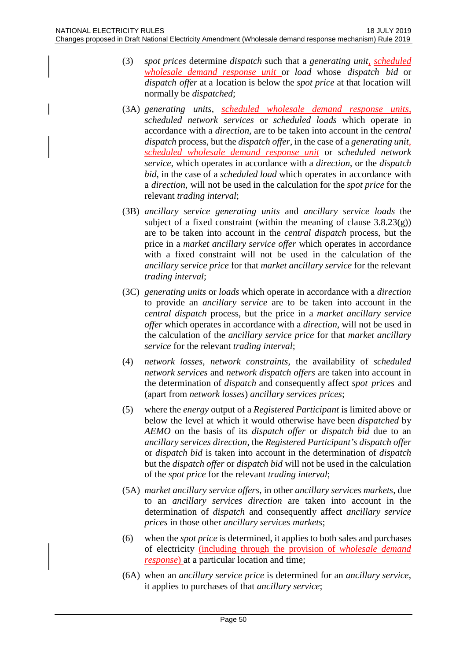- (3) *spot prices* determine *dispatch* such that a *generating unit, scheduled wholesale demand response unit* or *load* whose *dispatch bid* or *dispatch offer* at a location is below the *spot price* at that location will normally be *dispatched*;
- (3A) *generating units*, *scheduled wholesale demand response units*, *scheduled network services* or *scheduled loads* which operate in accordance with a *direction*, are to be taken into account in the *central dispatch* process, but the *dispatch offer*, in the case of a *generating unit, scheduled wholesale demand response unit* or *scheduled network service*, which operates in accordance with a *direction*, or the *dispatch bid*, in the case of a *scheduled load* which operates in accordance with a *direction*, will not be used in the calculation for the *spot price* for the relevant *trading interval*;
- (3B) *ancillary service generating units* and *ancillary service loads* the subject of a fixed constraint (within the meaning of clause  $3.8.23(g)$ ) are to be taken into account in the *central dispatch* process, but the price in a *market ancillary service offer* which operates in accordance with a fixed constraint will not be used in the calculation of the *ancillary service price* for that *market ancillary service* for the relevant *trading interval*;
- (3C) *generating units* or *loads* which operate in accordance with a *direction* to provide an *ancillary service* are to be taken into account in the *central dispatch* process, but the price in a *market ancillary service offer* which operates in accordance with a *direction*, will not be used in the calculation of the *ancillary service price* for that *market ancillary service* for the relevant *trading interval*;
- (4) *network losses*, *network constraints*, the availability of *scheduled network services* and *network dispatch offers* are taken into account in the determination of *dispatch* and consequently affect *spot prices* and (apart from *network losses*) *ancillary services prices*;
- (5) where the *energy* output of a *Registered Participant* is limited above or below the level at which it would otherwise have been *dispatched* by *AEMO* on the basis of its *dispatch offer* or *dispatch bid* due to an *ancillary services direction*, the *Registered Participant's dispatch offer* or *dispatch bid* is taken into account in the determination of *dispatch* but the *dispatch offer* or *dispatch bid* will not be used in the calculation of the *spot price* for the relevant *trading interval*;
- (5A) *market ancillary service offers*, in other *ancillary services markets*, due to an *ancillary services direction* are taken into account in the determination of *dispatch* and consequently affect *ancillary service prices* in those other *ancillary services markets*;
- (6) when the *spot price* is determined, it applies to both sales and purchases of electricity (including through the provision of *wholesale demand response*) at a particular location and time;
- (6A) when an *ancillary service price* is determined for an *ancillary service*, it applies to purchases of that *ancillary service*;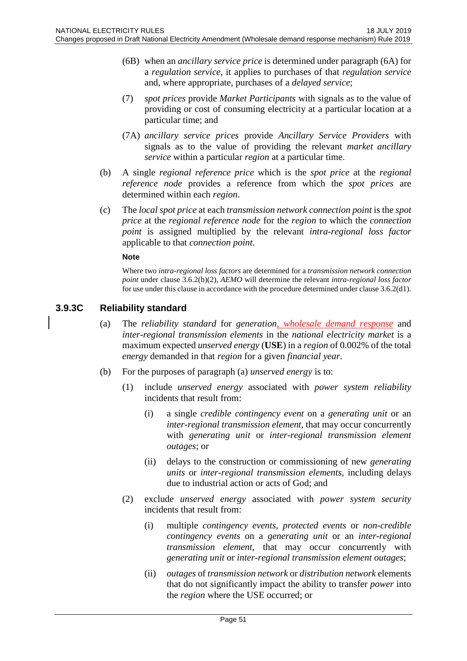- (6B) when an *ancillary service price* is determined under paragraph (6A) for a *regulation service*, it applies to purchases of that *regulation service* and, where appropriate, purchases of a *delayed service*;
- (7) *spot prices* provide *Market Participants* with signals as to the value of providing or cost of consuming electricity at a particular location at a particular time; and
- (7A) *ancillary service prices* provide *Ancillary Service Providers* with signals as to the value of providing the relevant *market ancillary service* within a particular *region* at a particular time.
- (b) A single *regional reference price* which is the *spot price* at the *regional reference node* provides a reference from which the *spot prices* are determined within each *region*.
- (c) The *local spot price* at each *transmission network connection point* is the *spot price* at the *regional reference node* for the *region* to which the *connection point* is assigned multiplied by the relevant *intra-regional loss factor* applicable to that *connection point*.

#### **Note**

Where two *intra-regional loss factors* are determined for a *transmission network connection point* under clause 3.6.2(b)(2), *AEMO* will determine the relevant *intra-regional loss factor* for use under this clause in accordance with the procedure determined under clause 3.6.2(d1).

### **3.9.3C Reliability standard**

- (a) The *reliability standard* for *generation, wholesale demand response* and *inter-regional transmission elements* in the *national electricity market* is a maximum expected *unserved energy* (**USE**) in a *region* of 0.002% of the total *energy* demanded in that *region* for a given *financial year*.
- (b) For the purposes of paragraph (a) *unserved energy* is to:
	- (1) include *unserved energy* associated with *power system reliability* incidents that result from:
		- (i) a single *credible contingency event* on a *generating unit* or an *inter-regional transmission element*, that may occur concurrently with *generating unit* or *inter-regional transmission element outages*; or
		- (ii) delays to the construction or commissioning of new *generating units* or *inter-regional transmission elements*, including delays due to industrial action or acts of God; and
	- (2) exclude *unserved energy* associated with *power system security* incidents that result from:
		- (i) multiple *contingency events*, *protected events* or *non-credible contingency events* on a *generating unit* or an *inter-regional transmission element*, that may occur concurrently with *generating unit* or *inter-regional transmission element outages*;
		- (ii) *outages* of *transmission network* or *distribution network* elements that do not significantly impact the ability to transfer *power* into the *region* where the USE occurred; or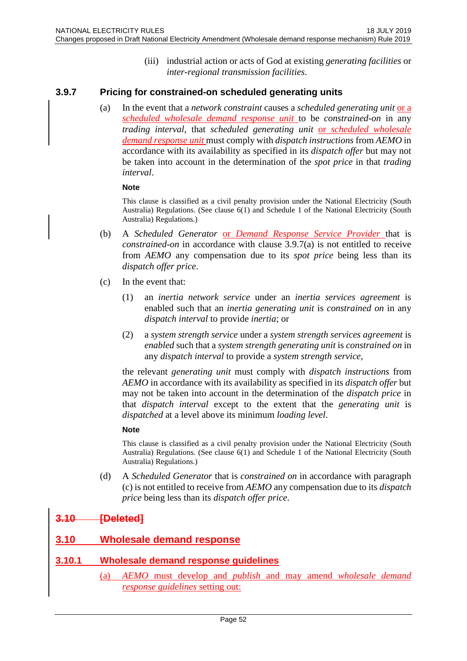(iii) industrial action or acts of God at existing *generating facilities* or *inter-regional transmission facilities*.

## **3.9.7 Pricing for constrained-on scheduled generating units**

(a) In the event that a *network constraint* causes a *scheduled generating unit* or a *scheduled wholesale demand response unit* to be *constrained-on* in any *trading interval*, that *scheduled generating unit* or *scheduled wholesale demand response unit* must comply with *dispatch instructions* from *AEMO* in accordance with its availability as specified in its *dispatch offer* but may not be taken into account in the determination of the *spot price* in that *trading interval*.

#### **Note**

This clause is classified as a civil penalty provision under the National Electricity (South Australia) Regulations. (See clause 6(1) and Schedule 1 of the National Electricity (South Australia) Regulations.)

- (b) A *Scheduled Generator* or *Demand Response Service Provider* that is *constrained-on* in accordance with clause 3.9.7(a) is not entitled to receive from *AEMO* any compensation due to its *spot price* being less than its *dispatch offer price*.
- (c) In the event that:
	- (1) an *inertia network service* under an *inertia services agreement* is enabled such that an *inertia generating unit* is *constrained on* in any *dispatch interval* to provide *inertia*; or
	- (2) a *system strength service* under a *system strength services agreement* is *enabled* such that a *system strength generating unit* is *constrained on* in any *dispatch interval* to provide a *system strength service*,

the relevant *generating unit* must comply with *dispatch instructions* from *AEMO* in accordance with its availability as specified in its *dispatch offer* but may not be taken into account in the determination of the *dispatch price* in that *dispatch interval* except to the extent that the *generating unit* is *dispatched* at a level above its minimum *loading level*.

#### **Note**

This clause is classified as a civil penalty provision under the National Electricity (South Australia) Regulations. (See clause 6(1) and Schedule 1 of the National Electricity (South Australia) Regulations.)

(d) A *Scheduled Generator* that is *constrained on* in accordance with paragraph (c) is not entitled to receive from *AEMO* any compensation due to its *dispatch price* being less than its *dispatch offer price*.

# **3.10 [Deleted]**

# **3.10 Wholesale demand response**

## **3.10.1 Wholesale demand response guidelines**

(a) *AEMO* must develop and *publish* and may amend *wholesale demand response guidelines* setting out: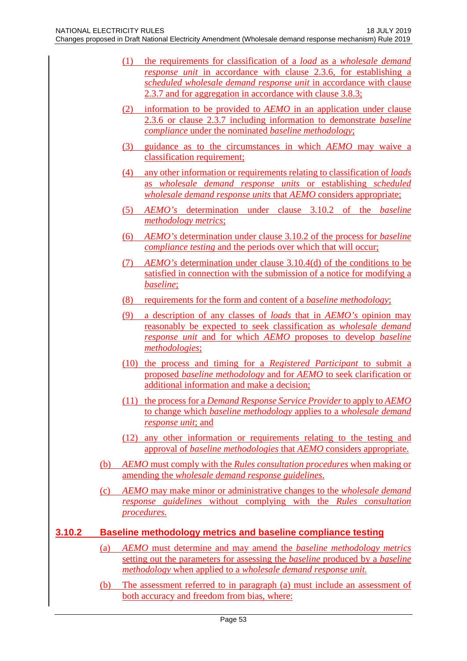- (1) the requirements for classification of a *load* as a *wholesale demand response unit* in accordance with clause 2.3.6, for establishing a *scheduled wholesale demand response unit* in accordance with clause 2.3.7 and for aggregation in accordance with clause 3.8.3;
- (2) information to be provided to *AEMO* in an application under clause 2.3.6 or clause 2.3.7 including information to demonstrate *baseline compliance* under the nominated *baseline methodology*;
- (3) guidance as to the circumstances in which *AEMO* may waive a classification requirement;
- (4) any other information or requirements relating to classification of *loads* as *wholesale demand response units* or establishing *scheduled wholesale demand response units* that *AEMO* considers appropriate;
- (5) *AEMO's* determination under clause 3.10.2 of the *baseline methodology metrics*;
- (6) *AEMO's* determination under clause 3.10.2 of the process for *baseline compliance testing* and the periods over which that will occur;
- (7) *AEMO's* determination under clause 3.10.4(d) of the conditions to be satisfied in connection with the submission of a notice for modifying a *baseline*;
- (8) requirements for the form and content of a *baseline methodology*;
- (9) a description of any classes of *loads* that in *AEMO's* opinion may reasonably be expected to seek classification as *wholesale demand response unit* and for which *AEMO* proposes to develop *baseline methodologies*;
- (10) the process and timing for a *Registered Participant* to submit a proposed *baseline methodology* and for *AEMO* to seek clarification or additional information and make a decision;
- (11) the process for a *Demand Response Service Provider* to apply to *AEMO* to change which *baseline methodology* applies to a *wholesale demand response unit*; and
- (12) any other information or requirements relating to the testing and approval of *baseline methodologies* that *AEMO* considers appropriate.
- (b) *AEMO* must comply with the *Rules consultation procedures* when making or amending the *wholesale demand response guidelines*.
- (c) *AEMO* may make minor or administrative changes to the *wholesale demand response guidelines* without complying with the *Rules consultation procedures.*

## **3.10.2 Baseline methodology metrics and baseline compliance testing**

- (a) *AEMO* must determine and may amend the *baseline methodology metrics*  setting out the parameters for assessing the *baseline* produced by a *baseline methodology* when applied to a *wholesale demand response unit.*
- (b) The assessment referred to in paragraph (a) must include an assessment of both accuracy and freedom from bias, where: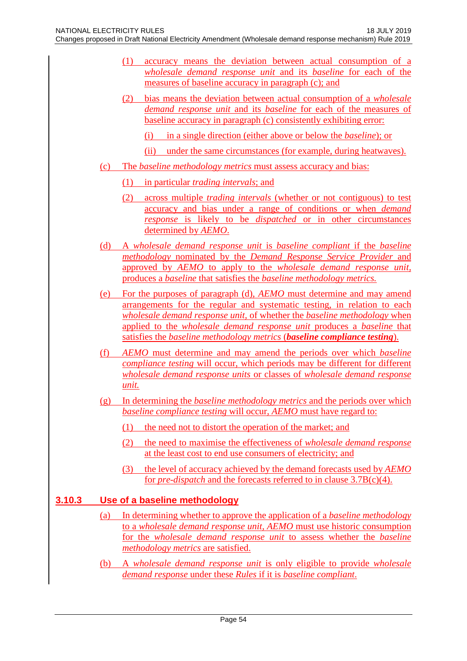- (1) accuracy means the deviation between actual consumption of a *wholesale demand response unit* and its *baseline* for each of the measures of baseline accuracy in paragraph (c); and
- (2) bias means the deviation between actual consumption of a *wholesale demand response unit* and its *baseline* for each of the measures of baseline accuracy in paragraph (c) consistently exhibiting error:
	- (i) in a single direction (either above or below the *baseline*); or
	- (ii) under the same circumstances (for example, during heatwaves).
- (c) The *baseline methodology metrics* must assess accuracy and bias:
	- (1) in particular *trading intervals*; and
	- (2) across multiple *trading intervals* (whether or not contiguous) to test accuracy and bias under a range of conditions or when *demand response* is likely to be *dispatched* or in other circumstances determined by *AEMO*.
- (d) A *wholesale demand response unit* is *baseline compliant* if the *baseline methodology* nominated by the *Demand Response Service Provider* and approved by *AEMO* to apply to the *wholesale demand response unit,*  produces a *baseline* that satisfies the *baseline methodology metrics.*
- (e) For the purposes of paragraph (d), *AEMO* must determine and may amend arrangements for the regular and systematic testing, in relation to each *wholesale demand response unit,* of whether the *baseline methodology* when applied to the *wholesale demand response unit* produces a *baseline* that satisfies the *baseline methodology metrics* (*baseline compliance testing*).
- (f) *AEMO* must determine and may amend the periods over which *baseline compliance testing* will occur, which periods may be different for different *wholesale demand response units* or classes of *wholesale demand response unit.*
- (g) In determining the *baseline methodology metrics* and the periods over which *baseline compliance testing* will occur, *AEMO* must have regard to:
	- (1) the need not to distort the operation of the market; and
	- (2) the need to maximise the effectiveness of *wholesale demand response* at the least cost to end use consumers of electricity; and
	- (3) the level of accuracy achieved by the demand forecasts used by *AEMO* for *pre-dispatch* and the forecasts referred to in clause 3.7B(c)(4).

## **3.10.3 Use of a baseline methodology**

- (a) In determining whether to approve the application of a *baseline methodology* to a *wholesale demand response unit, AEMO* must use historic consumption for the *wholesale demand response unit* to assess whether the *baseline methodology metrics* are satisfied.
- (b) A *wholesale demand response unit* is only eligible to provide *wholesale demand response* under these *Rules* if it is *baseline compliant*.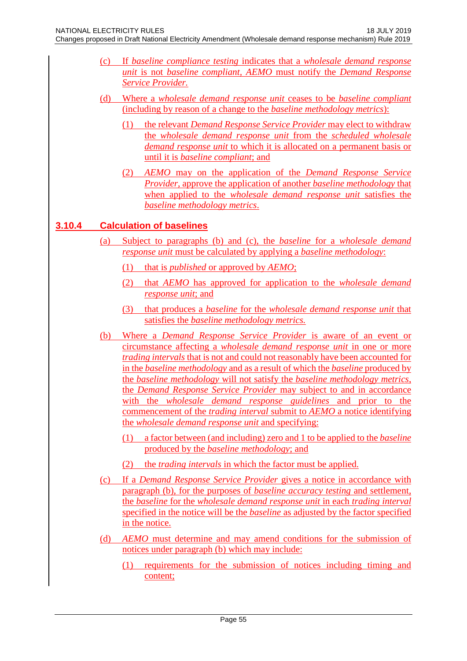- (c) If *baseline compliance testing* indicates that a *wholesale demand response unit* is not *baseline compliant, AEMO* must notify the *Demand Response Service Provider.*
- (d) Where a *wholesale demand response unit* ceases to be *baseline compliant*  (including by reason of a change to the *baseline methodology metrics*):
	- (1) the relevant *Demand Response Service Provider* may elect to withdraw the *wholesale demand response unit* from the *scheduled wholesale demand response unit* to which it is allocated on a permanent basis or until it is *baseline compliant*; and
	- (2) *AEMO* may on the application of the *Demand Response Service Provider*, approve the application of another *baseline methodology* that when applied to the *wholesale demand response unit* satisfies the *baseline methodology metrics*.

# **3.10.4 Calculation of baselines**

- (a) Subject to paragraphs (b) and (c), the *baseline* for a *wholesale demand response unit* must be calculated by applying a *baseline methodology*:
	- (1) that is *published* or approved by *AEMO*;
	- (2) that *AEMO* has approved for application to the *wholesale demand response unit*; and
	- (3) that produces a *baseline* for the *wholesale demand response unit* that satisfies the *baseline methodology metrics.*
- (b) Where a *Demand Response Service Provider* is aware of an event or circumstance affecting a *wholesale demand response unit* in one or more *trading intervals* that is not and could not reasonably have been accounted for in the *baseline methodology* and as a result of which the *baseline* produced by the *baseline methodology* will not satisfy the *baseline methodology metrics*, the *Demand Response Service Provider* may subject to and in accordance with the *wholesale demand response guidelines* and prior to the commencement of the *trading interval* submit to *AEMO* a notice identifying the *wholesale demand response unit* and specifying:
	- (1) a factor between (and including) zero and 1 to be applied to the *baseline*  produced by the *baseline methodology*; and
	- (2) the *trading intervals* in which the factor must be applied.
- (c) If a *Demand Response Service Provider* gives a notice in accordance with paragraph (b), for the purposes of *baseline accuracy testing* and settlement, the *baseline* for the *wholesale demand response unit* in each *trading interval*  specified in the notice will be the *baseline* as adjusted by the factor specified in the notice.
- (d) *AEMO* must determine and may amend conditions for the submission of notices under paragraph (b) which may include:
	- (1) requirements for the submission of notices including timing and content;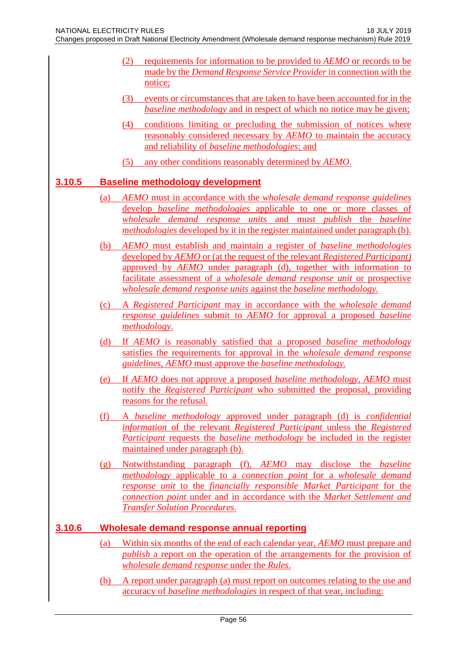- (2) requirements for information to be provided to *AEMO* or records to be made by the *Demand Response Service Provider* in connection with the notice;
- (3) events or circumstances that are taken to have been accounted for in the *baseline methodology* and in respect of which no notice may be given;
- (4) conditions limiting or precluding the submission of notices where reasonably considered necessary by *AEMO* to maintain the accuracy and reliability of *baseline methodologies*; and
- (5) any other conditions reasonably determined by *AEMO*.

## **3.10.5 Baseline methodology development**

- (a) *AEMO* must in accordance with the *wholesale demand response guidelines*  develop *baseline methodologies* applicable to one or more classes of *wholesale demand response units* and must *publish* the *baseline methodologies* developed by it in the register maintained under paragraph (b).
- (b) *AEMO* must establish and maintain a register of *baseline methodologies* developed by *AEMO* or (at the request of the relevant *Registered Participant)*  approved by *AEMO* under paragraph (d), together with information to facilitate assessment of a *wholesale demand response unit* or prospective *wholesale demand response units* against the *baseline methodology.*
- (c) A *Registered Participant* may in accordance with the *wholesale demand response guidelines* submit to *AEMO* for approval a proposed *baseline methodology*.
- (d) If *AEMO* is reasonably satisfied that a proposed *baseline methodology*  satisfies the requirements for approval in the *wholesale demand response guidelines, AEMO* must approve the *baseline methodology.*
- (e) If *AEMO* does not approve a proposed *baseline methodology*, *AEMO* must notify the *Registered Participant* who submitted the proposal, providing reasons for the refusal*.*
- (f) A *baseline methodology* approved under paragraph (d) is *confidential information* of the relevant *Registered Participant* unless the *Registered Participant* requests the *baseline methodology* be included in the register maintained under paragraph (b).
- (g) Notwithstanding paragraph (f), *AEMO* may disclose the *baseline methodology* applicable to a *connection point* for a *wholesale demand response unit* to the *financially responsible Market Participant* for the *connection point* under and in accordance with the *Market Settlement and Transfer Solution Procedures*.

## **3.10.6 Wholesale demand response annual reporting**

- (a) Within six months of the end of each calendar year, *AEMO* must prepare and *publish* a report on the operation of the arrangements for the provision of *wholesale demand response* under the *Rules*.
- (b) A report under paragraph (a) must report on outcomes relating to the use and accuracy of *baseline methodologies* in respect of that year, including: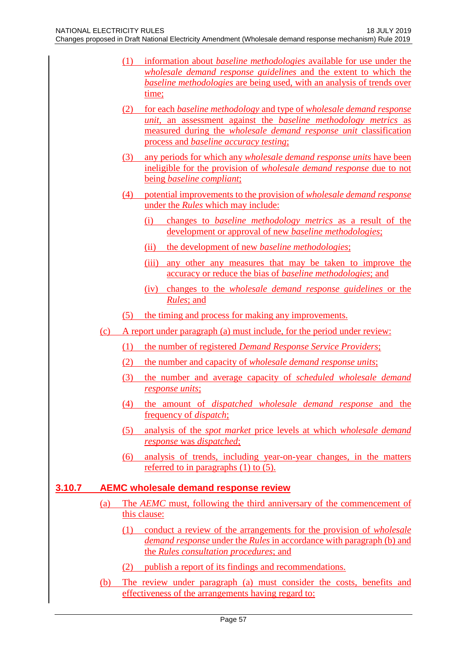- (1) information about *baseline methodologies* available for use under the *wholesale demand response guidelines* and the extent to which the *baseline methodologies* are being used, with an analysis of trends over time;
	- (2) for each *baseline methodology* and type of *wholesale demand response unit*, an assessment against the *baseline methodology metrics* as measured during the *wholesale demand response unit* classification process and *baseline accuracy testing*;
	- (3) any periods for which any *wholesale demand response units* have been ineligible for the provision of *wholesale demand response* due to not being *baseline compliant*;
- (4) potential improvements to the provision of *wholesale demand response* under the *Rules* which may include:
	- (i) changes to *baseline methodology metrics* as a result of the development or approval of new *baseline methodologies*;
	- (ii) the development of new *baseline methodologies*;
	- (iii) any other any measures that may be taken to improve the accuracy or reduce the bias of *baseline methodologies*; and
	- (iv) changes to the *wholesale demand response guidelines* or the *Rules*; and
- (5) the timing and process for making any improvements.
- (c) A report under paragraph (a) must include, for the period under review:
	- (1) the number of registered *Demand Response Service Providers*;
	- (2) the number and capacity of *wholesale demand response units*;
	- (3) the number and average capacity of *scheduled wholesale demand response units*;
	- (4) the amount of *dispatched wholesale demand response* and the frequency of *dispatch*;
	- (5) analysis of the *spot market* price levels at which *wholesale demand response* was *dispatched*;
	- (6) analysis of trends, including year-on-year changes, in the matters referred to in paragraphs  $(1)$  to  $(5)$ .

#### **3.10.7 AEMC wholesale demand response review**

- (a) The *AEMC* must, following the third anniversary of the commencement of this clause:
	- (1) conduct a review of the arrangements for the provision of *wholesale demand response* under the *Rules* in accordance with paragraph (b) and the *Rules consultation procedures*; and
	- (2) publish a report of its findings and recommendations.
- (b) The review under paragraph (a) must consider the costs, benefits and effectiveness of the arrangements having regard to: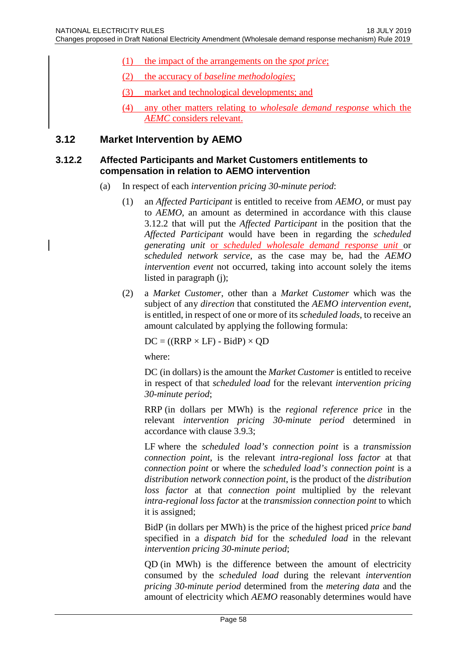- (1) the impact of the arrangements on the *spot price*;
- (2) the accuracy of *baseline methodologies*;
- (3) market and technological developments; and

#### **3.12 Market Intervention by AEMO**

#### **3.12.2 Affected Participants and Market Customers entitlements to compensation in relation to AEMO intervention**

- (a) In respect of each *intervention pricing 30-minute period*:
	- (1) an *Affected Participant* is entitled to receive from *AEMO*, or must pay to *AEMO*, an amount as determined in accordance with this clause 3.12.2 that will put the *Affected Participant* in the position that the *Affected Participant* would have been in regarding the *scheduled generating unit* or *scheduled wholesale demand response unit* or *scheduled network service*, as the case may be, had the *AEMO intervention event* not occurred, taking into account solely the items listed in paragraph (j);
	- (2) a *Market Customer*, other than a *Market Customer* which was the subject of any *direction* that constituted the *AEMO intervention event*, is entitled, in respect of one or more of its *scheduled loads*, to receive an amount calculated by applying the following formula:

 $DC = ((RRP \times LF) - BidP) \times QD$ 

where:

DC (in dollars) is the amount the *Market Customer* is entitled to receive in respect of that *scheduled load* for the relevant *intervention pricing 30-minute period*;

RRP (in dollars per MWh) is the *regional reference price* in the relevant *intervention pricing 30-minute period* determined in accordance with clause 3.9.3;

LF where the *scheduled load's connection point* is a *transmission connection point*, is the relevant *intra-regional loss factor* at that *connection point* or where the *scheduled load's connection point* is a *distribution network connection point*, is the product of the *distribution loss factor* at that *connection point* multiplied by the relevant *intra-regional loss factor* at the *transmission connection point* to which it is assigned;

BidP (in dollars per MWh) is the price of the highest priced *price band* specified in a *dispatch bid* for the *scheduled load* in the relevant *intervention pricing 30-minute period*;

QD (in MWh) is the difference between the amount of electricity consumed by the *scheduled load* during the relevant *intervention pricing 30-minute period* determined from the *metering data* and the amount of electricity which *AEMO* reasonably determines would have

<sup>(4)</sup> any other matters relating to *wholesale demand response* which the *AEMC* considers relevant.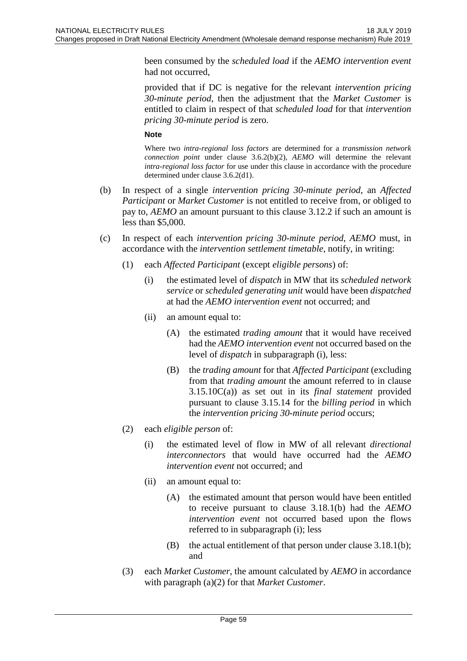been consumed by the *scheduled load* if the *AEMO intervention event* had not occurred,

provided that if DC is negative for the relevant *intervention pricing 30-minute period*, then the adjustment that the *Market Customer* is entitled to claim in respect of that *scheduled load* for that *intervention pricing 30-minute period* is zero.

#### **Note**

Where two *intra-regional loss factors* are determined for a *transmission network connection point* under clause 3.6.2(b)(2), *AEMO* will determine the relevant *intra-regional loss factor* for use under this clause in accordance with the procedure determined under clause 3.6.2(d1).

- (b) In respect of a single *intervention pricing 30-minute period*, an *Affected Participant* or *Market Customer* is not entitled to receive from, or obliged to pay to, *AEMO* an amount pursuant to this clause 3.12.2 if such an amount is less than \$5,000.
- (c) In respect of each *intervention pricing 30-minute period*, *AEMO* must, in accordance with the *intervention settlement timetable*, notify, in writing:
	- (1) each *Affected Participant* (except *eligible persons*) of:
		- (i) the estimated level of *dispatch* in MW that its *scheduled network service* or *scheduled generating unit* would have been *dispatched* at had the *AEMO intervention event* not occurred; and
		- (ii) an amount equal to:
			- (A) the estimated *trading amount* that it would have received had the *AEMO intervention event* not occurred based on the level of *dispatch* in subparagraph (i), less:
			- (B) the *trading amount* for that *Affected Participant* (excluding from that *trading amount* the amount referred to in clause 3.15.10C(a)) as set out in its *final statement* provided pursuant to clause 3.15.14 for the *billing period* in which the *intervention pricing 30-minute period* occurs;
	- (2) each *eligible person* of:
		- (i) the estimated level of flow in MW of all relevant *directional interconnectors* that would have occurred had the *AEMO intervention event* not occurred; and
		- (ii) an amount equal to:
			- (A) the estimated amount that person would have been entitled to receive pursuant to clause 3.18.1(b) had the *AEMO intervention event* not occurred based upon the flows referred to in subparagraph (i); less
			- (B) the actual entitlement of that person under clause 3.18.1(b); and
	- (3) each *Market Customer*, the amount calculated by *AEMO* in accordance with paragraph (a)(2) for that *Market Customer*.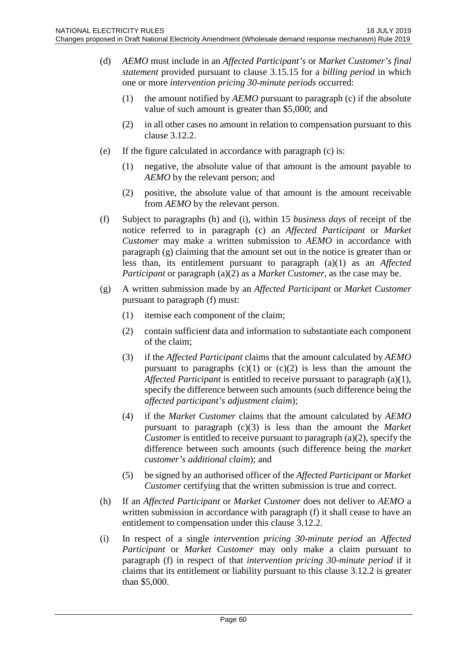- (d) *AEMO* must include in an *Affected Participant's* or *Market Customer's final statement* provided pursuant to clause 3.15.15 for a *billing period* in which one or more *intervention pricing 30-minute periods* occurred:
	- (1) the amount notified by *AEMO* pursuant to paragraph (c) if the absolute value of such amount is greater than \$5,000; and
	- (2) in all other cases no amount in relation to compensation pursuant to this clause 3.12.2.
- (e) If the figure calculated in accordance with paragraph (c) is:
	- (1) negative, the absolute value of that amount is the amount payable to *AEMO* by the relevant person; and
	- (2) positive, the absolute value of that amount is the amount receivable from *AEMO* by the relevant person.
- (f) Subject to paragraphs (h) and (i), within 15 *business days* of receipt of the notice referred to in paragraph (c) an *Affected Participant* or *Market Customer* may make a written submission to *AEMO* in accordance with paragraph (g) claiming that the amount set out in the notice is greater than or less than, its entitlement pursuant to paragraph (a)(1) as an *Affected Participant* or paragraph (a)(2) as a *Market Customer*, as the case may be.
- (g) A written submission made by an *Affected Participant* or *Market Customer* pursuant to paragraph (f) must:
	- (1) itemise each component of the claim;
	- (2) contain sufficient data and information to substantiate each component of the claim;
	- (3) if the *Affected Participant* claims that the amount calculated by *AEMO* pursuant to paragraphs  $(c)(1)$  or  $(c)(2)$  is less than the amount the *Affected Participant* is entitled to receive pursuant to paragraph (a)(1), specify the difference between such amounts (such difference being the *affected participant's adjustment claim*);
	- (4) if the *Market Customer* claims that the amount calculated by *AEMO* pursuant to paragraph (c)(3) is less than the amount the *Market Customer* is entitled to receive pursuant to paragraph (a)(2), specify the difference between such amounts (such difference being the *market customer's additional claim*); and
	- (5) be signed by an authorised officer of the *Affected Participant* or *Market Customer* certifying that the written submission is true and correct.
- (h) If an *Affected Participant* or *Market Customer* does not deliver to *AEMO* a written submission in accordance with paragraph (f) it shall cease to have an entitlement to compensation under this clause 3.12.2.
- (i) In respect of a single *intervention pricing 30-minute period* an *Affected Participant* or *Market Customer* may only make a claim pursuant to paragraph (f) in respect of that *intervention pricing 30-minute period* if it claims that its entitlement or liability pursuant to this clause 3.12.2 is greater than \$5,000.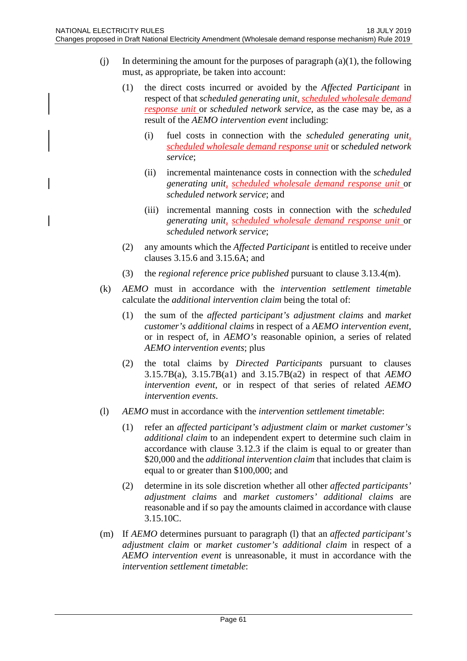- (i) In determining the amount for the purposes of paragraph  $(a)(1)$ , the following must, as appropriate, be taken into account:
	- (1) the direct costs incurred or avoided by the *Affected Participant* in respect of that *scheduled generating unit*, *scheduled wholesale demand response unit* or *scheduled network service*, as the case may be, as a result of the *AEMO intervention event* including:
		- (i) fuel costs in connection with the *scheduled generating unit*, *scheduled wholesale demand response unit* or *scheduled network service*;
		- (ii) incremental maintenance costs in connection with the *scheduled generating unit*, *scheduled wholesale demand response unit* or *scheduled network service*; and
		- (iii) incremental manning costs in connection with the *scheduled generating unit*, *scheduled wholesale demand response unit* or *scheduled network service*;
	- (2) any amounts which the *Affected Participant* is entitled to receive under clauses 3.15.6 and 3.15.6A; and
	- (3) the *regional reference price published* pursuant to clause 3.13.4(m).
- (k) *AEMO* must in accordance with the *intervention settlement timetable* calculate the *additional intervention claim* being the total of:
	- (1) the sum of the *affected participant's adjustment claims* and *market customer's additional claims* in respect of a *AEMO intervention event*, or in respect of, in *AEMO's* reasonable opinion, a series of related *AEMO intervention events*; plus
	- (2) the total claims by *Directed Participants* pursuant to clauses 3.15.7B(a), 3.15.7B(a1) and 3.15.7B(a2) in respect of that *AEMO intervention event*, or in respect of that series of related *AEMO intervention events*.
- (l) *AEMO* must in accordance with the *intervention settlement timetable*:
	- (1) refer an *affected participant's adjustment claim* or *market customer's additional claim* to an independent expert to determine such claim in accordance with clause 3.12.3 if the claim is equal to or greater than \$20,000 and the *additional intervention claim* that includes that claim is equal to or greater than \$100,000; and
	- (2) determine in its sole discretion whether all other *affected participants' adjustment claims* and *market customers' additional claims* are reasonable and if so pay the amounts claimed in accordance with clause 3.15.10C.
- (m) If *AEMO* determines pursuant to paragraph (l) that an *affected participant's adjustment claim* or *market customer's additional claim* in respect of a *AEMO intervention event* is unreasonable, it must in accordance with the *intervention settlement timetable*: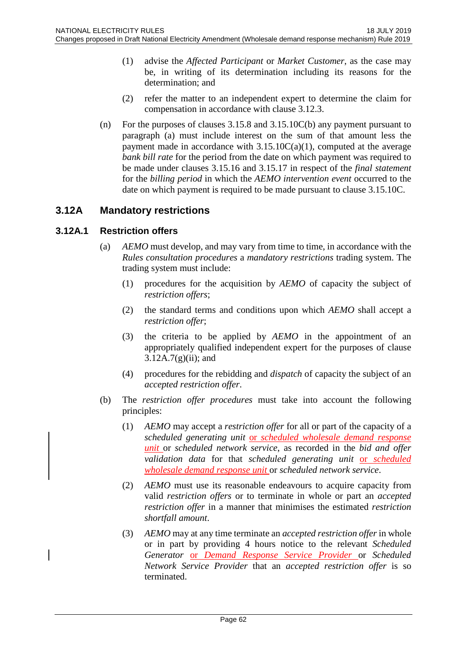- (1) advise the *Affected Participant* or *Market Customer*, as the case may be, in writing of its determination including its reasons for the determination; and
- (2) refer the matter to an independent expert to determine the claim for compensation in accordance with clause 3.12.3.
- (n) For the purposes of clauses 3.15.8 and 3.15.10C(b) any payment pursuant to paragraph (a) must include interest on the sum of that amount less the payment made in accordance with  $3.15.10C(a)(1)$ , computed at the average *bank bill rate* for the period from the date on which payment was required to be made under clauses 3.15.16 and 3.15.17 in respect of the *final statement* for the *billing period* in which the *AEMO intervention event* occurred to the date on which payment is required to be made pursuant to clause 3.15.10C.

# **3.12A Mandatory restrictions**

#### **3.12A.1 Restriction offers**

- (a) *AEMO* must develop, and may vary from time to time, in accordance with the *Rules consultation procedures* a *mandatory restrictions* trading system. The trading system must include:
	- (1) procedures for the acquisition by *AEMO* of capacity the subject of *restriction offers*;
	- (2) the standard terms and conditions upon which *AEMO* shall accept a *restriction offer*;
	- (3) the criteria to be applied by *AEMO* in the appointment of an appropriately qualified independent expert for the purposes of clause  $3.12A.7(g)(ii)$ ; and
	- (4) procedures for the rebidding and *dispatch* of capacity the subject of an *accepted restriction offer*.
- (b) The *restriction offer procedures* must take into account the following principles:
	- (1) *AEMO* may accept a *restriction offer* for all or part of the capacity of a *scheduled generating unit* or *scheduled wholesale demand response unit* or *scheduled network service*, as recorded in the *bid and offer validation data* for that *scheduled generating unit* or *scheduled wholesale demand response unit* or *scheduled network service*.
	- (2) *AEMO* must use its reasonable endeavours to acquire capacity from valid *restriction offers* or to terminate in whole or part an *accepted restriction offer* in a manner that minimises the estimated *restriction shortfall amount*.
	- (3) *AEMO* may at any time terminate an *accepted restriction offer* in whole or in part by providing 4 hours notice to the relevant *Scheduled Generator* or *Demand Response Service Provider* or *Scheduled Network Service Provider* that an *accepted restriction offer* is so terminated.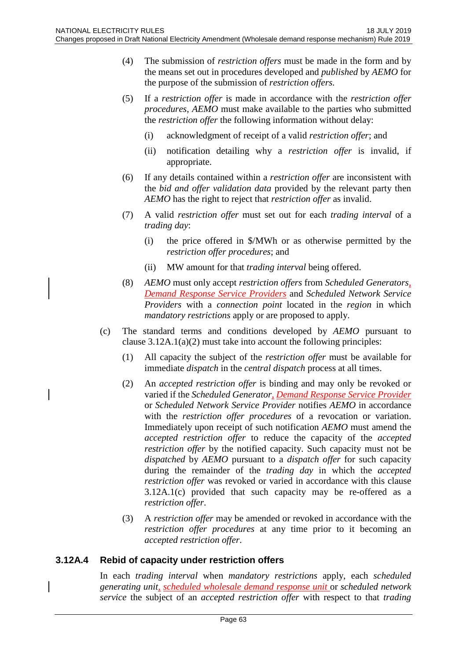- (4) The submission of *restriction offers* must be made in the form and by the means set out in procedures developed and *published* by *AEMO* for the purpose of the submission of *restriction offers*.
- (5) If a *restriction offer* is made in accordance with the *restriction offer procedures*, *AEMO* must make available to the parties who submitted the *restriction offer* the following information without delay:
	- (i) acknowledgment of receipt of a valid *restriction offer*; and
	- (ii) notification detailing why a *restriction offer* is invalid, if appropriate.
- (6) If any details contained within a *restriction offer* are inconsistent with the *bid and offer validation data* provided by the relevant party then *AEMO* has the right to reject that *restriction offer* as invalid.
- (7) A valid *restriction offer* must set out for each *trading interval* of a *trading day*:
	- (i) the price offered in \$/MWh or as otherwise permitted by the *restriction offer procedures*; and
	- (ii) MW amount for that *trading interval* being offered.
- (8) *AEMO* must only accept *restriction offers* from *Scheduled Generators*, *Demand Response Service Providers* and *Scheduled Network Service Providers* with a *connection point* located in the *region* in which *mandatory restrictions* apply or are proposed to apply.
- (c) The standard terms and conditions developed by *AEMO* pursuant to clause 3.12A.1(a)(2) must take into account the following principles:
	- (1) All capacity the subject of the *restriction offer* must be available for immediate *dispatch* in the *central dispatch* process at all times.
	- (2) An *accepted restriction offer* is binding and may only be revoked or varied if the *Scheduled Generator, Demand Response Service Provider* or *Scheduled Network Service Provider* notifies *AEMO* in accordance with the *restriction offer procedures* of a revocation or variation. Immediately upon receipt of such notification *AEMO* must amend the *accepted restriction offer* to reduce the capacity of the *accepted restriction offer* by the notified capacity. Such capacity must not be *dispatched* by *AEMO* pursuant to a *dispatch offer* for such capacity during the remainder of the *trading day* in which the *accepted restriction offer* was revoked or varied in accordance with this clause 3.12A.1(c) provided that such capacity may be re-offered as a *restriction offer*.
	- (3) A *restriction offer* may be amended or revoked in accordance with the *restriction offer procedures* at any time prior to it becoming an *accepted restriction offer*.

#### **3.12A.4 Rebid of capacity under restriction offers**

In each *trading interval* when *mandatory restrictions* apply, each *scheduled generating unit, scheduled wholesale demand response unit* or *scheduled network service* the subject of an *accepted restriction offer* with respect to that *trading*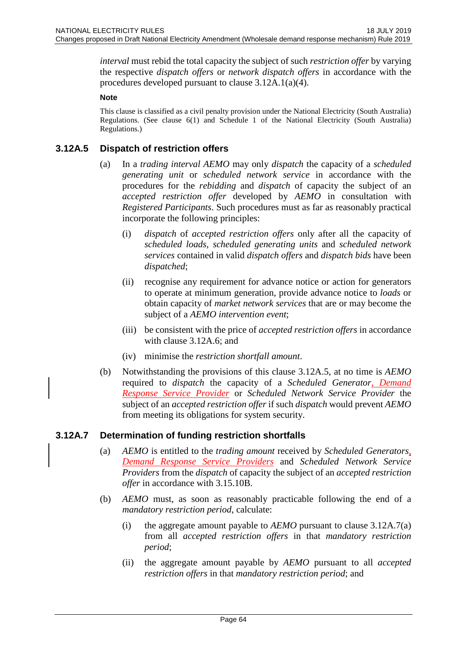*interval* must rebid the total capacity the subject of such *restriction offer* by varying the respective *dispatch offers* or *network dispatch offers* in accordance with the procedures developed pursuant to clause 3.12A.1(a)(4).

#### **Note**

This clause is classified as a civil penalty provision under the National Electricity (South Australia) Regulations. (See clause 6(1) and Schedule 1 of the National Electricity (South Australia) Regulations.)

### **3.12A.5 Dispatch of restriction offers**

- (a) In a *trading interval AEMO* may only *dispatch* the capacity of a *scheduled generating unit* or *scheduled network service* in accordance with the procedures for the *rebidding* and *dispatch* of capacity the subject of an *accepted restriction offer* developed by *AEMO* in consultation with *Registered Participants*. Such procedures must as far as reasonably practical incorporate the following principles:
	- (i) *dispatch* of *accepted restriction offers* only after all the capacity of *scheduled loads*, *scheduled generating units* and *scheduled network services* contained in valid *dispatch offers* and *dispatch bids* have been *dispatched*;
	- (ii) recognise any requirement for advance notice or action for generators to operate at minimum generation, provide advance notice to *loads* or obtain capacity of *market network services* that are or may become the subject of a *AEMO intervention event*;
	- (iii) be consistent with the price of *accepted restriction offers* in accordance with clause 3.12A.6; and
	- (iv) minimise the *restriction shortfall amount*.
- (b) Notwithstanding the provisions of this clause 3.12A.5, at no time is *AEMO* required to *dispatch* the capacity of a *Scheduled Generator*, *Demand Response Service Provider* or *Scheduled Network Service Provider* the subject of an *accepted restriction offer* if such *dispatch* would prevent *AEMO* from meeting its obligations for system security.

## **3.12A.7 Determination of funding restriction shortfalls**

- (a) *AEMO* is entitled to the *trading amount* received by *Scheduled Generators*, *Demand Response Service Providers* and *Scheduled Network Service Providers* from the *dispatch* of capacity the subject of an *accepted restriction offer* in accordance with 3.15.10B.
- (b) *AEMO* must, as soon as reasonably practicable following the end of a *mandatory restriction period*, calculate:
	- (i) the aggregate amount payable to *AEMO* pursuant to clause 3.12A.7(a) from all *accepted restriction offers* in that *mandatory restriction period*;
	- (ii) the aggregate amount payable by *AEMO* pursuant to all *accepted restriction offers* in that *mandatory restriction period*; and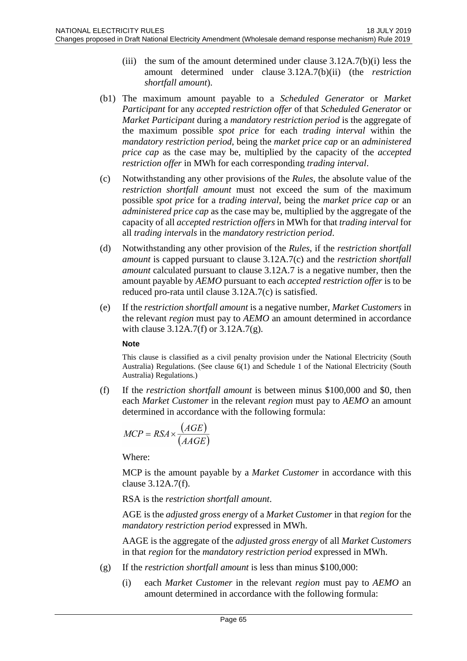- (iii) the sum of the amount determined under clause  $3.12A.7(b)(i)$  less the amount determined under clause 3.12A.7(b)(ii) (the *restriction shortfall amount*).
- (b1) The maximum amount payable to a *Scheduled Generator* or *Market Participant* for any *accepted restriction offer* of that *Scheduled Generator* or *Market Participant* during a *mandatory restriction period* is the aggregate of the maximum possible *spot price* for each *trading interval* within the *mandatory restriction period*, being the *market price cap* or an *administered price cap* as the case may be, multiplied by the capacity of the *accepted restriction offer* in MWh for each corresponding *trading interval*.
- (c) Notwithstanding any other provisions of the *Rules*, the absolute value of the *restriction shortfall amount* must not exceed the sum of the maximum possible *spot price* for a *trading interval*, being the *market price cap* or an *administered price cap* as the case may be, multiplied by the aggregate of the capacity of all *accepted restriction offers* in MWh for that *trading interval* for all *trading intervals* in the *mandatory restriction period*.
- (d) Notwithstanding any other provision of the *Rules*, if the *restriction shortfall amount* is capped pursuant to clause 3.12A.7(c) and the *restriction shortfall amount* calculated pursuant to clause 3.12A.7 is a negative number, then the amount payable by *AEMO* pursuant to each *accepted restriction offer* is to be reduced pro-rata until clause 3.12A.7(c) is satisfied.
- (e) If the *restriction shortfall amount* is a negative number, *Market Customers* in the relevant *region* must pay to *AEMO* an amount determined in accordance with clause 3.12A.7(f) or 3.12A.7(g).

#### **Note**

This clause is classified as a civil penalty provision under the National Electricity (South Australia) Regulations. (See clause 6(1) and Schedule 1 of the National Electricity (South Australia) Regulations.)

(f) If the *restriction shortfall amount* is between minus \$100,000 and \$0, then each *Market Customer* in the relevant *region* must pay to *AEMO* an amount determined in accordance with the following formula:

$$
MCP = RSA \times \frac{(AGE)}{(AAGE)}
$$

Where:

MCP is the amount payable by a *Market Customer* in accordance with this clause 3.12A.7(f).

RSA is the *restriction shortfall amount*.

AGE is the *adjusted gross energy* of a *Market Customer* in that *region* for the *mandatory restriction period* expressed in MWh.

AAGE is the aggregate of the *adjusted gross energy* of all *Market Customers* in that *region* for the *mandatory restriction period* expressed in MWh.

- (g) If the *restriction shortfall amount* is less than minus \$100,000:
	- (i) each *Market Customer* in the relevant *region* must pay to *AEMO* an amount determined in accordance with the following formula: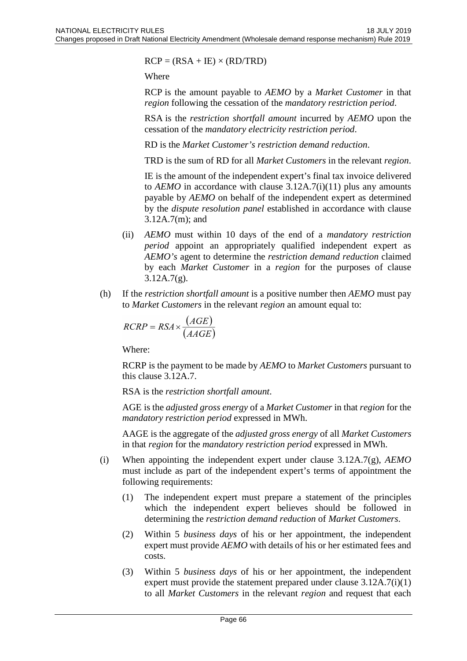$RCP = (RSA + IE) \times (RD/TRD)$ 

Where

RCP is the amount payable to *AEMO* by a *Market Customer* in that *region* following the cessation of the *mandatory restriction period*.

RSA is the *restriction shortfall amount* incurred by *AEMO* upon the cessation of the *mandatory electricity restriction period*.

RD is the *Market Customer's restriction demand reduction*.

TRD is the sum of RD for all *Market Customers* in the relevant *region*.

IE is the amount of the independent expert's final tax invoice delivered to  $AEMO$  in accordance with clause  $3.12A.7(i)(11)$  plus any amounts payable by *AEMO* on behalf of the independent expert as determined by the *dispute resolution panel* established in accordance with clause 3.12A.7(m); and

- (ii) *AEMO* must within 10 days of the end of a *mandatory restriction period* appoint an appropriately qualified independent expert as *AEMO's* agent to determine the *restriction demand reduction* claimed by each *Market Customer* in a *region* for the purposes of clause 3.12A.7(g).
- (h) If the *restriction shortfall amount* is a positive number then *AEMO* must pay to *Market Customers* in the relevant *region* an amount equal to:

$$
RCRP = RSA \times \frac{(AGE)}{(AAGE)}
$$

Where:

RCRP is the payment to be made by *AEMO* to *Market Customers* pursuant to this clause 3.12A.7.

RSA is the *restriction shortfall amount*.

AGE is the *adjusted gross energy* of a *Market Customer* in that *region* for the *mandatory restriction period* expressed in MWh.

AAGE is the aggregate of the *adjusted gross energy* of all *Market Customers* in that *region* for the *mandatory restriction period* expressed in MWh.

- (i) When appointing the independent expert under clause 3.12A.7(g), *AEMO* must include as part of the independent expert's terms of appointment the following requirements:
	- (1) The independent expert must prepare a statement of the principles which the independent expert believes should be followed in determining the *restriction demand reduction* of *Market Customers*.
	- (2) Within 5 *business days* of his or her appointment, the independent expert must provide *AEMO* with details of his or her estimated fees and costs.
	- (3) Within 5 *business days* of his or her appointment, the independent expert must provide the statement prepared under clause 3.12A.7(i)(1) to all *Market Customers* in the relevant *region* and request that each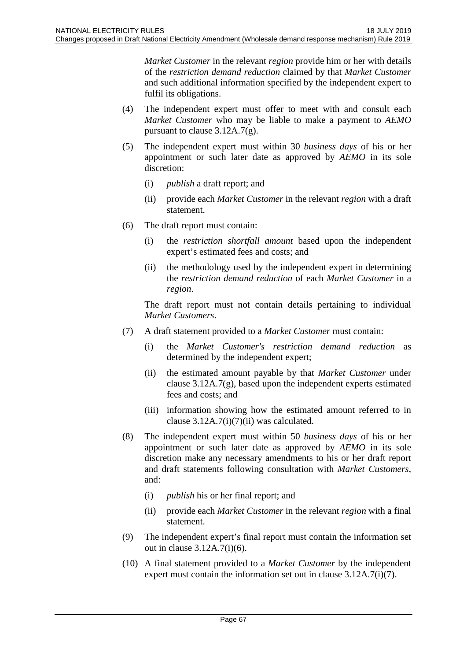*Market Customer* in the relevant *region* provide him or her with details of the *restriction demand reduction* claimed by that *Market Customer* and such additional information specified by the independent expert to fulfil its obligations.

- (4) The independent expert must offer to meet with and consult each *Market Customer* who may be liable to make a payment to *AEMO* pursuant to clause 3.12A.7(g).
- (5) The independent expert must within 30 *business days* of his or her appointment or such later date as approved by *AEMO* in its sole discretion:
	- (i) *publish* a draft report; and
	- (ii) provide each *Market Customer* in the relevant *region* with a draft statement.
- (6) The draft report must contain:
	- (i) the *restriction shortfall amount* based upon the independent expert's estimated fees and costs; and
	- (ii) the methodology used by the independent expert in determining the *restriction demand reduction* of each *Market Customer* in a *region*.

The draft report must not contain details pertaining to individual *Market Customers*.

- (7) A draft statement provided to a *Market Customer* must contain:
	- (i) the *Market Customer's restriction demand reduction* as determined by the independent expert;
	- (ii) the estimated amount payable by that *Market Customer* under clause 3.12A.7(g), based upon the independent experts estimated fees and costs; and
	- (iii) information showing how the estimated amount referred to in clause  $3.12A.7(i)(7)(ii)$  was calculated.
- (8) The independent expert must within 50 *business days* of his or her appointment or such later date as approved by *AEMO* in its sole discretion make any necessary amendments to his or her draft report and draft statements following consultation with *Market Customers*, and:
	- (i) *publish* his or her final report; and
	- (ii) provide each *Market Customer* in the relevant *region* with a final statement.
- (9) The independent expert's final report must contain the information set out in clause 3.12A.7(i)(6).
- (10) A final statement provided to a *Market Customer* by the independent expert must contain the information set out in clause 3.12A.7(i)(7).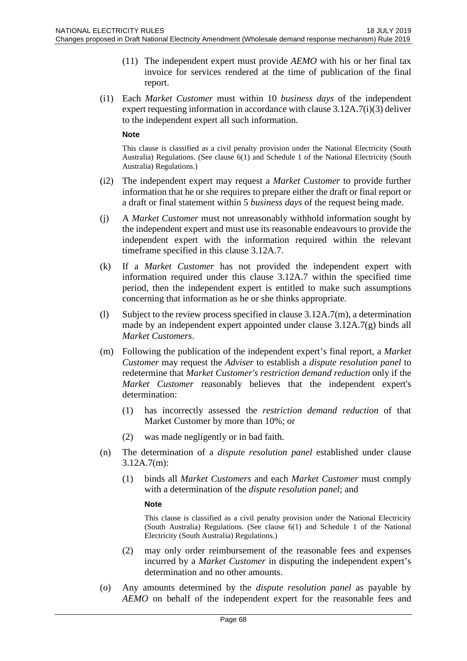- (11) The independent expert must provide *AEMO* with his or her final tax invoice for services rendered at the time of publication of the final report.
- (i1) Each *Market Customer* must within 10 *business days* of the independent expert requesting information in accordance with clause 3.12A.7(i)(3) deliver to the independent expert all such information.

#### **Note**

This clause is classified as a civil penalty provision under the National Electricity (South Australia) Regulations. (See clause 6(1) and Schedule 1 of the National Electricity (South Australia) Regulations.)

- (i2) The independent expert may request a *Market Customer* to provide further information that he or she requires to prepare either the draft or final report or a draft or final statement within 5 *business days* of the request being made.
- (j) A *Market Customer* must not unreasonably withhold information sought by the independent expert and must use its reasonable endeavours to provide the independent expert with the information required within the relevant timeframe specified in this clause 3.12A.7.
- (k) If a *Market Customer* has not provided the independent expert with information required under this clause 3.12A.7 within the specified time period, then the independent expert is entitled to make such assumptions concerning that information as he or she thinks appropriate.
- (l) Subject to the review process specified in clause 3.12A.7(m), a determination made by an independent expert appointed under clause 3.12A.7(g) binds all *Market Customers*.
- (m) Following the publication of the independent expert's final report, a *Market Customer* may request the *Adviser* to establish a *dispute resolution panel* to redetermine that *Market Customer's restriction demand reduction* only if the *Market Customer* reasonably believes that the independent expert's determination:
	- (1) has incorrectly assessed the *restriction demand reduction* of that Market Customer by more than 10%; or
	- (2) was made negligently or in bad faith.
- (n) The determination of a *dispute resolution panel* established under clause 3.12A.7(m):
	- (1) binds all *Market Customers* and each *Market Customer* must comply with a determination of the *dispute resolution panel*; and

**Note**

- (2) may only order reimbursement of the reasonable fees and expenses incurred by a *Market Customer* in disputing the independent expert's determination and no other amounts.
- (o) Any amounts determined by the *dispute resolution panel* as payable by *AEMO* on behalf of the independent expert for the reasonable fees and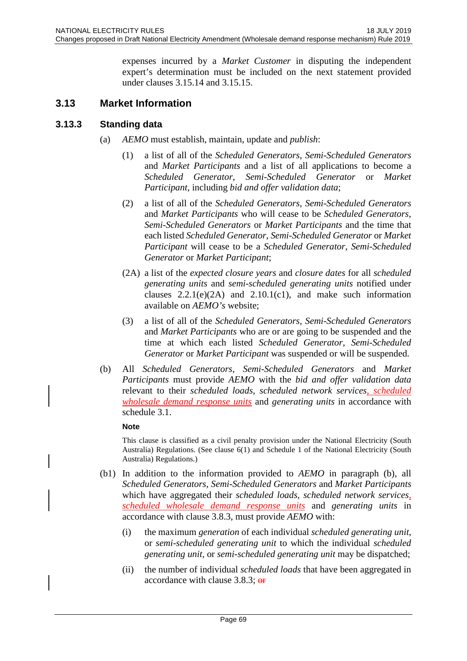expenses incurred by a *Market Customer* in disputing the independent expert's determination must be included on the next statement provided under clauses 3.15.14 and 3.15.15.

# **3.13 Market Information**

### **3.13.3 Standing data**

- (a) *AEMO* must establish, maintain, update and *publish*:
	- (1) a list of all of the *Scheduled Generators*, *Semi-Scheduled Generators* and *Market Participants* and a list of all applications to become a *Scheduled Generator*, *Semi-Scheduled Generator* or *Market Participant*, including *bid and offer validation data*;
	- (2) a list of all of the *Scheduled Generators*, *Semi-Scheduled Generators* and *Market Participants* who will cease to be *Scheduled Generators*, *Semi-Scheduled Generators* or *Market Participants* and the time that each listed *Scheduled Generator*, *Semi-Scheduled Generator* or *Market Participant* will cease to be a *Scheduled Generator*, *Semi-Scheduled Generator* or *Market Participant*;
	- (2A) a list of the *expected closure years* and *closure dates* for all *scheduled generating units* and *semi-scheduled generating units* notified under clauses  $2.2.1(e)(2A)$  and  $2.10.1(c1)$ , and make such information available on *AEMO's* website;
	- (3) a list of all of the *Scheduled Generators*, *Semi-Scheduled Generators* and *Market Participants* who are or are going to be suspended and the time at which each listed *Scheduled Generator*, *Semi-Scheduled Generator* or *Market Participant* was suspended or will be suspended.
- (b) All *Scheduled Generators*, *Semi-Scheduled Generators* and *Market Participants* must provide *AEMO* with the *bid and offer validation data* relevant to their *scheduled loads*, *scheduled network services*, *scheduled wholesale demand response units* and *generating units* in accordance with schedule 3.1.

#### **Note**

- (b1) In addition to the information provided to *AEMO* in paragraph (b), all *Scheduled Generators*, *Semi-Scheduled Generators* and *Market Participants* which have aggregated their *scheduled loads*, *scheduled network services*, *scheduled wholesale demand response units* and *generating units* in accordance with clause 3.8.3, must provide *AEMO* with:
	- (i) the maximum *generation* of each individual *scheduled generating unit*, or *semi-scheduled generating unit* to which the individual *scheduled generating unit*, or *semi-scheduled generating unit* may be dispatched;
	- (ii) the number of individual *scheduled loads* that have been aggregated in accordance with clause 3.8.3; or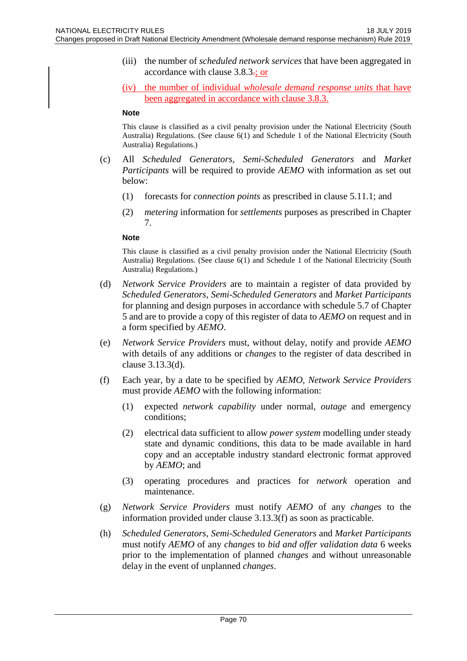(iii) the number of *scheduled network services* that have been aggregated in accordance with clause 3.8.3.; or

(iv) the number of individual *wholesale demand response units* that have been aggregated in accordance with clause 3.8.3.

#### **Note**

This clause is classified as a civil penalty provision under the National Electricity (South Australia) Regulations. (See clause 6(1) and Schedule 1 of the National Electricity (South Australia) Regulations.)

- (c) All *Scheduled Generators*, *Semi-Scheduled Generators* and *Market Participants* will be required to provide *AEMO* with information as set out below:
	- (1) forecasts for *connection points* as prescribed in clause 5.11.1; and
	- (2) *metering* information for *settlements* purposes as prescribed in Chapter 7.

#### **Note**

- (d) *Network Service Providers* are to maintain a register of data provided by *Scheduled Generators*, *Semi-Scheduled Generators* and *Market Participants* for planning and design purposes in accordance with schedule 5.7 of Chapter 5 and are to provide a copy of this register of data to *AEMO* on request and in a form specified by *AEMO*.
- (e) *Network Service Providers* must, without delay, notify and provide *AEMO* with details of any additions or *changes* to the register of data described in clause 3.13.3(d).
- (f) Each year, by a date to be specified by *AEMO*, *Network Service Providers* must provide *AEMO* with the following information:
	- (1) expected *network capability* under normal, *outage* and emergency conditions;
	- (2) electrical data sufficient to allow *power system* modelling under steady state and dynamic conditions, this data to be made available in hard copy and an acceptable industry standard electronic format approved by *AEMO*; and
	- (3) operating procedures and practices for *network* operation and maintenance.
- (g) *Network Service Providers* must notify *AEMO* of any *changes* to the information provided under clause 3.13.3(f) as soon as practicable.
- (h) *Scheduled Generators*, *Semi-Scheduled Generators* and *Market Participants* must notify *AEMO* of any *changes* to *bid and offer validation data* 6 weeks prior to the implementation of planned *changes* and without unreasonable delay in the event of unplanned *changes*.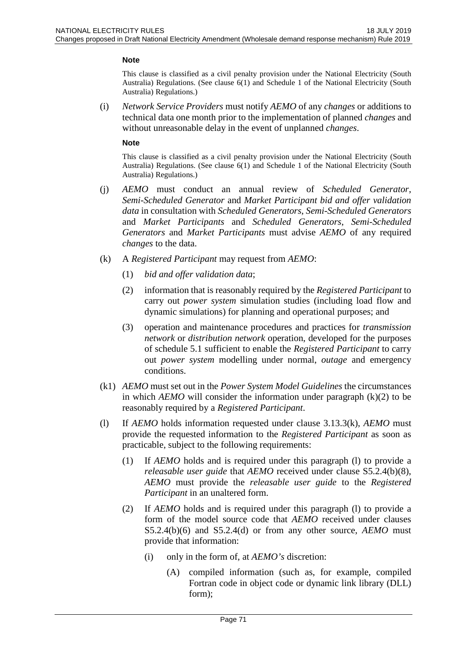#### **Note**

This clause is classified as a civil penalty provision under the National Electricity (South Australia) Regulations. (See clause 6(1) and Schedule 1 of the National Electricity (South Australia) Regulations.)

(i) *Network Service Providers* must notify *AEMO* of any *changes* or additions to technical data one month prior to the implementation of planned *changes* and without unreasonable delay in the event of unplanned *changes*.

#### **Note**

- (j) *AEMO* must conduct an annual review of *Scheduled Generator*, *Semi-Scheduled Generator* and *Market Participant bid and offer validation data* in consultation with *Scheduled Generators*, *Semi-Scheduled Generators* and *Market Participants* and *Scheduled Generators*, *Semi-Scheduled Generators* and *Market Participants* must advise *AEMO* of any required *changes* to the data.
- (k) A *Registered Participant* may request from *AEMO*:
	- (1) *bid and offer validation data*;
	- (2) information that is reasonably required by the *Registered Participant* to carry out *power system* simulation studies (including load flow and dynamic simulations) for planning and operational purposes; and
	- (3) operation and maintenance procedures and practices for *transmission network* or *distribution network* operation, developed for the purposes of schedule 5.1 sufficient to enable the *Registered Participant* to carry out *power system* modelling under normal, *outage* and emergency conditions.
- (k1) *AEMO* must set out in the *Power System Model Guidelines* the circumstances in which *AEMO* will consider the information under paragraph (k)(2) to be reasonably required by a *Registered Participant*.
- (l) If *AEMO* holds information requested under clause 3.13.3(k), *AEMO* must provide the requested information to the *Registered Participant* as soon as practicable, subject to the following requirements:
	- (1) If *AEMO* holds and is required under this paragraph (l) to provide a *releasable user guide* that *AEMO* received under clause S5.2.4(b)(8), *AEMO* must provide the *releasable user guide* to the *Registered Participant* in an unaltered form.
	- (2) If *AEMO* holds and is required under this paragraph (l) to provide a form of the model source code that *AEMO* received under clauses S5.2.4(b)(6) and S5.2.4(d) or from any other source, *AEMO* must provide that information:
		- (i) only in the form of, at *AEMO's* discretion:
			- (A) compiled information (such as, for example, compiled Fortran code in object code or dynamic link library (DLL) form);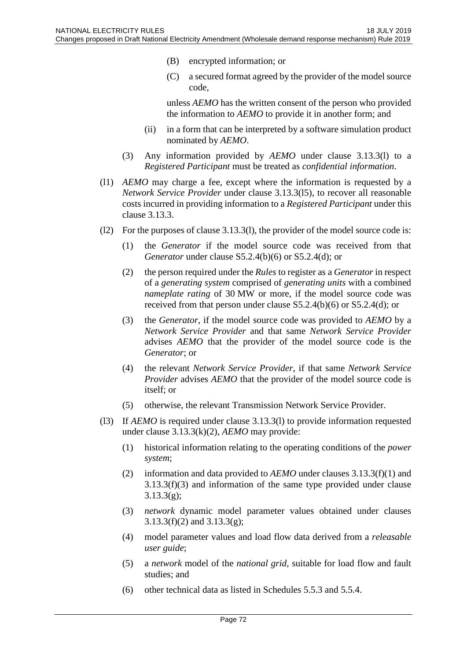- (B) encrypted information; or
- (C) a secured format agreed by the provider of the model source code,

unless *AEMO* has the written consent of the person who provided the information to *AEMO* to provide it in another form; and

- (ii) in a form that can be interpreted by a software simulation product nominated by *AEMO*.
- (3) Any information provided by *AEMO* under clause 3.13.3(l) to a *Registered Participant* must be treated as *confidential information*.
- (l1) *AEMO* may charge a fee, except where the information is requested by a *Network Service Provider* under clause 3.13.3(l5), to recover all reasonable costs incurred in providing information to a *Registered Participant* under this clause 3.13.3.
- (l2) For the purposes of clause 3.13.3(l), the provider of the model source code is:
	- (1) the *Generator* if the model source code was received from that *Generator* under clause S5.2.4(b)(6) or S5.2.4(d); or
	- (2) the person required under the *Rules* to register as a *Generator* in respect of a *generating system* comprised of *generating units* with a combined *nameplate rating* of 30 MW or more, if the model source code was received from that person under clause S5.2.4(b)(6) or S5.2.4(d); or
	- (3) the *Generator*, if the model source code was provided to *AEMO* by a *Network Service Provider* and that same *Network Service Provider* advises *AEMO* that the provider of the model source code is the *Generator*; or
	- (4) the relevant *Network Service Provider*, if that same *Network Service Provider* advises *AEMO* that the provider of the model source code is itself; or
	- (5) otherwise, the relevant Transmission Network Service Provider.
- (l3) If *AEMO* is required under clause 3.13.3(l) to provide information requested under clause 3.13.3(k)(2), *AEMO* may provide:
	- (1) historical information relating to the operating conditions of the *power system*;
	- (2) information and data provided to *AEMO* under clauses 3.13.3(f)(1) and 3.13.3(f)(3) and information of the same type provided under clause 3.13.3(g);
	- (3) *network* dynamic model parameter values obtained under clauses 3.13.3(f)(2) and 3.13.3(g);
	- (4) model parameter values and load flow data derived from a *releasable user guide*;
	- (5) a *network* model of the *national grid*, suitable for load flow and fault studies; and
	- (6) other technical data as listed in Schedules 5.5.3 and 5.5.4.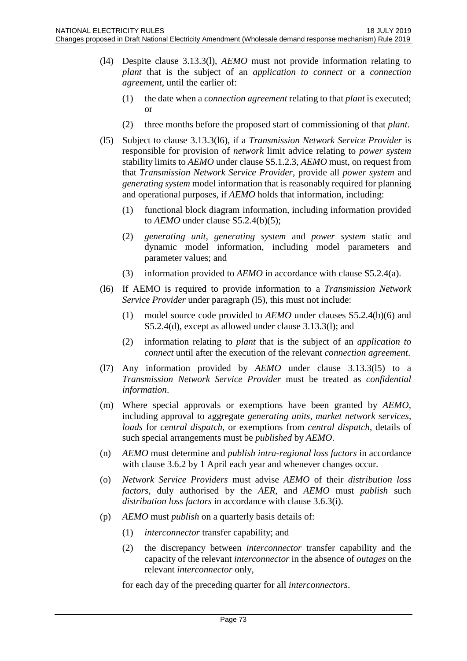- (l4) Despite clause 3.13.3(l), *AEMO* must not provide information relating to *plant* that is the subject of an *application to connect* or a *connection agreement*, until the earlier of:
	- (1) the date when a *connection agreement* relating to that *plant* is executed; or
	- (2) three months before the proposed start of commissioning of that *plant*.
- (l5) Subject to clause 3.13.3(l6), if a *Transmission Network Service Provider* is responsible for provision of *network* limit advice relating to *power system* stability limits to *AEMO* under clause S5.1.2.3, *AEMO* must, on request from that *Transmission Network Service Provider*, provide all *power system* and *generating system* model information that is reasonably required for planning and operational purposes, if *AEMO* holds that information, including:
	- (1) functional block diagram information, including information provided to *AEMO* under clause S5.2.4(b)(5);
	- (2) *generating unit*, *generating system* and *power system* static and dynamic model information, including model parameters and parameter values; and
	- (3) information provided to *AEMO* in accordance with clause S5.2.4(a).
- (l6) If AEMO is required to provide information to a *Transmission Network Service Provider* under paragraph (l5), this must not include:
	- (1) model source code provided to *AEMO* under clauses S5.2.4(b)(6) and S5.2.4(d), except as allowed under clause 3.13.3(l); and
	- (2) information relating to *plant* that is the subject of an *application to connect* until after the execution of the relevant *connection agreement*.
- (l7) Any information provided by *AEMO* under clause 3.13.3(l5) to a *Transmission Network Service Provider* must be treated as *confidential information*.
- (m) Where special approvals or exemptions have been granted by *AEMO*, including approval to aggregate *generating units*, *market network services*, *loads* for *central dispatch*, or exemptions from *central dispatch*, details of such special arrangements must be *published* by *AEMO*.
- (n) *AEMO* must determine and *publish intra-regional loss factors* in accordance with clause 3.6.2 by 1 April each year and whenever changes occur.
- (o) *Network Service Providers* must advise *AEMO* of their *distribution loss factors*, duly authorised by the *AER*, and *AEMO* must *publish* such *distribution loss factors* in accordance with clause 3.6.3(i).
- (p) *AEMO* must *publish* on a quarterly basis details of:
	- (1) *interconnector* transfer capability; and
	- (2) the discrepancy between *interconnector* transfer capability and the capacity of the relevant *interconnector* in the absence of *outages* on the relevant *interconnector* only,

for each day of the preceding quarter for all *interconnectors*.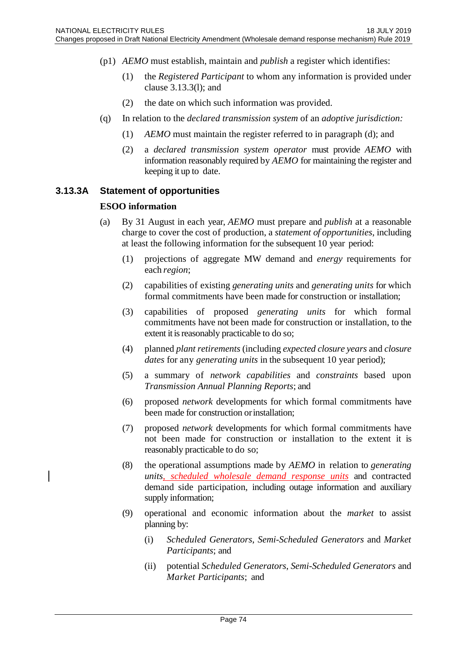- (p1) *AEMO* must establish, maintain and *publish* a register which identifies:
	- (1) the *Registered Participant* to whom any information is provided under clause 3.13.3(l); and
	- (2) the date on which such information was provided.
- (q) In relation to the *declared transmission system* of an *adoptive jurisdiction:*
	- (1) *AEMO* must maintain the register referred to in paragraph (d); and
	- (2) a *declared transmission system operator* must provide *AEMO* with information reasonably required by *AEMO* for maintaining the register and keeping it up to date.

### **3.13.3A Statement of opportunities**

### **ESOO information**

- (a) By 31 August in each year, *AEMO* must prepare and *publish* at a reasonable charge to cover the cost of production, a *statement of opportunities*, including at least the following information for the subsequent 10 year period:
	- (1) projections of aggregate MW demand and *energy* requirements for each *region*;
	- (2) capabilities of existing *generating units* and *generating units* for which formal commitments have been made for construction or installation;
	- (3) capabilities of proposed *generating units* for which formal commitments have not been made for construction or installation, to the extent it is reasonably practicable to do so;
	- (4) planned *plant retirements* (including *expected closure years* and *closure dates* for any *generating units* in the subsequent 10 year period);
	- (5) a summary of *network capabilities* and *constraints* based upon *Transmission Annual Planning Reports*; and
	- (6) proposed *network* developments for which formal commitments have been made for construction or installation;
	- (7) proposed *network* developments for which formal commitments have not been made for construction or installation to the extent it is reasonably practicable to do so;
	- (8) the operational assumptions made by *AEMO* in relation to *generating units*, *scheduled wholesale demand response units* and contracted demand side participation, including outage information and auxiliary supply information;
	- (9) operational and economic information about the *market* to assist planning by:
		- (i) *Scheduled Generators*, *Semi-Scheduled Generators* and *Market Participants*; and
		- (ii) potential *Scheduled Generators*, *Semi-Scheduled Generators* and *Market Participants*; and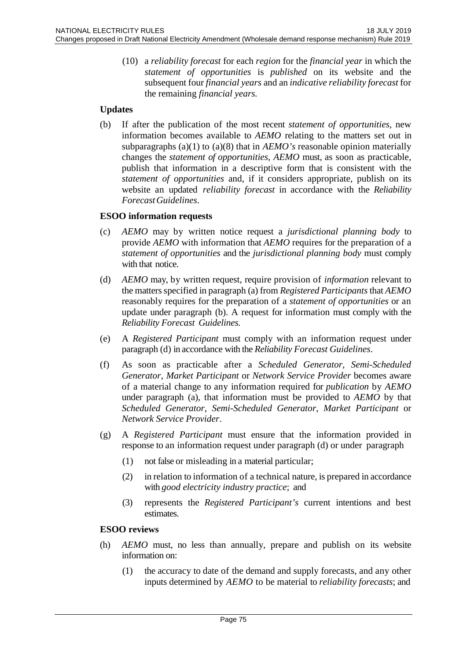(10) a *reliability forecast* for each *region* for the *financial year* in which the *statement of opportunities* is *published* on its website and the subsequent four *financial years* and an *indicative reliability forecast* for the remaining *financial years.*

# **Updates**

(b) If after the publication of the most recent *statement of opportunities*, new information becomes available to *AEMO* relating to the matters set out in subparagraphs (a)(1) to (a)(8) that in *AEMO's* reasonable opinion materially changes the *statement of opportunities*, *AEMO* must, as soon as practicable, publish that information in a descriptive form that is consistent with the *statement of opportunities* and, if it considers appropriate, publish on its website an updated *reliability forecast* in accordance with the *Reliability ForecastGuidelines*.

# **ESOO information requests**

- (c) *AEMO* may by written notice request a *jurisdictional planning body* to provide *AEMO* with information that *AEMO* requires for the preparation of a *statement of opportunities* and the *jurisdictional planning body* must comply with that notice.
- (d) *AEMO* may, by written request, require provision of *information* relevant to the matters specified in paragraph (a) from *Registered Participants* that *AEMO*  reasonably requires for the preparation of a *statement of opportunities* or an update under paragraph (b). A request for information must comply with the *Reliability Forecast Guidelines.*
- (e) A *Registered Participant* must comply with an information request under paragraph (d) in accordance with the *Reliability Forecast Guidelines*.
- (f) As soon as practicable after a *Scheduled Generator*, *Semi-Scheduled Generator*, *Market Participant* or *Network Service Provider* becomes aware of a material change to any information required for *publication* by *AEMO*  under paragraph (a), that information must be provided to *AEMO* by that *Scheduled Generator*, *Semi-Scheduled Generator*, *Market Participant* or *Network Service Provider*.
- (g) A *Registered Participant* must ensure that the information provided in response to an information request under paragraph (d) or under paragraph
	- (1) not false or misleading in a material particular;
	- (2) in relation to information of a technical nature, is prepared in accordance with *good electricity industry practice*; and
	- (3) represents the *Registered Participant's* current intentions and best estimates.

### **ESOO reviews**

- (h) *AEMO* must, no less than annually, prepare and publish on its website information on:
	- (1) the accuracy to date of the demand and supply forecasts, and any other inputs determined by *AEMO* to be material to *reliability forecasts*; and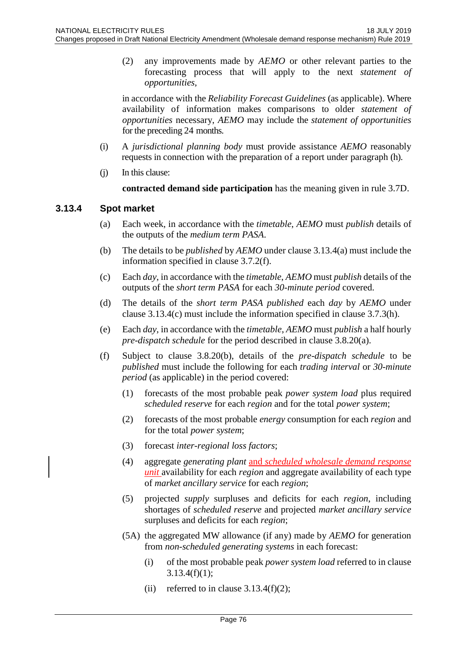(2) any improvements made by *AEMO* or other relevant parties to the forecasting process that will apply to the next *statement of opportunities*,

in accordance with the *Reliability Forecast Guidelines* (as applicable). Where availability of information makes comparisons to older *statement of opportunities* necessary, *AEMO* may include the *statement of opportunities*  for the preceding 24 months.

- (i) A *jurisdictional planning body* must provide assistance *AEMO* reasonably requests in connection with the preparation of a report under paragraph (h).
- (j) In this clause:

**contracted demand side participation** has the meaning given in rule 3.7D.

# **3.13.4 Spot market**

- (a) Each week, in accordance with the *timetable*, *AEMO* must *publish* details of the outputs of the *medium term PASA*.
- (b) The details to be *published* by *AEMO* under clause 3.13.4(a) must include the information specified in clause 3.7.2(f).
- (c) Each *day*, in accordance with the *timetable*, *AEMO* must *publish* details of the outputs of the *short term PASA* for each *30-minute period* covered.
- (d) The details of the *short term PASA published* each *day* by *AEMO* under clause 3.13.4(c) must include the information specified in clause 3.7.3(h).
- (e) Each *day*, in accordance with the *timetable*, *AEMO* must *publish* a half hourly *pre-dispatch schedule* for the period described in clause 3.8.20(a).
- (f) Subject to clause 3.8.20(b), details of the *pre-dispatch schedule* to be *published* must include the following for each *trading interval* or *30-minute period* (as applicable) in the period covered:
	- (1) forecasts of the most probable peak *power system load* plus required *scheduled reserve* for each *region* and for the total *power system*;
	- (2) forecasts of the most probable *energy* consumption for each *region* and for the total *power system*;
	- (3) forecast *inter-regional loss factors*;
	- (4) aggregate *generating plant* and *scheduled wholesale demand response unit* availability for each *region* and aggregate availability of each type of *market ancillary service* for each *region*;
	- (5) projected *supply* surpluses and deficits for each *region*, including shortages of *scheduled reserve* and projected *market ancillary service* surpluses and deficits for each *region*;
	- (5A) the aggregated MW allowance (if any) made by *AEMO* for generation from *non-scheduled generating systems* in each forecast:
		- (i) of the most probable peak *power system load* referred to in clause  $3.13.4(f)(1);$
		- (ii) referred to in clause  $3.13.4(f)(2)$ ;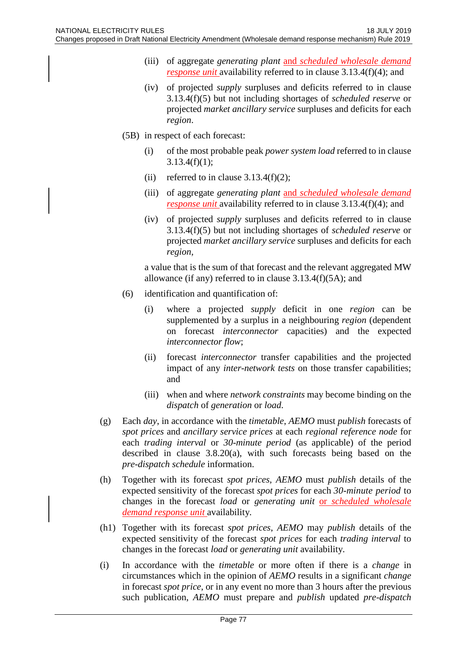- (iii) of aggregate *generating plant* and *scheduled wholesale demand response unit* availability referred to in clause 3.13.4(f)(4); and
- (iv) of projected *supply* surpluses and deficits referred to in clause 3.13.4(f)(5) but not including shortages of *scheduled reserve* or projected *market ancillary service* surpluses and deficits for each *region*.
- (5B) in respect of each forecast:
	- (i) of the most probable peak *power system load* referred to in clause  $3.13.4(f)(1);$
	- (ii) referred to in clause  $3.13.4(f)(2)$ ;
	- (iii) of aggregate *generating plant* and *scheduled wholesale demand response unit* availability referred to in clause 3.13.4(f)(4); and
	- (iv) of projected *supply* surpluses and deficits referred to in clause 3.13.4(f)(5) but not including shortages of *scheduled reserve* or projected *market ancillary service* surpluses and deficits for each *region*,

a value that is the sum of that forecast and the relevant aggregated MW allowance (if any) referred to in clause 3.13.4(f)(5A); and

- (6) identification and quantification of:
	- (i) where a projected *supply* deficit in one *region* can be supplemented by a surplus in a neighbouring *region* (dependent on forecast *interconnector* capacities) and the expected *interconnector flow*;
	- (ii) forecast *interconnector* transfer capabilities and the projected impact of any *inter-network tests* on those transfer capabilities; and
	- (iii) when and where *network constraints* may become binding on the *dispatch* of *generation* or *load*.
- (g) Each *day*, in accordance with the *timetable*, *AEMO* must *publish* forecasts of *spot prices* and *ancillary service prices* at each *regional reference node* for each *trading interval* or *30-minute period* (as applicable) of the period described in clause 3.8.20(a), with such forecasts being based on the *pre-dispatch schedule* information.
- (h) Together with its forecast *spot prices*, *AEMO* must *publish* details of the expected sensitivity of the forecast *spot prices* for each *30-minute period* to changes in the forecast *load* or *generating unit* or *scheduled wholesale demand response unit* availability.
- (h1) Together with its forecast *spot prices*, *AEMO* may *publish* details of the expected sensitivity of the forecast *spot prices* for each *trading interval* to changes in the forecast *load* or *generating unit* availability.
- (i) In accordance with the *timetable* or more often if there is a *change* in circumstances which in the opinion of *AEMO* results in a significant *change* in forecast *spot price*, or in any event no more than 3 hours after the previous such publication, *AEMO* must prepare and *publish* updated *pre-dispatch*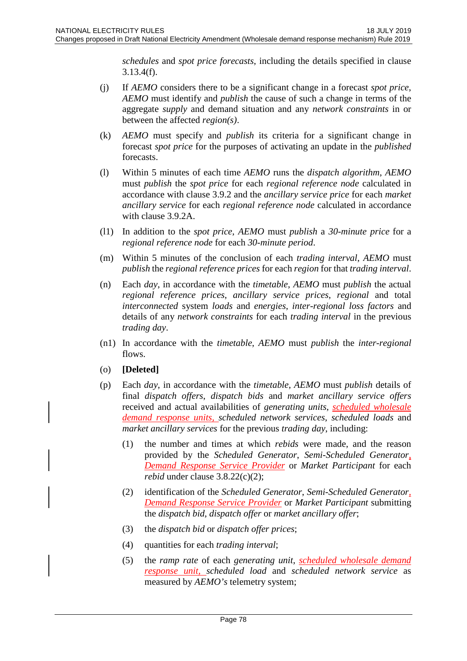*schedules* and *spot price forecasts*, including the details specified in clause 3.13.4(f).

- (j) If *AEMO* considers there to be a significant change in a forecast *spot price*, *AEMO* must identify and *publish* the cause of such a change in terms of the aggregate *supply* and demand situation and any *network constraints* in or between the affected *region(s)*.
- (k) *AEMO* must specify and *publish* its criteria for a significant change in forecast *spot price* for the purposes of activating an update in the *published* forecasts.
- (l) Within 5 minutes of each time *AEMO* runs the *dispatch algorithm*, *AEMO* must *publish* the *spot price* for each *regional reference node* calculated in accordance with clause 3.9.2 and the *ancillary service price* for each *market ancillary service* for each *regional reference node* calculated in accordance with clause 3.9.2A.
- (l1) In addition to the *spot price*, *AEMO* must *publish* a *30-minute price* for a *regional reference node* for each *30-minute period*.
- (m) Within 5 minutes of the conclusion of each *trading interval*, *AEMO* must *publish* the *regional reference prices* for each *region* for that *trading interval*.
- (n) Each *day*, in accordance with the *timetable*, *AEMO* must *publish* the actual *regional reference prices*, *ancillary service prices*, *regional* and total *interconnected* system *loads* and *energies*, *inter-regional loss factors* and details of any *network constraints* for each *trading interval* in the previous *trading day*.
- (n1) In accordance with the *timetable*, *AEMO* must *publish* the *inter-regional* flows.
- (o) **[Deleted]**
- (p) Each *day*, in accordance with the *timetable*, *AEMO* must *publish* details of final *dispatch offers*, *dispatch bids* and *market ancillary service offers* received and actual availabilities of *generating units*, *scheduled wholesale demand response units, scheduled network services*, *scheduled loads* and *market ancillary services* for the previous *trading day*, including:
	- (1) the number and times at which *rebids* were made, and the reason provided by the *Scheduled Generator*, *Semi-Scheduled Generator, Demand Response Service Provider* or *Market Participant* for each *rebid* under clause 3.8.22(c)(2);
	- (2) identification of the *Scheduled Generator*, *Semi-Scheduled Generator, Demand Response Service Provider* or *Market Participant* submitting the *dispatch bid*, *dispatch offer* or *market ancillary offer*;
	- (3) the *dispatch bid* or *dispatch offer prices*;
	- (4) quantities for each *trading interval*;
	- (5) the *ramp rate* of each *generating unit*, *scheduled wholesale demand response unit, scheduled load* and *scheduled network service* as measured by *AEMO's* telemetry system;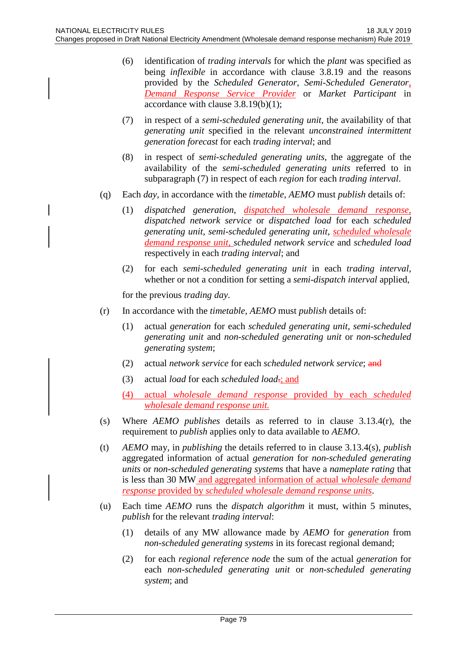- (6) identification of *trading intervals* for which the *plant* was specified as being *inflexible* in accordance with clause 3.8.19 and the reasons provided by the *Scheduled Generator*, *Semi-Scheduled Generator*, *Demand Response Service Provider* or *Market Participant* in accordance with clause 3.8.19(b)(1);
- (7) in respect of a *semi-scheduled generating unit*, the availability of that *generating unit* specified in the relevant *unconstrained intermittent generation forecast* for each *trading interval*; and
- (8) in respect of *semi-scheduled generating units*, the aggregate of the availability of the *semi-scheduled generating units* referred to in subparagraph (7) in respect of each *region* for each *trading interval*.
- (q) Each *day*, in accordance with the *timetable*, *AEMO* must *publish* details of:
	- (1) *dispatched generation*, *dispatched wholesale demand response*, *dispatched network service* or *dispatched load* for each *scheduled generating unit*, *semi-scheduled generating unit*, *scheduled wholesale demand response unit, scheduled network service* and *scheduled load* respectively in each *trading interval*; and
	- (2) for each *semi-scheduled generating unit* in each *trading interval*, whether or not a condition for setting a *semi-dispatch interval* applied,

for the previous *trading day*.

- (r) In accordance with the *timetable*, *AEMO* must *publish* details of:
	- (1) actual *generation* for each *scheduled generating unit*, *semi-scheduled generating unit* and *non-scheduled generating unit* or *non-scheduled generating system*;
	- (2) actual *network service* for each *scheduled network service*; and
	- (3) actual *load* for each *scheduled load*.; and
	- (4) actual *wholesale demand response* provided by each *scheduled wholesale demand response unit.*
- (s) Where *AEMO publishes* details as referred to in clause 3.13.4(r), the requirement to *publish* applies only to data available to *AEMO*.
- (t) *AEMO* may, in *publishing* the details referred to in clause 3.13.4(s), *publish* aggregated information of actual *generation* for *non-scheduled generating units* or *non-scheduled generating systems* that have a *nameplate rating* that is less than 30 MW and aggregated information of actual *wholesale demand response* provided by *scheduled wholesale demand response units*.
- (u) Each time *AEMO* runs the *dispatch algorithm* it must, within 5 minutes, *publish* for the relevant *trading interval*:
	- (1) details of any MW allowance made by *AEMO* for *generation* from *non-scheduled generating systems* in its forecast regional demand;
	- (2) for each *regional reference node* the sum of the actual *generation* for each *non-scheduled generating unit* or *non-scheduled generating system*; and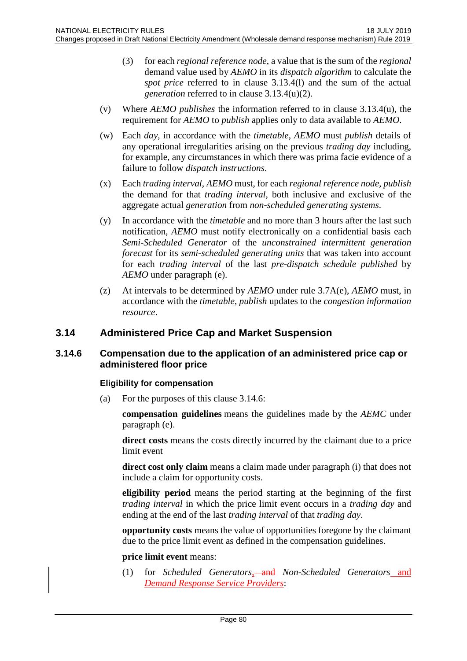- (3) for each *regional reference node*, a value that is the sum of the *regional* demand value used by *AEMO* in its *dispatch algorithm* to calculate the *spot price* referred to in clause 3.13.4(l) and the sum of the actual *generation* referred to in clause 3.13.4(u)(2).
- (v) Where *AEMO publishes* the information referred to in clause 3.13.4(u), the requirement for *AEMO* to *publish* applies only to data available to *AEMO*.
- (w) Each *day*, in accordance with the *timetable*, *AEMO* must *publish* details of any operational irregularities arising on the previous *trading day* including, for example, any circumstances in which there was prima facie evidence of a failure to follow *dispatch instructions*.
- (x) Each *trading interval*, *AEMO* must, for each *regional reference node*, *publish* the demand for that *trading interval*, both inclusive and exclusive of the aggregate actual *generation* from *non-scheduled generating systems*.
- (y) In accordance with the *timetable* and no more than 3 hours after the last such notification, *AEMO* must notify electronically on a confidential basis each *Semi-Scheduled Generator* of the *unconstrained intermittent generation forecast* for its *semi-scheduled generating units* that was taken into account for each *trading interval* of the last *pre-dispatch schedule published* by *AEMO* under paragraph (e).
- (z) At intervals to be determined by *AEMO* under rule 3.7A(e), *AEMO* must, in accordance with the *timetable*, *publish* updates to the *congestion information resource*.

# **3.14 Administered Price Cap and Market Suspension**

### **3.14.6 Compensation due to the application of an administered price cap or administered floor price**

### **Eligibility for compensation**

(a) For the purposes of this clause 3.14.6:

**compensation guidelines** means the guidelines made by the *AEMC* under paragraph (e).

**direct costs** means the costs directly incurred by the claimant due to a price limit event

**direct cost only claim** means a claim made under paragraph (i) that does not include a claim for opportunity costs.

**eligibility period** means the period starting at the beginning of the first *trading interval* in which the price limit event occurs in a *trading day* and ending at the end of the last *trading interval* of that *trading day*.

**opportunity costs** means the value of opportunities foregone by the claimant due to the price limit event as defined in the compensation guidelines.

### **price limit event** means:

(1) for *Scheduled Generators*<sub>1</sub> and *Non-Scheduled Generators* and *Demand Response Service Providers*: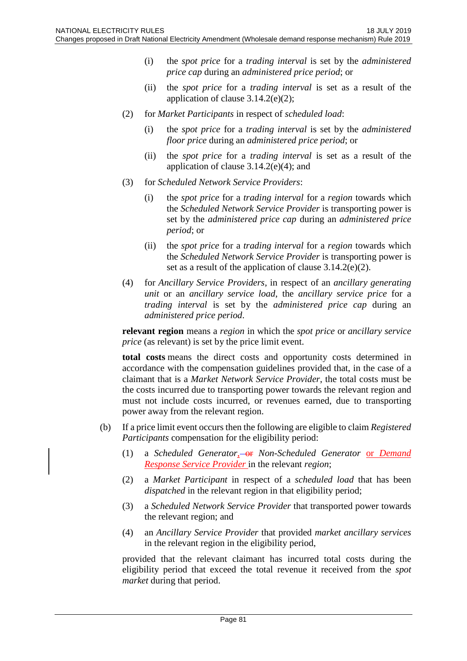- (i) the *spot price* for a *trading interval* is set by the *administered price cap* during an *administered price period*; or
- (ii) the *spot price* for a *trading interval* is set as a result of the application of clause 3.14.2(e)(2);
- (2) for *Market Participants* in respect of *scheduled load*:
	- (i) the *spot price* for a *trading interval* is set by the *administered floor price* during an *administered price period*; or
	- (ii) the *spot price* for a *trading interval* is set as a result of the application of clause  $3.14.2(e)(4)$ ; and
- (3) for *Scheduled Network Service Providers*:
	- (i) the *spot price* for a *trading interval* for a *region* towards which the *Scheduled Network Service Provider* is transporting power is set by the *administered price cap* during an *administered price period*; or
	- (ii) the *spot price* for a *trading interval* for a *region* towards which the *Scheduled Network Service Provider* is transporting power is set as a result of the application of clause 3.14.2(e)(2).
- (4) for *Ancillary Service Providers*, in respect of an *ancillary generating unit* or an *ancillary service load*, the *ancillary service price* for a *trading interval* is set by the *administered price cap* during an *administered price period*.

**relevant region** means a *region* in which the *spot price* or *ancillary service price* (as relevant) is set by the price limit event.

**total costs** means the direct costs and opportunity costs determined in accordance with the compensation guidelines provided that, in the case of a claimant that is a *Market Network Service Provider*, the total costs must be the costs incurred due to transporting power towards the relevant region and must not include costs incurred, or revenues earned, due to transporting power away from the relevant region.

- (b) If a price limit event occurs then the following are eligible to claim *Registered Participants* compensation for the eligibility period:
	- (1) a *Scheduled Generator*<sub>1</sub> or *Non-Scheduled Generator* or *Demand Response Service Provider* in the relevant *region*;
	- (2) a *Market Participant* in respect of a *scheduled load* that has been *dispatched* in the relevant region in that eligibility period;
	- (3) a *Scheduled Network Service Provider* that transported power towards the relevant region; and
	- (4) an *Ancillary Service Provider* that provided *market ancillary services* in the relevant region in the eligibility period,

provided that the relevant claimant has incurred total costs during the eligibility period that exceed the total revenue it received from the *spot market* during that period.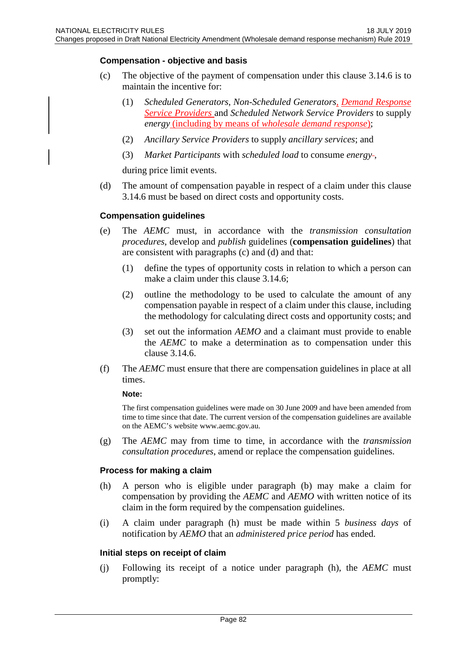### **Compensation - objective and basis**

- (c) The objective of the payment of compensation under this clause 3.14.6 is to maintain the incentive for:
	- (1) *Scheduled Generators*, *Non-Scheduled Generators, Demand Response Service Providers* and *Scheduled Network Service Providers* to supply *energy* (including by means of *wholesale demand response*);
	- (2) *Ancillary Service Providers* to supply *ancillary services*; and
	- (3) *Market Participants* with *scheduled load* to consume *energy* ,

during price limit events.

(d) The amount of compensation payable in respect of a claim under this clause 3.14.6 must be based on direct costs and opportunity costs.

### **Compensation guidelines**

- (e) The *AEMC* must, in accordance with the *transmission consultation procedures*, develop and *publish* guidelines (**compensation guidelines**) that are consistent with paragraphs (c) and (d) and that:
	- (1) define the types of opportunity costs in relation to which a person can make a claim under this clause 3.14.6;
	- (2) outline the methodology to be used to calculate the amount of any compensation payable in respect of a claim under this clause, including the methodology for calculating direct costs and opportunity costs; and
	- (3) set out the information *AEMO* and a claimant must provide to enable the *AEMC* to make a determination as to compensation under this clause 3.14.6.
- (f) The *AEMC* must ensure that there are compensation guidelines in place at all times.

#### **Note:**

The first compensation guidelines were made on 30 June 2009 and have been amended from time to time since that date. The current version of the compensation guidelines are available on the AEMC's website www.aemc.gov.au.

(g) The *AEMC* may from time to time, in accordance with the *transmission consultation procedures*, amend or replace the compensation guidelines.

### **Process for making a claim**

- (h) A person who is eligible under paragraph (b) may make a claim for compensation by providing the *AEMC* and *AEMO* with written notice of its claim in the form required by the compensation guidelines.
- (i) A claim under paragraph (h) must be made within 5 *business days* of notification by *AEMO* that an *administered price period* has ended.

#### **Initial steps on receipt of claim**

(j) Following its receipt of a notice under paragraph (h), the *AEMC* must promptly: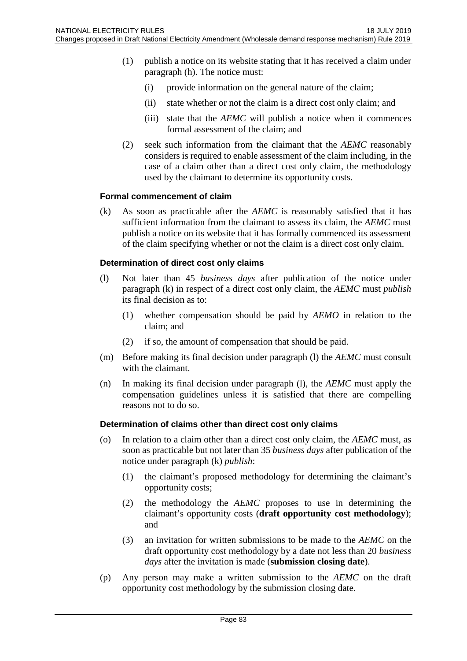- (1) publish a notice on its website stating that it has received a claim under paragraph (h). The notice must:
	- (i) provide information on the general nature of the claim;
	- (ii) state whether or not the claim is a direct cost only claim; and
	- (iii) state that the *AEMC* will publish a notice when it commences formal assessment of the claim; and
- (2) seek such information from the claimant that the *AEMC* reasonably considers is required to enable assessment of the claim including, in the case of a claim other than a direct cost only claim, the methodology used by the claimant to determine its opportunity costs.

### **Formal commencement of claim**

(k) As soon as practicable after the *AEMC* is reasonably satisfied that it has sufficient information from the claimant to assess its claim, the *AEMC* must publish a notice on its website that it has formally commenced its assessment of the claim specifying whether or not the claim is a direct cost only claim.

### **Determination of direct cost only claims**

- (l) Not later than 45 *business days* after publication of the notice under paragraph (k) in respect of a direct cost only claim, the *AEMC* must *publish* its final decision as to:
	- (1) whether compensation should be paid by *AEMO* in relation to the claim; and
	- (2) if so, the amount of compensation that should be paid.
- (m) Before making its final decision under paragraph (l) the *AEMC* must consult with the claimant.
- (n) In making its final decision under paragraph (l), the *AEMC* must apply the compensation guidelines unless it is satisfied that there are compelling reasons not to do so.

### **Determination of claims other than direct cost only claims**

- (o) In relation to a claim other than a direct cost only claim, the *AEMC* must, as soon as practicable but not later than 35 *business days* after publication of the notice under paragraph (k) *publish*:
	- (1) the claimant's proposed methodology for determining the claimant's opportunity costs;
	- (2) the methodology the *AEMC* proposes to use in determining the claimant's opportunity costs (**draft opportunity cost methodology**); and
	- (3) an invitation for written submissions to be made to the *AEMC* on the draft opportunity cost methodology by a date not less than 20 *business days* after the invitation is made (**submission closing date**).
- (p) Any person may make a written submission to the *AEMC* on the draft opportunity cost methodology by the submission closing date.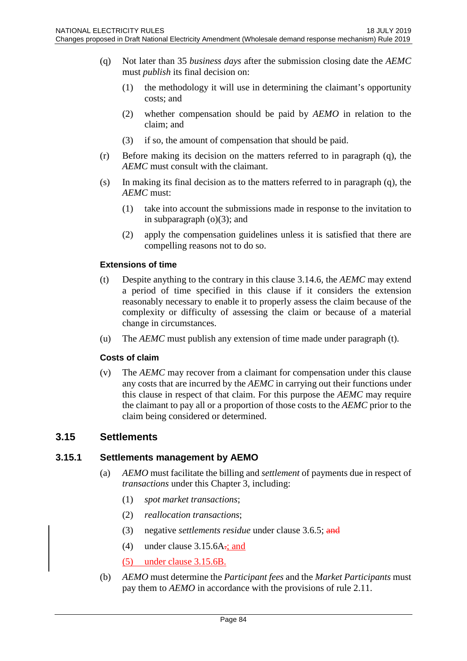- (q) Not later than 35 *business days* after the submission closing date the *AEMC* must *publish* its final decision on:
	- (1) the methodology it will use in determining the claimant's opportunity costs; and
	- (2) whether compensation should be paid by *AEMO* in relation to the claim; and
	- (3) if so, the amount of compensation that should be paid.
- (r) Before making its decision on the matters referred to in paragraph (q), the *AEMC* must consult with the claimant.
- (s) In making its final decision as to the matters referred to in paragraph (q), the *AEMC* must:
	- (1) take into account the submissions made in response to the invitation to in subparagraph  $(o)(3)$ ; and
	- (2) apply the compensation guidelines unless it is satisfied that there are compelling reasons not to do so.

### **Extensions of time**

- (t) Despite anything to the contrary in this clause 3.14.6, the *AEMC* may extend a period of time specified in this clause if it considers the extension reasonably necessary to enable it to properly assess the claim because of the complexity or difficulty of assessing the claim or because of a material change in circumstances.
- (u) The *AEMC* must publish any extension of time made under paragraph (t).

### **Costs of claim**

(v) The *AEMC* may recover from a claimant for compensation under this clause any costs that are incurred by the *AEMC* in carrying out their functions under this clause in respect of that claim. For this purpose the *AEMC* may require the claimant to pay all or a proportion of those costs to the *AEMC* prior to the claim being considered or determined.

### **3.15 Settlements**

### **3.15.1 Settlements management by AEMO**

- (a) *AEMO* must facilitate the billing and *settlement* of payments due in respect of *transactions* under this Chapter 3, including:
	- (1) *spot market transactions*;
	- (2) *reallocation transactions*;
	- (3) negative *settlements residue* under clause 3.6.5; and
	- (4) under clause  $3.15.6A$ ; and
	- (5) under clause 3.15.6B.
- (b) *AEMO* must determine the *Participant fees* and the *Market Participants* must pay them to *AEMO* in accordance with the provisions of rule 2.11.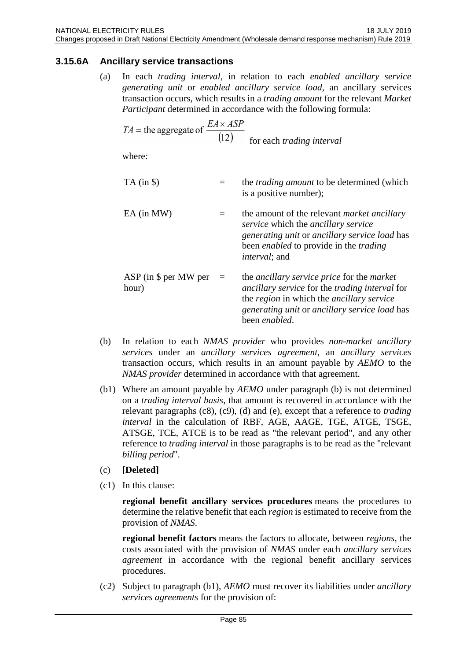# **3.15.6A Ancillary service transactions**

(a) In each *trading interval*, in relation to each *enabled ancillary service generating unit* or *enabled ancillary service load*, an ancillary services transaction occurs, which results in a *trading amount* for the relevant *Market Participant* determined in accordance with the following formula:

$$
TA
$$
 = the aggregate of  $\frac{EA \times ASP}{(12)}$  for each *trading interval*

where:

| $TA$ (in $\$ )                   |          | the <i>trading amount</i> to be determined (which<br>is a positive number);                                                                                                                                                             |
|----------------------------------|----------|-----------------------------------------------------------------------------------------------------------------------------------------------------------------------------------------------------------------------------------------|
| EA (in MW)                       |          | the amount of the relevant <i>market ancillary</i><br>service which the ancillary service<br>generating unit or ancillary service load has<br>been <i>enabled</i> to provide in the <i>trading</i><br><i>interval</i> ; and             |
| $ASP$ (in \$ per MW per<br>hour) | $\equiv$ | the <i>ancillary service price</i> for the <i>market</i><br><i>ancillary service</i> for the <i>trading interval</i> for<br>the region in which the ancillary service<br>generating unit or ancillary service load has<br>been enabled. |

- (b) In relation to each *NMAS provider* who provides *non-market ancillary services* under an *ancillary services agreement*, an *ancillary services* transaction occurs, which results in an amount payable by *AEMO* to the *NMAS provider* determined in accordance with that agreement.
- (b1) Where an amount payable by *AEMO* under paragraph (b) is not determined on a *trading interval basis*, that amount is recovered in accordance with the relevant paragraphs (c8), (c9), (d) and (e), except that a reference to *trading interval* in the calculation of RBF, AGE, AAGE, TGE, ATGE, TSGE, ATSGE, TCE, ATCE is to be read as "the relevant period", and any other reference to *trading interval* in those paragraphs is to be read as the "relevant *billing period*".
- (c) **[Deleted]**
- (c1) In this clause:

**regional benefit ancillary services procedures** means the procedures to determine the relative benefit that each *region* is estimated to receive from the provision of *NMAS*.

**regional benefit factors** means the factors to allocate, between *regions*, the costs associated with the provision of *NMAS* under each *ancillary services agreement* in accordance with the regional benefit ancillary services procedures.

(c2) Subject to paragraph (b1), *AEMO* must recover its liabilities under *ancillary services agreements* for the provision of: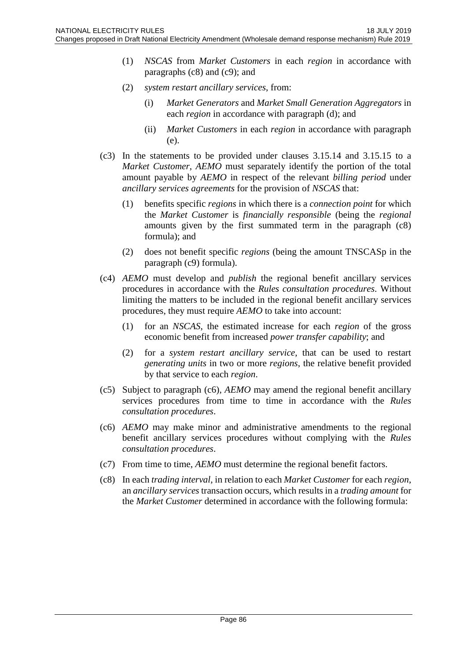- (1) *NSCAS* from *Market Customers* in each *region* in accordance with paragraphs (c8) and (c9); and
- (2) *system restart ancillary services*, from:
	- (i) *Market Generators* and *Market Small Generation Aggregators* in each *region* in accordance with paragraph (d); and
	- (ii) *Market Customers* in each *region* in accordance with paragraph (e).
- (c3) In the statements to be provided under clauses 3.15.14 and 3.15.15 to a *Market Customer*, *AEMO* must separately identify the portion of the total amount payable by *AEMO* in respect of the relevant *billing period* under *ancillary services agreements* for the provision of *NSCAS* that:
	- (1) benefits specific *regions* in which there is a *connection point* for which the *Market Customer* is *financially responsible* (being the *regional* amounts given by the first summated term in the paragraph (c8) formula); and
	- (2) does not benefit specific *regions* (being the amount TNSCASp in the paragraph (c9) formula).
- (c4) *AEMO* must develop and *publish* the regional benefit ancillary services procedures in accordance with the *Rules consultation procedures*. Without limiting the matters to be included in the regional benefit ancillary services procedures, they must require *AEMO* to take into account:
	- (1) for an *NSCAS*, the estimated increase for each *region* of the gross economic benefit from increased *power transfer capability*; and
	- (2) for a *system restart ancillary service*, that can be used to restart *generating units* in two or more *regions*, the relative benefit provided by that service to each *region*.
- (c5) Subject to paragraph (c6), *AEMO* may amend the regional benefit ancillary services procedures from time to time in accordance with the *Rules consultation procedures*.
- (c6) *AEMO* may make minor and administrative amendments to the regional benefit ancillary services procedures without complying with the *Rules consultation procedures*.
- (c7) From time to time, *AEMO* must determine the regional benefit factors.
- (c8) In each *trading interval*, in relation to each *Market Customer* for each *region*, an *ancillary services* transaction occurs, which results in a *trading amount* for the *Market Customer* determined in accordance with the following formula: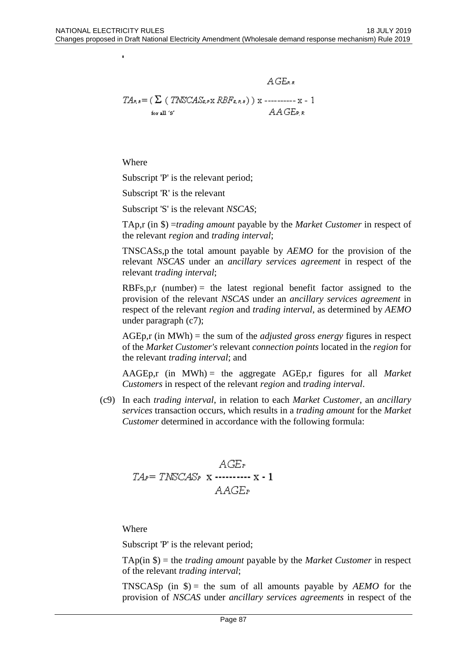$$
A G_{B,k}
$$
  
\n
$$
TA_{B,k} = (\sum (TNSCAS_{B,N} RBF_{B,N,k})) \times \dots \dots \times 1
$$
  
\nfor all 's'  
\n
$$
AAGE_{B,k}
$$

Where

j.

Subscript 'P' is the relevant period;

Subscript 'R' is the relevant

Subscript 'S' is the relevant *NSCAS*;

TAp,r (in \$) =*trading amount* payable by the *Market Customer* in respect of the relevant *region* and *trading interval*;

 $\lambda$  and  $\lambda$ 

TNSCASs,p the total amount payable by *AEMO* for the provision of the relevant *NSCAS* under an *ancillary services agreement* in respect of the relevant *trading interval*;

 $RBFs, p, r$  (number) = the latest regional benefit factor assigned to the provision of the relevant *NSCAS* under an *ancillary services agreement* in respect of the relevant *region* and *trading interval*, as determined by *AEMO* under paragraph (c7);

AGEp,r (in MWh) = the sum of the *adjusted gross energy* figures in respect of the *Market Customer's* relevant *connection points* located in the *region* for the relevant *trading interval*; and

AAGEp,r (in MWh) = the aggregate AGEp,r figures for all *Market Customers* in respect of the relevant *region* and *trading interval*.

(c9) In each *trading interval*, in relation to each *Market Customer*, an *ancillary services* transaction occurs, which results in a *trading amount* for the *Market Customer* determined in accordance with the following formula:

$$
AGEr
$$
  

$$
TAP = TNSCASP x
$$
........
$$
AAGEP
$$

Where

Subscript 'P' is the relevant period;

TAp(in \$) = the *trading amount* payable by the *Market Customer* in respect of the relevant *trading interval*;

TNSCASp (in  $\$$ ) = the sum of all amounts payable by *AEMO* for the provision of *NSCAS* under *ancillary services agreements* in respect of the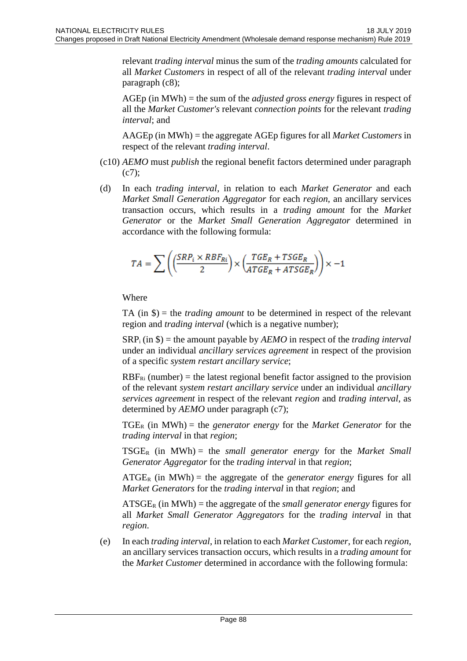relevant *trading interval* minus the sum of the *trading amounts* calculated for all *Market Customers* in respect of all of the relevant *trading interval* under paragraph (c8);

AGEp (in MWh) = the sum of the *adjusted gross energy* figures in respect of all the *Market Customer's* relevant *connection points* for the relevant *trading interval*; and

AAGEp (in MWh) = the aggregate AGEp figures for all *Market Customers* in respect of the relevant *trading interval*.

- (c10) *AEMO* must *publish* the regional benefit factors determined under paragraph (c7);
- (d) In each *trading interval*, in relation to each *Market Generator* and each *Market Small Generation Aggregator* for each *region*, an ancillary services transaction occurs, which results in a *trading amount* for the *Market Generator* or the *Market Small Generation Aggregator* determined in accordance with the following formula:

$$
TA = \sum \left(\left(\frac{SRP_i \times RBF_{Ri}}{2}\right) \times \left(\frac{TGE_R + TSGE_R}{ATGE_R + ATSGE_R}\right)\right) \times -1
$$

Where

TA (in \$) = the *trading amount* to be determined in respect of the relevant region and *trading interval* (which is a negative number);

SRPi (in \$) = the amount payable by *AEMO* in respect of the *trading interval* under an individual *ancillary services agreement* in respect of the provision of a specific *system restart ancillary service*;

 $RBF_{\text{Ri}}$  (number) = the latest regional benefit factor assigned to the provision of the relevant *system restart ancillary service* under an individual *ancillary services agreement* in respect of the relevant *region* and *trading interval*, as determined by *AEMO* under paragraph (c7);

TGER (in MWh) = the *generator energy* for the *Market Generator* for the *trading interval* in that *region*;

 $TSGE_R$  (in MWh) = the *small generator energy* for the *Market Small Generator Aggregator* for the *trading interval* in that *region*;

 $ATGE<sub>R</sub>$  (in MWh) = the aggregate of the *generator energy* figures for all *Market Generators* for the *trading interval* in that *region*; and

 $ATSGE<sub>R</sub>$  (in MWh) = the aggregate of the *small generator energy* figures for all *Market Small Generator Aggregators* for the *trading interval* in that *region*.

(e) In each *trading interval*, in relation to each *Market Customer*, for each *region*, an ancillary services transaction occurs, which results in a *trading amount* for the *Market Customer* determined in accordance with the following formula: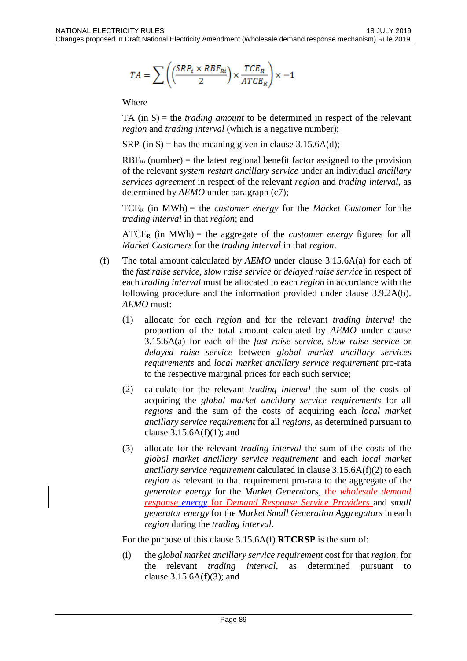$$
TA = \sum \left(\left(\frac{SRP_i \times RBF_{Ri}}{2}\right) \times \frac{TCE_R}{ATCE_R}\right) \times -1
$$

Where

TA (in \$) = the *trading amount* to be determined in respect of the relevant *region* and *trading interval* (which is a negative number);

 $SRP_i$  (in \$) = has the meaning given in clause 3.15.6A(d);

 $RBF_{\text{Ri}}$  (number) = the latest regional benefit factor assigned to the provision of the relevant *system restart ancillary service* under an individual *ancillary services agreement* in respect of the relevant *region* and *trading interval*, as determined by  $AEMO$  under paragraph (c7);

 $TCE_R$  (in MWh) = the *customer energy* for the *Market Customer* for the *trading interval* in that *region*; and

 $\textrm{ATCE}_R$  (in MWh) = the aggregate of the *customer energy* figures for all *Market Customers* for the *trading interval* in that *region*.

- (f) The total amount calculated by *AEMO* under clause 3.15.6A(a) for each of the *fast raise service*, *slow raise service* or *delayed raise service* in respect of each *trading interval* must be allocated to each *region* in accordance with the following procedure and the information provided under clause 3.9.2A(b). *AEMO* must:
	- (1) allocate for each *region* and for the relevant *trading interval* the proportion of the total amount calculated by *AEMO* under clause 3.15.6A(a) for each of the *fast raise service*, *slow raise service* or *delayed raise service* between *global market ancillary services requirements* and *local market ancillary service requirement* pro-rata to the respective marginal prices for each such service;
	- (2) calculate for the relevant *trading interval* the sum of the costs of acquiring the *global market ancillary service requirements* for all *regions* and the sum of the costs of acquiring each *local market ancillary service requirement* for all *regions*, as determined pursuant to clause  $3.15.6A(f)(1)$ ; and
	- (3) allocate for the relevant *trading interval* the sum of the costs of the *global market ancillary service requirement* and each *local market ancillary service requirement* calculated in clause 3.15.6A(f)(2) to each *region* as relevant to that requirement pro-rata to the aggregate of the *generator energy* for the *Market Generators*, the *wholesale demand response energy* for *Demand Response Service Providers* and *small generator energy* for the *Market Small Generation Aggregators* in each *region* during the *trading interval*.

For the purpose of this clause 3.15.6A(f) **RTCRSP** is the sum of:

(i) the *global market ancillary service requirement* cost for that *region*, for the relevant *trading interval*, as determined pursuant to clause  $3.15.6A(f)(3)$ ; and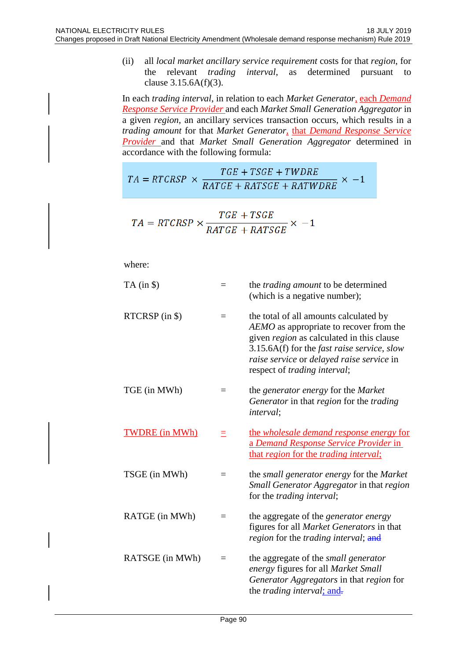(ii) all *local market ancillary service requirement* costs for that *region*, for the relevant *trading interval*, as determined pursuant to clause  $3.15.6A(f)(3)$ .

In each *trading interval*, in relation to each *Market Generator*, each *Demand Response Service Provider* and each *Market Small Generation Aggregator* in a given *region*, an ancillary services transaction occurs, which results in a *trading amount* for that *Market Generator*, that *Demand Response Service Provider* and that *Market Small Generation Aggregator* determined in accordance with the following formula:

$$
TA = RTCRSP \times \frac{TGE + TSGE + TWDRE}{RATGE + RATSGE + RATWDRE} \times -1
$$

$$
TA = RTCRSP \times \frac{TGE + TSGE}{RATGE + RATSGE} \times -1
$$

where:

| $TA$ (in $\$ )        | $=$ | the <i>trading amount</i> to be determined<br>(which is a negative number);                                                                                                                                                                                                         |
|-----------------------|-----|-------------------------------------------------------------------------------------------------------------------------------------------------------------------------------------------------------------------------------------------------------------------------------------|
| RTCRSP (in \$)        |     | the total of all amounts calculated by<br>AEMO as appropriate to recover from the<br>given region as calculated in this clause<br>$3.15.6A(f)$ for the <i>fast raise service</i> , <i>slow</i><br>raise service or delayed raise service in<br>respect of <i>trading interval</i> ; |
| TGE (in MWh)          | $=$ | the <i>generator</i> energy for the <i>Market</i><br>Generator in that region for the trading<br><i>interval</i> ;                                                                                                                                                                  |
| <b>TWDRE</b> (in MWh) | Ξ   | the wholesale demand response energy for<br>a Demand Response Service Provider in<br>that region for the trading interval;                                                                                                                                                          |
| TSGE (in MWh)         | $=$ | the small generator energy for the Market<br>Small Generator Aggregator in that region<br>for the <i>trading interval</i> ;                                                                                                                                                         |
| RATGE (in MWh)        | $=$ | the aggregate of the <i>generator energy</i><br>figures for all Market Generators in that<br><i>region</i> for the <i>trading interval</i> ; and                                                                                                                                    |
| RATSGE (in MWh)       | $=$ | the aggregate of the small generator<br>energy figures for all Market Small<br>Generator Aggregators in that region for<br>the <i>trading interval</i> ; and.                                                                                                                       |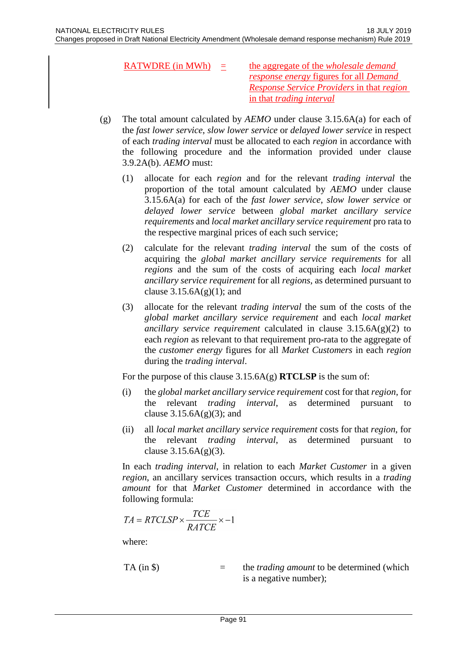- RATWDRE (in MWh) = the aggregate of the *wholesale demand response energy* figures for all *Demand Response Service Providers* in that *region* in that *trading interval*
- (g) The total amount calculated by *AEMO* under clause 3.15.6A(a) for each of the *fast lower service*, *slow lower service* or *delayed lower service* in respect of each *trading interval* must be allocated to each *region* in accordance with the following procedure and the information provided under clause 3.9.2A(b). *AEMO* must:
	- (1) allocate for each *region* and for the relevant *trading interval* the proportion of the total amount calculated by *AEMO* under clause 3.15.6A(a) for each of the *fast lower service*, *slow lower service* or *delayed lower service* between *global market ancillary service requirements* and *local market ancillary service requirement* pro rata to the respective marginal prices of each such service;
	- (2) calculate for the relevant *trading interval* the sum of the costs of acquiring the *global market ancillary service requirements* for all *regions* and the sum of the costs of acquiring each *local market ancillary service requirement* for all *regions*, as determined pursuant to clause  $3.15.6A(g)(1)$ ; and
	- (3) allocate for the relevant *trading interval* the sum of the costs of the *global market ancillary service requirement* and each *local market ancillary service requirement* calculated in clause 3.15.6A(g)(2) to each *region* as relevant to that requirement pro-rata to the aggregate of the *customer energy* figures for all *Market Customers* in each *region* during the *trading interval*.

For the purpose of this clause 3.15.6A(g) **RTCLSP** is the sum of:

- (i) the *global market ancillary service requirement* cost for that *region*, for the relevant *trading interval*, as determined pursuant to clause  $3.15.6A(g)(3)$ ; and
- (ii) all *local market ancillary service requirement* costs for that *region*, for the relevant *trading interval*, as determined pursuant to clause  $3.15.6A(g)(3)$ .

In each *trading interval*, in relation to each *Market Customer* in a given *region*, an ancillary services transaction occurs, which results in a *trading amount* for that *Market Customer* determined in accordance with the following formula:

$$
TA = RTCLSP \times \frac{ICE}{RATCE} \times -1
$$

where:

TA (in 
$$
\$)
$$
) = the *trading amount* to be determined (which  
is a negative number);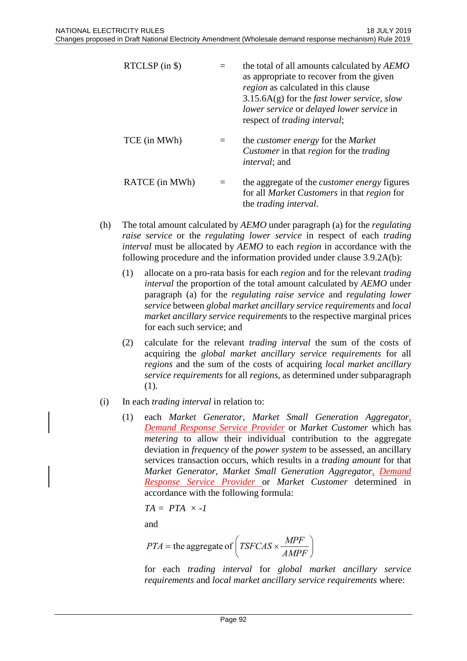| $RTCLSP$ (in \$) | the total of all amounts calculated by AEMO<br>as appropriate to recover from the given<br>region as calculated in this clause<br>$3.15.6A(g)$ for the <i>fast lower service</i> , <i>slow</i><br>lower service or delayed lower service in<br>respect of <i>trading interval</i> ; |
|------------------|-------------------------------------------------------------------------------------------------------------------------------------------------------------------------------------------------------------------------------------------------------------------------------------|
| TCE (in MWh)     | the <i>customer</i> energy for the <i>Market</i><br><i>Customer</i> in that <i>region</i> for the <i>trading</i><br><i>interval</i> ; and                                                                                                                                           |
| RATCE (in MWh)   | the aggregate of the <i>customer energy</i> figures<br>for all <i>Market Customers</i> in that <i>region</i> for<br>the <i>trading interval</i> .                                                                                                                                   |

- (h) The total amount calculated by *AEMO* under paragraph (a) for the *regulating raise service* or the *regulating lower service* in respect of each *trading interval* must be allocated by *AEMO* to each *region* in accordance with the following procedure and the information provided under clause 3.9.2A(b):
	- (1) allocate on a pro-rata basis for each *region* and for the relevant *trading interval* the proportion of the total amount calculated by *AEMO* under paragraph (a) for the *regulating raise service* and *regulating lower service* between *global market ancillary service requirements* and *local market ancillary service requirements* to the respective marginal prices for each such service; and
	- (2) calculate for the relevant *trading interval* the sum of the costs of acquiring the *global market ancillary service requirements* for all *regions* and the sum of the costs of acquiring *local market ancillary service requirements* for all *regions*, as determined under subparagraph (1).
- (i) In each *trading interval* in relation to:
	- (1) each *Market Generator*, *Market Small Generation Aggregator*, *Demand Response Service Provider* or *Market Customer* which has *metering* to allow their individual contribution to the aggregate deviation in *frequency* of the *power system* to be assessed, an ancillary services transaction occurs, which results in a *trading amount* for that *Market Generator*, *Market Small Generation Aggregator*, *Demand Response Service Provider* or *Market Customer* determined in accordance with the following formula:

$$
TA = PTA \times -I
$$

and

$$
PTA = \text{the aggregate of}\left(TSFCAS \times \frac{MPF}{AMPF}\right)
$$

for each *trading interval* for *global market ancillary service requirements* and *local market ancillary service requirements* where: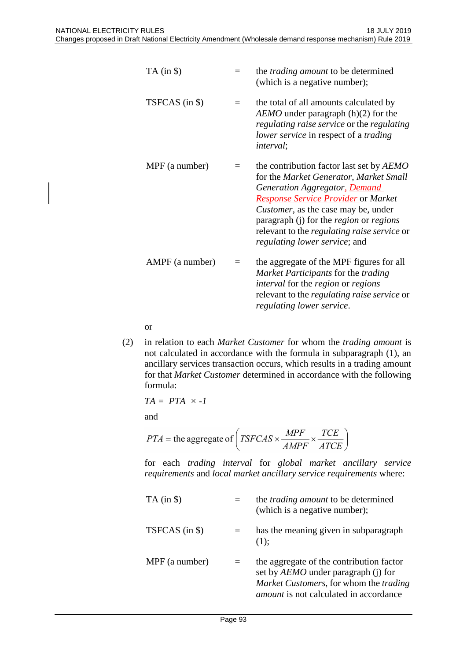| $TA$ (in $\$ )  |          | the <i>trading amount</i> to be determined<br>(which is a negative number);                                                                                                                                                                                                                                                                                             |
|-----------------|----------|-------------------------------------------------------------------------------------------------------------------------------------------------------------------------------------------------------------------------------------------------------------------------------------------------------------------------------------------------------------------------|
| TSFCAS (in \$)  | $=$      | the total of all amounts calculated by<br>$AEMO$ under paragraph (h)(2) for the<br>regulating raise service or the regulating<br>lower service in respect of a trading<br><i>interval</i> ;                                                                                                                                                                             |
| MPF (a number)  | $\equiv$ | the contribution factor last set by AEMO<br>for the Market Generator, Market Small<br>Generation Aggregator, Demand<br><b>Response Service Provider or Market</b><br><i>Customer</i> , as the case may be, under<br>paragraph (j) for the <i>region</i> or <i>regions</i><br>relevant to the <i>regulating raise service</i> or<br><i>regulating lower service;</i> and |
| AMPF (a number) | $=$      | the aggregate of the MPF figures for all<br>Market Participants for the trading<br><i>interval</i> for the <i>region</i> or <i>regions</i><br>relevant to the <i>regulating raise service</i> or<br>regulating lower service.                                                                                                                                           |

or

(2) in relation to each *Market Customer* for whom the *trading amount* is not calculated in accordance with the formula in subparagraph (1), an ancillary services transaction occurs, which results in a trading amount for that *Market Customer* determined in accordance with the following formula:

$$
TA = PTA \times -I
$$

and

$$
PTA = \text{the aggregate of}\left(TSFCAS \times \frac{MPF}{AMPF} \times \frac{TCE}{ATCE}\right)
$$

for each *trading interval* for *global market ancillary service requirements* and *local market ancillary service requirements* where:

| $TA$ (in $\$\$ ) |     | the <i>trading amount</i> to be determined<br>(which is a negative number);                                                                                                       |
|------------------|-----|-----------------------------------------------------------------------------------------------------------------------------------------------------------------------------------|
| TSFCAS (in \$)   | $=$ | has the meaning given in subparagraph<br>$(1)$ ;                                                                                                                                  |
| MPF (a number)   | $=$ | the aggregate of the contribution factor<br>set by <i>AEMO</i> under paragraph (j) for<br>Market Customers, for whom the trading<br><i>amount</i> is not calculated in accordance |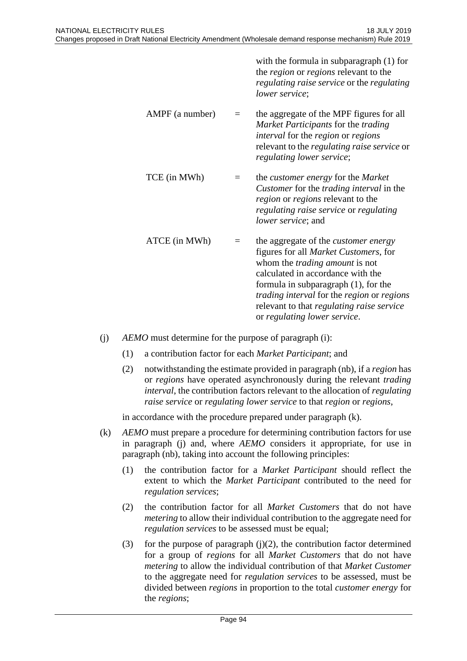|                 |          | with the formula in subparagraph $(1)$ for<br>the <i>region</i> or <i>regions</i> relevant to the<br>regulating raise service or the regulating<br><i>lower service</i> ;                                                                                                                                                                            |
|-----------------|----------|------------------------------------------------------------------------------------------------------------------------------------------------------------------------------------------------------------------------------------------------------------------------------------------------------------------------------------------------------|
| AMPF (a number) | $\equiv$ | the aggregate of the MPF figures for all<br>Market Participants for the trading<br><i>interval</i> for the <i>region</i> or <i>regions</i><br>relevant to the <i>regulating raise service</i> or<br>regulating lower service;                                                                                                                        |
| TCE (in MWh)    |          | the <i>customer</i> energy for the <i>Market</i><br>Customer for the trading interval in the<br><i>region</i> or <i>regions</i> relevant to the<br>regulating raise service or regulating<br>lower service; and                                                                                                                                      |
| ATCE (in MWh)   |          | the aggregate of the <i>customer</i> energy<br>figures for all <i>Market Customers</i> , for<br>whom the <i>trading amount</i> is not<br>calculated in accordance with the<br>formula in subparagraph (1), for the<br>trading interval for the region or regions<br>relevant to that <i>regulating raise service</i><br>or regulating lower service. |

- (j) *AEMO* must determine for the purpose of paragraph (i):
	- (1) a contribution factor for each *Market Participant*; and
	- (2) notwithstanding the estimate provided in paragraph (nb), if a *region* has or *regions* have operated asynchronously during the relevant *trading interval*, the contribution factors relevant to the allocation of *regulating raise service* or *regulating lower service* to that *region* or *regions*,

in accordance with the procedure prepared under paragraph (k).

- (k) *AEMO* must prepare a procedure for determining contribution factors for use in paragraph (j) and, where *AEMO* considers it appropriate, for use in paragraph (nb), taking into account the following principles:
	- (1) the contribution factor for a *Market Participant* should reflect the extent to which the *Market Participant* contributed to the need for *regulation services*;
	- (2) the contribution factor for all *Market Customers* that do not have *metering* to allow their individual contribution to the aggregate need for *regulation services* to be assessed must be equal;
	- (3) for the purpose of paragraph  $(j)(2)$ , the contribution factor determined for a group of *regions* for all *Market Customers* that do not have *metering* to allow the individual contribution of that *Market Customer* to the aggregate need for *regulation services* to be assessed, must be divided between *regions* in proportion to the total *customer energy* for the *regions*;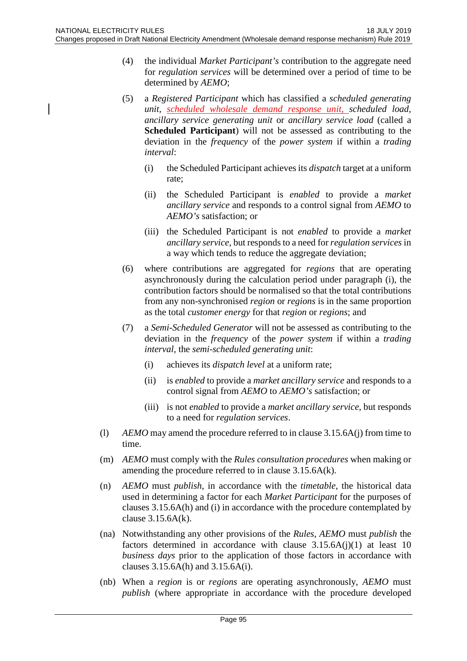- (4) the individual *Market Participant's* contribution to the aggregate need for *regulation services* will be determined over a period of time to be determined by *AEMO*;
- (5) a *Registered Participant* which has classified a *scheduled generating unit*, *scheduled wholesale demand response unit*, *scheduled load*, *ancillary service generating unit* or *ancillary service load* (called a **Scheduled Participant**) will not be assessed as contributing to the deviation in the *frequency* of the *power system* if within a *trading interval*:
	- (i) the Scheduled Participant achieves its *dispatch* target at a uniform rate;
	- (ii) the Scheduled Participant is *enabled* to provide a *market ancillary service* and responds to a control signal from *AEMO* to *AEMO's* satisfaction; or
	- (iii) the Scheduled Participant is not *enabled* to provide a *market ancillary service*, but responds to a need for *regulation services* in a way which tends to reduce the aggregate deviation;
- (6) where contributions are aggregated for *regions* that are operating asynchronously during the calculation period under paragraph (i), the contribution factors should be normalised so that the total contributions from any non-synchronised *region* or *regions* is in the same proportion as the total *customer energy* for that *region* or *regions*; and
- (7) a *Semi-Scheduled Generator* will not be assessed as contributing to the deviation in the *frequency* of the *power system* if within a *trading interval*, the *semi-scheduled generating unit*:
	- (i) achieves its *dispatch level* at a uniform rate;
	- (ii) is *enabled* to provide a *market ancillary service* and responds to a control signal from *AEMO* to *AEMO's* satisfaction; or
	- (iii) is not *enabled* to provide a *market ancillary service*, but responds to a need for *regulation services*.
- (l) *AEMO* may amend the procedure referred to in clause 3.15.6A(j) from time to time.
- (m) *AEMO* must comply with the *Rules consultation procedures* when making or amending the procedure referred to in clause 3.15.6A(k).
- (n) *AEMO* must *publish*, in accordance with the *timetable*, the historical data used in determining a factor for each *Market Participant* for the purposes of clauses 3.15.6A(h) and (i) in accordance with the procedure contemplated by clause 3.15.6A(k).
- (na) Notwithstanding any other provisions of the *Rules*, *AEMO* must *publish* the factors determined in accordance with clause  $3.15.6A(j)(1)$  at least 10 *business days* prior to the application of those factors in accordance with clauses 3.15.6A(h) and 3.15.6A(i).
- (nb) When a *region* is or *regions* are operating asynchronously, *AEMO* must *publish* (where appropriate in accordance with the procedure developed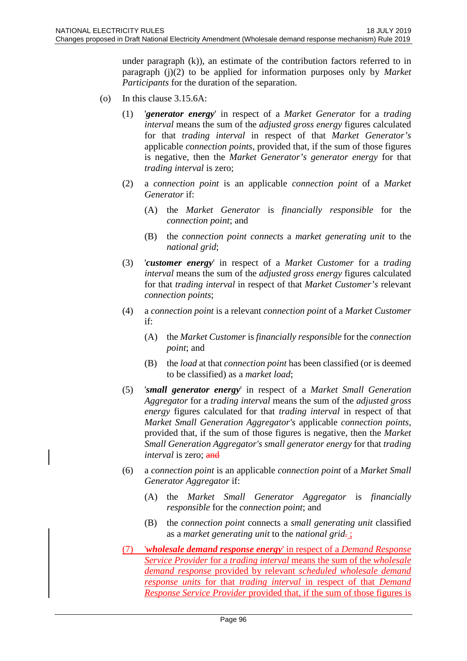under paragraph (k)), an estimate of the contribution factors referred to in paragraph (j)(2) to be applied for information purposes only by *Market Participants* for the duration of the separation.

- (o) In this clause 3.15.6A:
	- (1) '*generator energy*' in respect of a *Market Generator* for a *trading interval* means the sum of the *adjusted gross energy* figures calculated for that *trading interval* in respect of that *Market Generator's* applicable *connection points*, provided that, if the sum of those figures is negative, then the *Market Generator's generator energy* for that *trading interval* is zero;
	- (2) a *connection point* is an applicable *connection point* of a *Market Generator* if:
		- (A) the *Market Generator* is *financially responsible* for the *connection point*; and
		- (B) the *connection point connects* a *market generating unit* to the *national grid*;
	- (3) '*customer energy*' in respect of a *Market Customer* for a *trading interval* means the sum of the *adjusted gross energy* figures calculated for that *trading interval* in respect of that *Market Customer's* relevant *connection points*;
	- (4) a *connection point* is a relevant *connection point* of a *Market Customer* if:
		- (A) the *Market Customer* is *financially responsible* for the *connection point*; and
		- (B) the *load* at that *connection point* has been classified (or is deemed to be classified) as a *market load*;
	- (5) '*small generator energy*' in respect of a *Market Small Generation Aggregator* for a *trading interval* means the sum of the *adjusted gross energy* figures calculated for that *trading interval* in respect of that *Market Small Generation Aggregator's* applicable *connection points*, provided that, if the sum of those figures is negative, then the *Market Small Generation Aggregator's small generator energy* for that *trading interval* is zero; and
	- (6) a *connection point* is an applicable *connection point* of a *Market Small Generator Aggregator* if:
		- (A) the *Market Small Generator Aggregator* is *financially responsible* for the *connection point*; and
		- (B) the *connection point* connects a *small generating unit* classified as a *market generating unit* to the *national grid.* ;
	- (7) '*wholesale demand response energy*' in respect of a *Demand Response Service Provider* for a *trading interval* means the sum of the *wholesale demand response* provided by relevant *scheduled wholesale demand response units* for that *trading interval* in respect of that *Demand Response Service Provider* provided that, if the sum of those figures is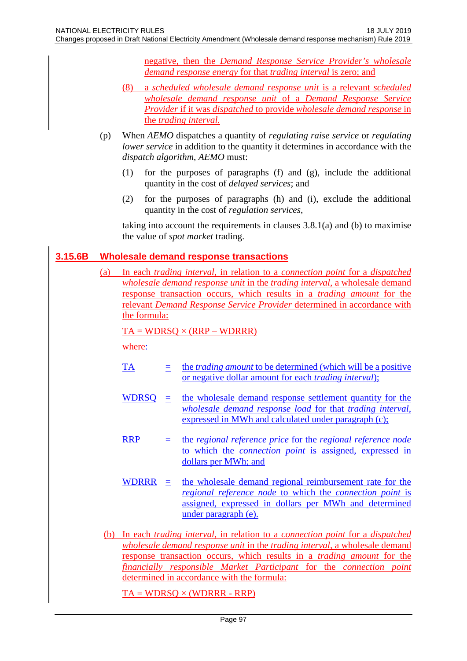negative, then the *Demand Response Service Provider's wholesale demand response energy* for that *trading interval* is zero; and

- (8) a *scheduled wholesale demand response unit* is a relevant *scheduled wholesale demand response unit* of a *Demand Response Service Provider* if it was *dispatched* to provide *wholesale demand response* in the *trading interval.*
- (p) When *AEMO* dispatches a quantity of *regulating raise service* or *regulating lower service* in addition to the quantity it determines in accordance with the *dispatch algorithm*, *AEMO* must:
	- (1) for the purposes of paragraphs (f) and (g), include the additional quantity in the cost of *delayed services*; and
	- (2) for the purposes of paragraphs (h) and (i), exclude the additional quantity in the cost of *regulation services*,

taking into account the requirements in clauses 3.8.1(a) and (b) to maximise the value of *spot market* trading.

# **3.15.6B Wholesale demand response transactions**

(a) In each *trading interval*, in relation to a *connection point* for a *dispatched wholesale demand response unit* in the *trading interval*, a wholesale demand response transaction occurs, which results in a *trading amount* for the relevant *Demand Response Service Provider* determined in accordance with the formula:

 $TA = WDRSQ \times (RRP - WDRRR)$ 

where:

- TA = the *trading amount* to be determined (which will be a positive or negative dollar amount for each *trading interval*);
- WDRSQ = the wholesale demand response settlement quantity for the *wholesale demand response load* for that *trading interval*, expressed in MWh and calculated under paragraph (c);
- $RRP = the *regional reference price for* the *regional reference node*$ </u> to which the *connection point* is assigned, expressed in dollars per MWh; and
- WDRRR = the wholesale demand regional reimbursement rate for the *regional reference node* to which the *connection point* is assigned, expressed in dollars per MWh and determined under paragraph (e).
- (b) In each *trading interval*, in relation to a *connection point* for a *dispatched wholesale demand response unit* in the *trading interval*, a wholesale demand response transaction occurs, which results in a *trading amount* for the *financially responsible Market Participant* for the *connection point* determined in accordance with the formula:

 $TA = WDRSQ \times (WDRRR - RRP)$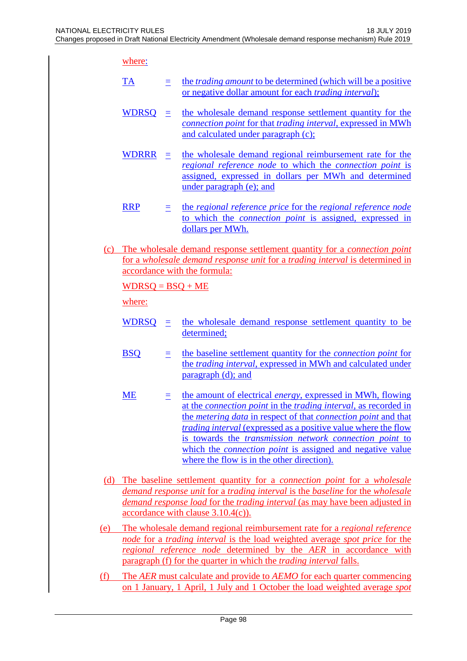where:

- TA = the *trading amount* to be determined (which will be a positive or negative dollar amount for each *trading interval*);
- WDRSQ = the wholesale demand response settlement quantity for the *connection point* for that *trading interval*, expressed in MWh and calculated under paragraph (c);
- WDRRR = the wholesale demand regional reimbursement rate for the *regional reference node* to which the *connection point* is assigned, expressed in dollars per MWh and determined under paragraph (e); and
- $\overline{RRP}$   $\equiv$  the *regional reference price* for the *regional reference node* to which the *connection point* is assigned, expressed in dollars per MWh.
- (c) The wholesale demand response settlement quantity for a *connection point* for a *wholesale demand response unit* for a *trading interval* is determined in accordance with the formula:

 $WDRSQ = BSQ + ME$ 

where:

- WDRSQ = the wholesale demand response settlement quantity to be determined;
- BSQ = the baseline settlement quantity for the *connection point* for the *trading interval*, expressed in MWh and calculated under paragraph (d); and
- ME  $=$  the amount of electrical *energy*, expressed in MWh, flowing at the *connection point* in the *trading interval*, as recorded in the *metering data* in respect of that *connection point* and that *trading interval* (expressed as a positive value where the flow is towards the *transmission network connection point* to which the *connection point* is assigned and negative value where the flow is in the other direction).
- (d) The baseline settlement quantity for a *connection point* for a *wholesale demand response unit* for a *trading interval* is the *baseline* for the *wholesale demand response load* for the *trading interval* (as may have been adjusted in accordance with clause 3.10.4(c)).
- (e) The wholesale demand regional reimbursement rate for a *regional reference node* for a *trading interval* is the load weighted average *spot price* for the *regional reference node* determined by the *AER* in accordance with paragraph (f) for the quarter in which the *trading interval* falls.
- (f) The *AER* must calculate and provide to *AEMO* for each quarter commencing on 1 January, 1 April, 1 July and 1 October the load weighted average *spot*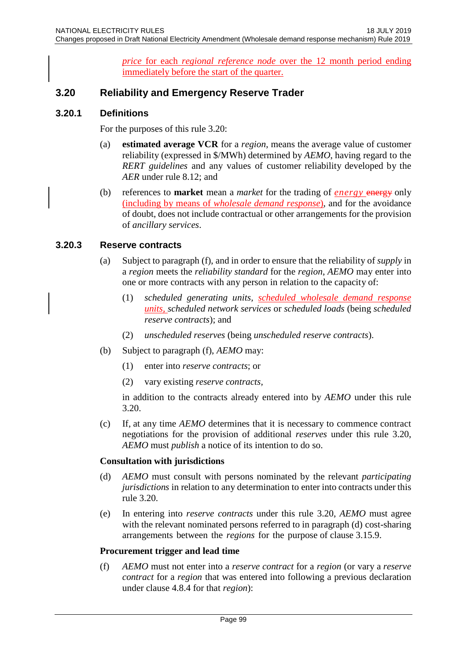*price* for each *regional reference node* over the 12 month period ending immediately before the start of the quarter.

# **3.20 Reliability and Emergency Reserve Trader**

### **3.20.1 Definitions**

For the purposes of this rule 3.20:

- (a) **estimated average VCR** for a *region*, means the average value of customer reliability (expressed in \$/MWh) determined by *AEMO*, having regard to the *RERT guidelines* and any values of customer reliability developed by the *AER* under rule 8.12; and
- (b) references to **market** mean a *market* for the trading of *energy* energy only (including by means of *wholesale demand response*), and for the avoidance of doubt, does not include contractual or other arrangements for the provision of *ancillary services*.

# **3.20.3 Reserve contracts**

- (a) Subject to paragraph (f), and in order to ensure that the reliability of *supply* in a *region* meets the *reliability standard* for the *region*, *AEMO* may enter into one or more contracts with any person in relation to the capacity of:
	- (1) *scheduled generating units, scheduled wholesale demand response units, scheduled network services* or *scheduled loads* (being *scheduled reserve contracts*); and
	- (2) *unscheduled reserves* (being *unscheduled reserve contracts*).
- (b) Subject to paragraph (f), *AEMO* may:
	- (1) enter into *reserve contracts*; or
	- (2) vary existing *reserve contracts,*

in addition to the contracts already entered into by *AEMO* under this rule 3.20.

(c) If, at any time *AEMO* determines that it is necessary to commence contract negotiations for the provision of additional *reserves* under this rule 3.20, *AEMO* must *publish* a notice of its intention to do so.

### **Consultation with jurisdictions**

- (d) *AEMO* must consult with persons nominated by the relevant *participating jurisdictions* in relation to any determination to enter into contracts under this rule 3.20.
- (e) In entering into *reserve contracts* under this rule 3.20, *AEMO* must agree with the relevant nominated persons referred to in paragraph (d) cost-sharing arrangements between the *regions* for the purpose of clause 3.15.9.

### **Procurement trigger and lead time**

(f) *AEMO* must not enter into a *reserve contract* for a *region* (or vary a *reserve contract* for a *region* that was entered into following a previous declaration under clause 4.8.4 for that *region*):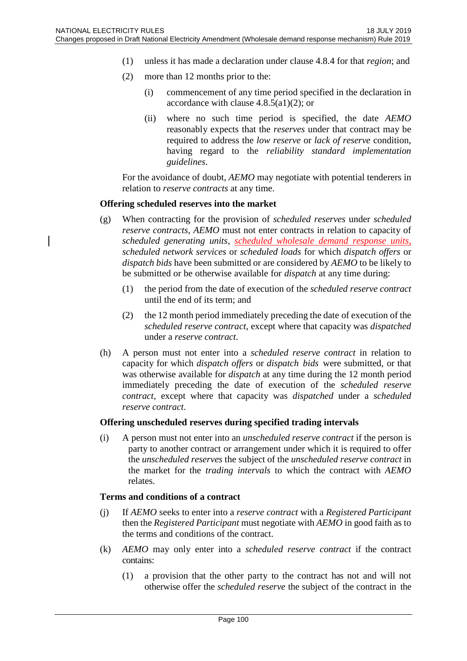- (1) unless it has made a declaration under clause 4.8.4 for that *region*; and
- (2) more than 12 months prior to the:
	- (i) commencement of any time period specified in the declaration in accordance with clause  $4.8.5(a1)(2)$ ; or
	- (ii) where no such time period is specified, the date *AEMO*  reasonably expects that the *reserves* under that contract may be required to address the *low reserve* or *lack of reserve* condition, having regard to the *reliability standard implementation guidelines*.

For the avoidance of doubt, *AEMO* may negotiate with potential tenderers in relation to *reserve contracts* at any time.

### **Offering scheduled reserves into the market**

- (g) When contracting for the provision of *scheduled reserves* under *scheduled reserve contracts*, *AEMO* must not enter contracts in relation to capacity of *scheduled generating units*, *scheduled wholesale demand response units*, *scheduled network services* or *scheduled loads* for which *dispatch offers* or *dispatch bids* have been submitted or are considered by *AEMO* to be likely to be submitted or be otherwise available for *dispatch* at any time during:
	- (1) the period from the date of execution of the *scheduled reserve contract* until the end of its term; and
	- (2) the 12 month period immediately preceding the date of execution of the *scheduled reserve contract*, except where that capacity was *dispatched* under a *reserve contract*.
- (h) A person must not enter into a *scheduled reserve contract* in relation to capacity for which *dispatch offers* or *dispatch bids* were submitted, or that was otherwise available for *dispatch* at any time during the 12 month period immediately preceding the date of execution of the *scheduled reserve contract*, except where that capacity was *dispatched* under a *scheduled reserve contract*.

### **Offering unscheduled reserves during specified trading intervals**

(i) A person must not enter into an *unscheduled reserve contract* if the person is party to another contract or arrangement under which it is required to offer the *unscheduled reserves* the subject of the *unscheduled reserve contract* in the market for the *trading intervals* to which the contract with *AEMO*  relates.

### **Terms and conditions of a contract**

- (j) If *AEMO* seeks to enter into a *reserve contract* with a *Registered Participant* then the *Registered Participant* must negotiate with *AEMO* in good faith as to the terms and conditions of the contract.
- (k) *AEMO* may only enter into a *scheduled reserve contract* if the contract contains:
	- (1) a provision that the other party to the contract has not and will not otherwise offer the *scheduled reserve* the subject of the contract in the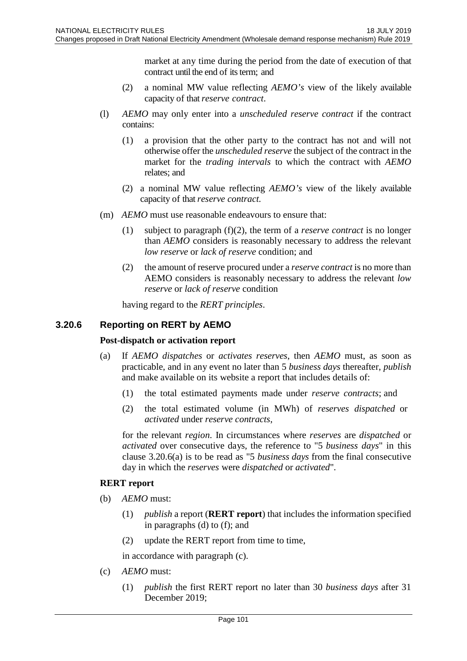market at any time during the period from the date of execution of that contract until the end of its term; and

- (2) a nominal MW value reflecting *AEMO's* view of the likely available capacity of that *reserve contract*.
- (l) *AEMO* may only enter into a *unscheduled reserve contract* if the contract contains:
	- (1) a provision that the other party to the contract has not and will not otherwise offer the *unscheduled reserve* the subject of the contract in the market for the *trading intervals* to which the contract with *AEMO*  relates; and
	- (2) a nominal MW value reflecting *AEMO's* view of the likely available capacity of that *reserve contract.*
- (m) *AEMO* must use reasonable endeavours to ensure that:
	- (1) subject to paragraph (f)(2), the term of a *reserve contract* is no longer than *AEMO* considers is reasonably necessary to address the relevant *low reserve* or *lack of reserve* condition; and
	- (2) the amount of reserve procured under a *reserve contract* is no more than AEMO considers is reasonably necessary to address the relevant *low reserve* or *lack of reserve* condition

having regard to the *RERT principles*.

### **3.20.6 Reporting on RERT by AEMO**

### **Post-dispatch or activation report**

- (a) If *AEMO dispatches* or *activates reserves*, then *AEMO* must, as soon as practicable, and in any event no later than 5 *business days* thereafter, *publish* and make available on its website a report that includes details of:
	- (1) the total estimated payments made under *reserve contracts*; and
	- (2) the total estimated volume (in MWh) of *reserves dispatched* or *activated* under *reserve contracts*,

for the relevant *region*. In circumstances where *reserves* are *dispatched* or *activated* over consecutive days, the reference to "5 *business days*" in this clause 3.20.6(a) is to be read as "5 *business days* from the final consecutive day in which the *reserves* were *dispatched* or *activated*".

### **RERT report**

- (b) *AEMO* must:
	- (1) *publish* a report (**RERT report**) that includes the information specified in paragraphs (d) to (f); and
	- (2) update the RERT report from time to time,

in accordance with paragraph (c).

- (c) *AEMO* must:
	- (1) *publish* the first RERT report no later than 30 *business days* after 31 December 2019;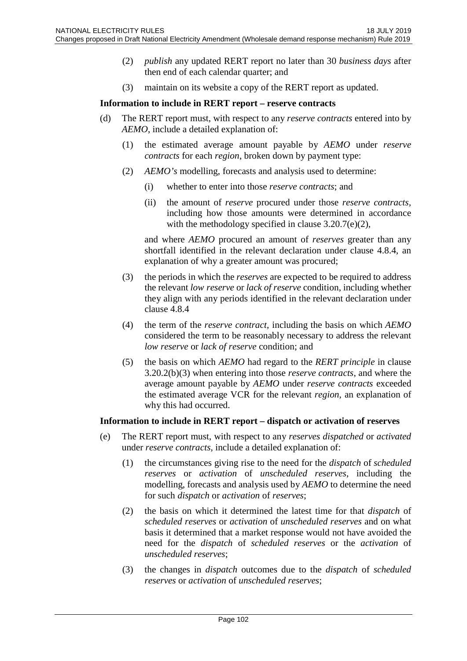- (2) *publish* any updated RERT report no later than 30 *business days* after then end of each calendar quarter; and
- (3) maintain on its website a copy of the RERT report as updated.

### **Information to include in RERT report – reserve contracts**

- (d) The RERT report must, with respect to any *reserve contracts* entered into by *AEMO*, include a detailed explanation of:
	- (1) the estimated average amount payable by *AEMO* under *reserve contracts* for each *region*, broken down by payment type:
	- (2) *AEMO's* modelling, forecasts and analysis used to determine:
		- (i) whether to enter into those *reserve contracts*; and
		- (ii) the amount of *reserve* procured under those *reserve contracts,*  including how those amounts were determined in accordance with the methodology specified in clause 3.20.7(e)(2),

and where *AEMO* procured an amount of *reserves* greater than any shortfall identified in the relevant declaration under clause 4.8.4, an explanation of why a greater amount was procured;

- (3) the periods in which the *reserves* are expected to be required to address the relevant *low reserve* or *lack of reserve* condition, including whether they align with any periods identified in the relevant declaration under clause 4.8.4
- (4) the term of the *reserve contract*, including the basis on which *AEMO* considered the term to be reasonably necessary to address the relevant *low reserve* or *lack of reserve* condition; and
- (5) the basis on which *AEMO* had regard to the *RERT principle* in clause 3.20.2(b)(3) when entering into those *reserve contracts*, and where the average amount payable by *AEMO* under *reserve contracts* exceeded the estimated average VCR for the relevant *region*, an explanation of why this had occurred.

### **Information to include in RERT report – dispatch or activation of reserves**

- (e) The RERT report must, with respect to any *reserves dispatched* or *activated*  under *reserve contracts*, include a detailed explanation of:
	- (1) the circumstances giving rise to the need for the *dispatch* of *scheduled reserves* or *activation* of *unscheduled reserves*, including the modelling, forecasts and analysis used by *AEMO* to determine the need for such *dispatch* or *activation* of *reserves*;
	- (2) the basis on which it determined the latest time for that *dispatch* of *scheduled reserves* or *activation* of *unscheduled reserves* and on what basis it determined that a market response would not have avoided the need for the *dispatch* of *scheduled reserves* or the *activation* of *unscheduled reserves*;
	- (3) the changes in *dispatch* outcomes due to the *dispatch* of *scheduled reserves* or *activation* of *unscheduled reserves*;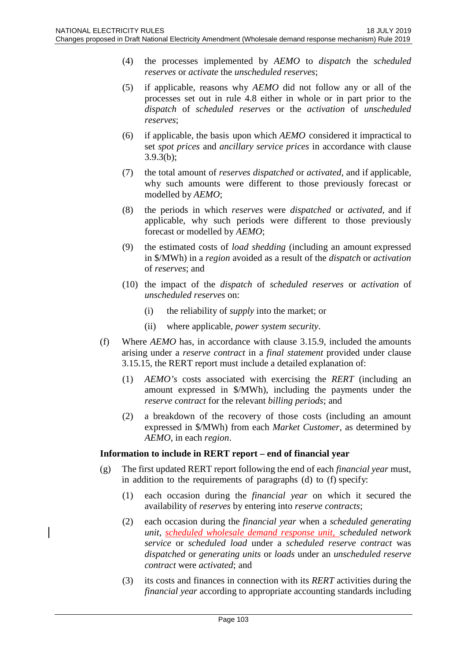- (4) the processes implemented by *AEMO* to *dispatch* the *scheduled reserves* or *activate* the *unscheduled reserves*;
- (5) if applicable, reasons why *AEMO* did not follow any or all of the processes set out in rule 4.8 either in whole or in part prior to the *dispatch* of *scheduled reserves* or the *activation* of *unscheduled reserves*;
- (6) if applicable, the basis upon which *AEMO* considered it impractical to set *spot prices* and *ancillary service prices* in accordance with clause 3.9.3(b);
- (7) the total amount of *reserves dispatched* or *activated*, and if applicable, why such amounts were different to those previously forecast or modelled by *AEMO*;
- (8) the periods in which *reserves* were *dispatched* or *activated*, and if applicable, why such periods were different to those previously forecast or modelled by *AEMO*;
- (9) the estimated costs of *load shedding* (including an amount expressed in \$/MWh) in a *region* avoided as a result of the *dispatch* or *activation*  of *reserves*; and
- (10) the impact of the *dispatch* of *scheduled reserves* or *activation* of *unscheduled reserves* on:
	- (i) the reliability of *supply* into the market; or
	- (ii) where applicable, *power system security*.
- (f) Where *AEMO* has, in accordance with clause 3.15.9, included the amounts arising under a *reserve contract* in a *final statement* provided under clause 3.15.15, the RERT report must include a detailed explanation of:
	- (1) *AEMO's* costs associated with exercising the *RERT* (including an amount expressed in \$/MWh), including the payments under the *reserve contract* for the relevant *billing periods*; and
	- (2) a breakdown of the recovery of those costs (including an amount expressed in \$/MWh) from each *Market Customer*, as determined by *AEMO*, in each *region*.

### **Information to include in RERT report – end of financial year**

- (g) The first updated RERT report following the end of each *financial year* must, in addition to the requirements of paragraphs (d) to (f) specify:
	- (1) each occasion during the *financial year* on which it secured the availability of *reserves* by entering into *reserve contracts*;
	- (2) each occasion during the *financial year* when a *scheduled generating unit*, *scheduled wholesale demand response unit*, *scheduled network service* or *scheduled load* under a *scheduled reserve contract* was *dispatched* or *generating units* or *loads* under an *unscheduled reserve contract* were *activated*; and
	- (3) its costs and finances in connection with its *RERT* activities during the *financial year* according to appropriate accounting standards including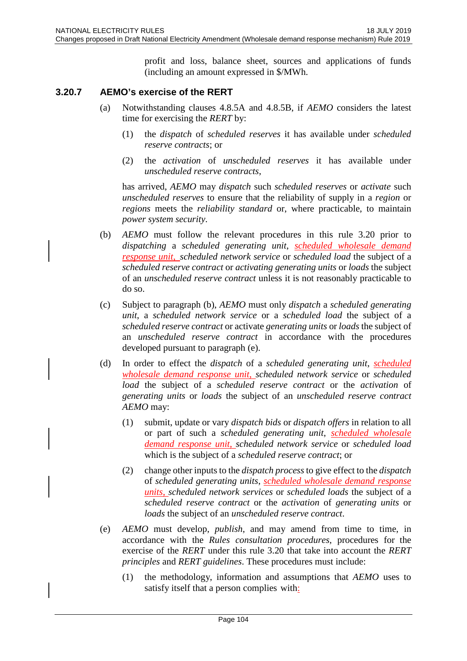profit and loss, balance sheet, sources and applications of funds (including an amount expressed in \$/MWh.

# **3.20.7 AEMO's exercise of the RERT**

- (a) Notwithstanding clauses 4.8.5A and 4.8.5B, if *AEMO* considers the latest time for exercising the *RERT* by:
	- (1) the *dispatch* of *scheduled reserves* it has available under *scheduled reserve contracts*; or
	- (2) the *activation* of *unscheduled reserves* it has available under *unscheduled reserve contracts*,

has arrived, *AEMO* may *dispatch* such *scheduled reserves* or *activate* such *unscheduled reserves* to ensure that the reliability of supply in a *region* or *regions* meets the *reliability standard* or, where practicable, to maintain *power system security*.

- (b) *AEMO* must follow the relevant procedures in this rule 3.20 prior to *dispatching* a *scheduled generating unit*, *scheduled wholesale demand response unit*, *scheduled network service* or *scheduled load* the subject of a *scheduled reserve contract* or *activating generating units* or *loads* the subject of an *unscheduled reserve contract* unless it is not reasonably practicable to do so.
- (c) Subject to paragraph (b), *AEMO* must only *dispatch* a *scheduled generating unit*, a *scheduled network service* or a *scheduled load* the subject of a *scheduled reserve contract* or activate *generating units* or *loads* the subject of an *unscheduled reserve contract* in accordance with the procedures developed pursuant to paragraph (e).
- (d) In order to effect the *dispatch* of a *scheduled generating unit*, *scheduled wholesale demand response unit*, *scheduled network service* or *scheduled load* the subject of a *scheduled reserve contract* or the *activation* of *generating units* or *loads* the subject of an *unscheduled reserve contract AEMO* may:
	- (1) submit, update or vary *dispatch bids* or *dispatch offers* in relation to all or part of such a *scheduled generating unit*, *scheduled wholesale demand response unit*, *scheduled network service* or *scheduled load* which is the subject of a *scheduled reserve contract*; or
	- (2) change other inputs to the *dispatch process* to give effect to the *dispatch* of *scheduled generating units*, *scheduled wholesale demand response units*, *scheduled network services* or *scheduled loads* the subject of a *scheduled reserve contract* or the *activation* of *generating units* or *loads* the subject of an *unscheduled reserve contract*.
- (e) *AEMO* must develop, *publish*, and may amend from time to time, in accordance with the *Rules consultation procedures*, procedures for the exercise of the *RERT* under this rule 3.20 that take into account the *RERT principles* and *RERT guidelines*. These procedures must include:
	- (1) the methodology, information and assumptions that *AEMO* uses to satisfy itself that a person complies with: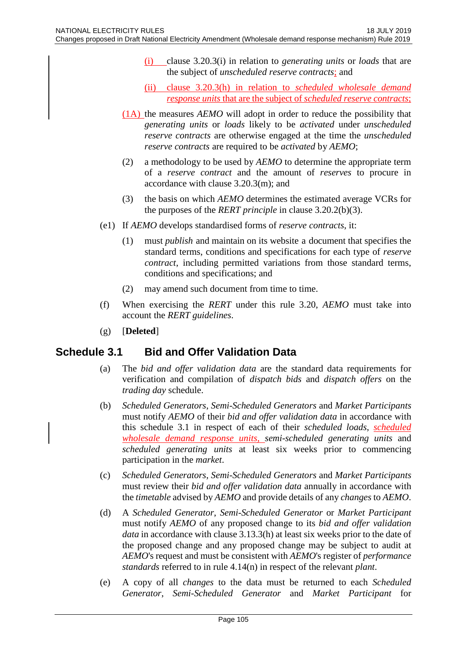- (i) clause 3.20.3(i) in relation to *generating units* or *loads* that are the subject of *unscheduled reserve contracts*; and
- (ii) clause 3.20.3(h) in relation to *scheduled wholesale demand response units* that are the subject of *scheduled reserve contracts*;
- (1A) the measures *AEMO* will adopt in order to reduce the possibility that *generating units* or *loads* likely to be *activated* under *unscheduled reserve contracts* are otherwise engaged at the time the *unscheduled reserve contracts* are required to be *activated* by *AEMO*;
- (2) a methodology to be used by *AEMO* to determine the appropriate term of a *reserve contract* and the amount of *reserves* to procure in accordance with clause 3.20.3(m); and
- (3) the basis on which *AEMO* determines the estimated average VCRs for the purposes of the *RERT principle* in clause 3.20.2(b)(3).
- (e1) If *AEMO* develops standardised forms of *reserve contracts*, it:
	- (1) must *publish* and maintain on its website a document that specifies the standard terms, conditions and specifications for each type of *reserve contract*, including permitted variations from those standard terms, conditions and specifications; and
	- (2) may amend such document from time to time.
- (f) When exercising the *RERT* under this rule 3.20, *AEMO* must take into account the *RERT guidelines*.
- (g) [**Deleted**]

# **Schedule 3.1 Bid and Offer Validation Data**

- (a) The *bid and offer validation data* are the standard data requirements for verification and compilation of *dispatch bids* and *dispatch offers* on the *trading day* schedule.
- (b) *Scheduled Generators*, *Semi-Scheduled Generators* and *Market Participants* must notify *AEMO* of their *bid and offer validation data* in accordance with this schedule 3.1 in respect of each of their *scheduled loads*, *scheduled wholesale demand response units, semi-scheduled generating units* and *scheduled generating units* at least six weeks prior to commencing participation in the *market*.
- (c) *Scheduled Generators*, *Semi-Scheduled Generators* and *Market Participants* must review their *bid and offer validation data* annually in accordance with the *timetable* advised by *AEMO* and provide details of any *changes* to *AEMO*.
- (d) A *Scheduled Generator*, *Semi-Scheduled Generator* or *Market Participant* must notify *AEMO* of any proposed change to its *bid and offer validation data* in accordance with clause 3.13.3(h) at least six weeks prior to the date of the proposed change and any proposed change may be subject to audit at *AEMO*'s request and must be consistent with *AEMO*'s register of *performance standards* referred to in rule 4.14(n) in respect of the relevant *plant*.
- (e) A copy of all *changes* to the data must be returned to each *Scheduled Generator*, *Semi-Scheduled Generator* and *Market Participant* for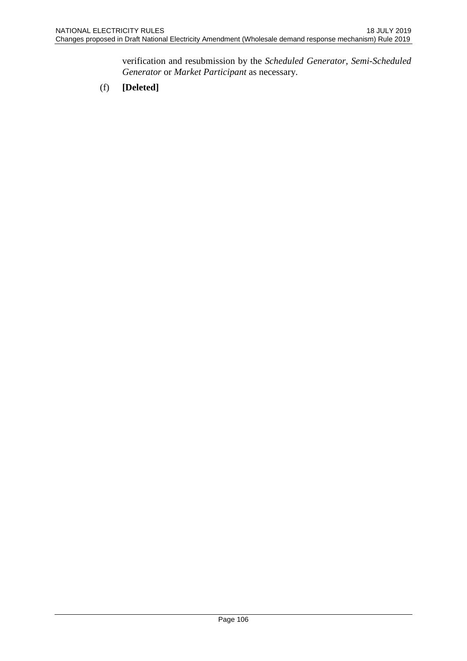verification and resubmission by the *Scheduled Generator*, *Semi-Scheduled Generator* or *Market Participant* as necessary.

(f) **[Deleted]**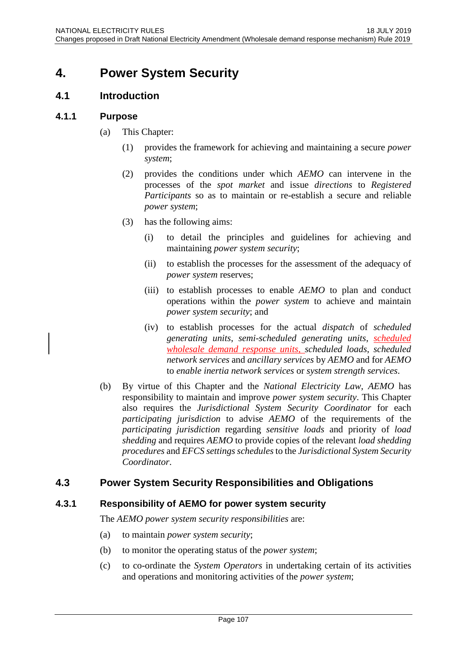# **4. Power System Security**

# **4.1 Introduction**

# **4.1.1 Purpose**

- (a) This Chapter:
	- (1) provides the framework for achieving and maintaining a secure *power system*;
	- (2) provides the conditions under which *AEMO* can intervene in the processes of the *spot market* and issue *directions* to *Registered Participants* so as to maintain or re-establish a secure and reliable *power system*;
	- (3) has the following aims:
		- (i) to detail the principles and guidelines for achieving and maintaining *power system security*;
		- (ii) to establish the processes for the assessment of the adequacy of *power system* reserves;
		- (iii) to establish processes to enable *AEMO* to plan and conduct operations within the *power system* to achieve and maintain *power system security*; and
		- (iv) to establish processes for the actual *dispatch* of *scheduled generating units*, *semi-scheduled generating units*, *scheduled wholesale demand response units*, *scheduled loads*, *scheduled network services* and *ancillary services* by *AEMO* and for *AEMO* to *enable inertia network services* or *system strength services*.
- (b) By virtue of this Chapter and the *National Electricity Law*, *AEMO* has responsibility to maintain and improve *power system security*. This Chapter also requires the *Jurisdictional System Security Coordinator* for each *participating jurisdiction* to advise *AEMO* of the requirements of the *participating jurisdiction* regarding *sensitive loads* and priority of *load shedding* and requires *AEMO* to provide copies of the relevant *load shedding procedures* and *EFCS settings schedules* to the *Jurisdictional System Security Coordinator*.

# **4.3 Power System Security Responsibilities and Obligations**

# **4.3.1 Responsibility of AEMO for power system security**

The *AEMO power system security responsibilities* are:

- (a) to maintain *power system security*;
- (b) to monitor the operating status of the *power system*;
- (c) to co-ordinate the *System Operators* in undertaking certain of its activities and operations and monitoring activities of the *power system*;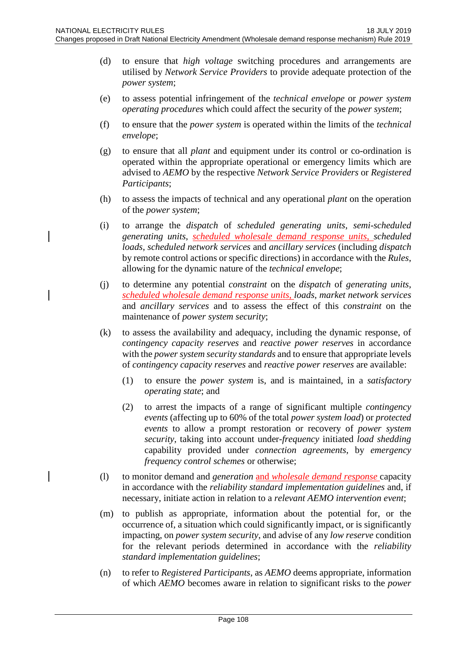- (d) to ensure that *high voltage* switching procedures and arrangements are utilised by *Network Service Providers* to provide adequate protection of the *power system*;
- (e) to assess potential infringement of the *technical envelope* or *power system operating procedures* which could affect the security of the *power system*;
- (f) to ensure that the *power system* is operated within the limits of the *technical envelope*;
- (g) to ensure that all *plant* and equipment under its control or co-ordination is operated within the appropriate operational or emergency limits which are advised to *AEMO* by the respective *Network Service Providers* or *Registered Participants*;
- (h) to assess the impacts of technical and any operational *plant* on the operation of the *power system*;
- (i) to arrange the *dispatch* of *scheduled generating units*, *semi-scheduled generating units*, *scheduled wholesale demand response units*, *scheduled loads*, *scheduled network services* and *ancillary services* (including *dispatch* by remote control actions or specific directions) in accordance with the *Rules*, allowing for the dynamic nature of the *technical envelope*;
- (j) to determine any potential *constraint* on the *dispatch* of *generating units*, *scheduled wholesale demand response units*, *loads*, *market network services* and *ancillary services* and to assess the effect of this *constraint* on the maintenance of *power system security*;
- (k) to assess the availability and adequacy, including the dynamic response, of *contingency capacity reserves* and *reactive power reserves* in accordance with the *power system security standards* and to ensure that appropriate levels of *contingency capacity reserves* and *reactive power reserves* are available:
	- (1) to ensure the *power system* is, and is maintained, in a *satisfactory operating state*; and
	- (2) to arrest the impacts of a range of significant multiple *contingency events* (affecting up to 60% of the total *power system load*) or *protected events* to allow a prompt restoration or recovery of *power system security*, taking into account under-*frequency* initiated *load shedding* capability provided under *connection agreements*, by *emergency frequency control schemes* or otherwise;
- (l) to monitor demand and *generation* and *wholesale demand response* capacity in accordance with the *reliability standard implementation guidelines* and, if necessary, initiate action in relation to a *relevant AEMO intervention event*;
- (m) to publish as appropriate, information about the potential for, or the occurrence of, a situation which could significantly impact, or is significantly impacting, on *power system security*, and advise of any *low reserve* condition for the relevant periods determined in accordance with the *reliability standard implementation guidelines*;
- (n) to refer to *Registered Participants*, as *AEMO* deems appropriate, information of which *AEMO* becomes aware in relation to significant risks to the *power*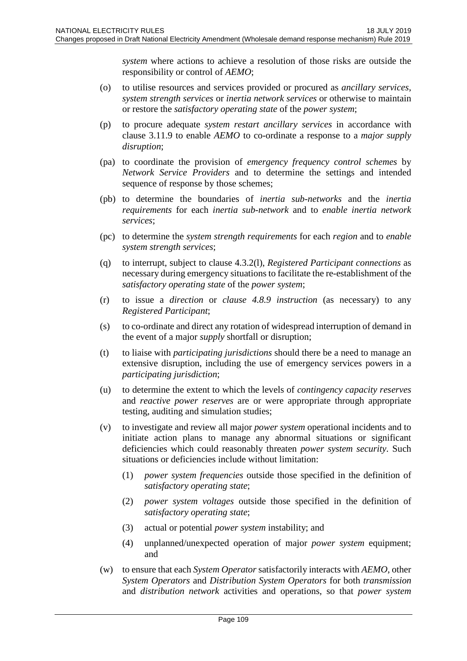*system* where actions to achieve a resolution of those risks are outside the responsibility or control of *AEMO*;

- (o) to utilise resources and services provided or procured as *ancillary services*, *system strength services* or *inertia network services* or otherwise to maintain or restore the *satisfactory operating state* of the *power system*;
- (p) to procure adequate *system restart ancillary services* in accordance with clause 3.11.9 to enable *AEMO* to co-ordinate a response to a *major supply disruption*;
- (pa) to coordinate the provision of *emergency frequency control schemes* by *Network Service Providers* and to determine the settings and intended sequence of response by those schemes;
- (pb) to determine the boundaries of *inertia sub-networks* and the *inertia requirements* for each *inertia sub-network* and to *enable inertia network services*;
- (pc) to determine the *system strength requirements* for each *region* and to *enable system strength services*;
- (q) to interrupt, subject to clause 4.3.2(l), *Registered Participant connections* as necessary during emergency situations to facilitate the re-establishment of the *satisfactory operating state* of the *power system*;
- (r) to issue a *direction* or *clause 4.8.9 instruction* (as necessary) to any *Registered Participant*;
- (s) to co-ordinate and direct any rotation of widespread interruption of demand in the event of a major *supply* shortfall or disruption;
- (t) to liaise with *participating jurisdictions* should there be a need to manage an extensive disruption, including the use of emergency services powers in a *participating jurisdiction*;
- (u) to determine the extent to which the levels of *contingency capacity reserves* and *reactive power reserves* are or were appropriate through appropriate testing, auditing and simulation studies;
- (v) to investigate and review all major *power system* operational incidents and to initiate action plans to manage any abnormal situations or significant deficiencies which could reasonably threaten *power system security*. Such situations or deficiencies include without limitation:
	- (1) *power system frequencies* outside those specified in the definition of *satisfactory operating state*;
	- (2) *power system voltages* outside those specified in the definition of *satisfactory operating state*;
	- (3) actual or potential *power system* instability; and
	- (4) unplanned/unexpected operation of major *power system* equipment; and
- (w) to ensure that each *System Operator* satisfactorily interacts with *AEMO*, other *System Operators* and *Distribution System Operators* for both *transmission* and *distribution network* activities and operations, so that *power system*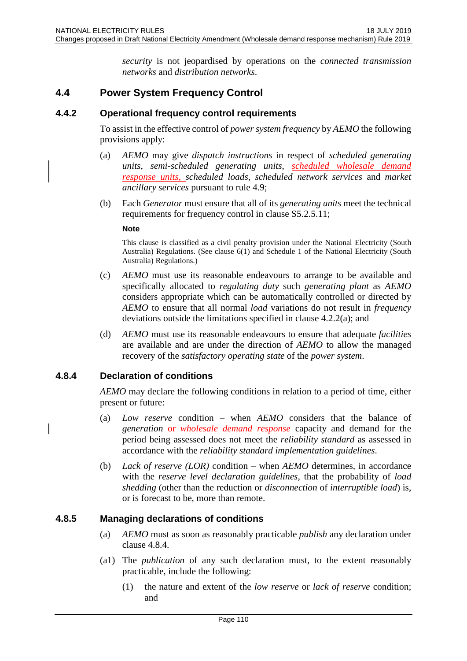*security* is not jeopardised by operations on the *connected transmission networks* and *distribution networks*.

## **4.4 Power System Frequency Control**

## **4.4.2 Operational frequency control requirements**

To assist in the effective control of *power system frequency* by *AEMO* the following provisions apply:

- (a) *AEMO* may give *dispatch instructions* in respect of *scheduled generating units*, *semi-scheduled generating units*, *scheduled wholesale demand response units*, *scheduled loads*, *scheduled network services* and *market ancillary services* pursuant to rule 4.9;
- (b) Each *Generator* must ensure that all of its *generating units* meet the technical requirements for frequency control in clause S5.2.5.11;

#### **Note**

This clause is classified as a civil penalty provision under the National Electricity (South Australia) Regulations. (See clause 6(1) and Schedule 1 of the National Electricity (South Australia) Regulations.)

- (c) *AEMO* must use its reasonable endeavours to arrange to be available and specifically allocated to *regulating duty* such *generating plant* as *AEMO* considers appropriate which can be automatically controlled or directed by *AEMO* to ensure that all normal *load* variations do not result in *frequency* deviations outside the limitations specified in clause 4.2.2(a); and
- (d) *AEMO* must use its reasonable endeavours to ensure that adequate *facilities* are available and are under the direction of *AEMO* to allow the managed recovery of the *satisfactory operating state* of the *power system*.

## **4.8.4 Declaration of conditions**

*AEMO* may declare the following conditions in relation to a period of time, either present or future:

- (a) *Low reserve* condition when *AEMO* considers that the balance of *generation* or *wholesale demand response* capacity and demand for the period being assessed does not meet the *reliability standard* as assessed in accordance with the *reliability standard implementation guidelines*.
- (b) *Lack of reserve (LOR)* condition when *AEMO* determines, in accordance with the *reserve level declaration guidelines*, that the probability of *load shedding* (other than the reduction or *disconnection* of *interruptible load*) is, or is forecast to be, more than remote.

## **4.8.5 Managing declarations of conditions**

- (a) *AEMO* must as soon as reasonably practicable *publish* any declaration under clause 4.8.4.
- (a1) The *publication* of any such declaration must, to the extent reasonably practicable, include the following:
	- (1) the nature and extent of the *low reserve* or *lack of reserve* condition; and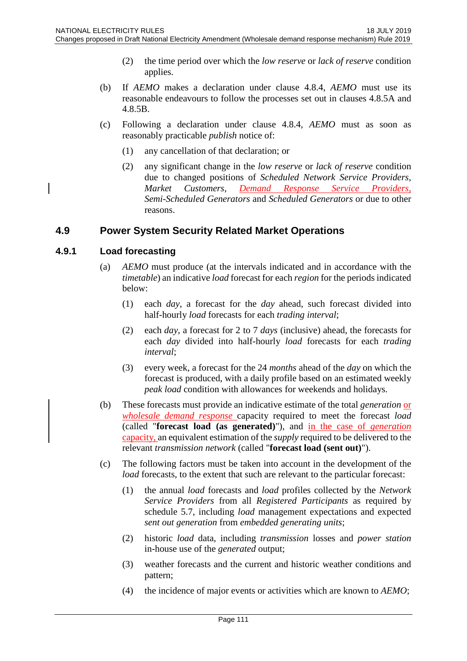- (2) the time period over which the *low reserve* or *lack of reserve* condition applies.
- (b) If *AEMO* makes a declaration under clause 4.8.4, *AEMO* must use its reasonable endeavours to follow the processes set out in clauses 4.8.5A and 4.8.5B.
- (c) Following a declaration under clause 4.8.4, *AEMO* must as soon as reasonably practicable *publish* notice of:
	- (1) any cancellation of that declaration; or
	- (2) any significant change in the *low reserve* or *lack of reserve* condition due to changed positions of *Scheduled Network Service Providers*, *Market Customers*, *Demand Response Service Providers*, *Semi-Scheduled Generators* and *Scheduled Generators* or due to other reasons.

## **4.9 Power System Security Related Market Operations**

## **4.9.1 Load forecasting**

- (a) *AEMO* must produce (at the intervals indicated and in accordance with the *timetable*) an indicative *load* forecast for each *region* for the periods indicated below:
	- (1) each *day*, a forecast for the *day* ahead, such forecast divided into half-hourly *load* forecasts for each *trading interval*;
	- (2) each *day*, a forecast for 2 to 7 *days* (inclusive) ahead, the forecasts for each *day* divided into half-hourly *load* forecasts for each *trading interval*;
	- (3) every week, a forecast for the 24 *months* ahead of the *day* on which the forecast is produced, with a daily profile based on an estimated weekly *peak load* condition with allowances for weekends and holidays.
- (b) These forecasts must provide an indicative estimate of the total *generation* or *wholesale demand response* capacity required to meet the forecast *load* (called "**forecast load (as generated)**"), and in the case of *generation* capacity, an equivalent estimation of the *supply* required to be delivered to the relevant *transmission network* (called "**forecast load (sent out)**").
- (c) The following factors must be taken into account in the development of the *load* forecasts, to the extent that such are relevant to the particular forecast:
	- (1) the annual *load* forecasts and *load* profiles collected by the *Network Service Providers* from all *Registered Participants* as required by schedule 5.7, including *load* management expectations and expected *sent out generation* from *embedded generating units*;
	- (2) historic *load* data, including *transmission* losses and *power station* in-house use of the *generated* output;
	- (3) weather forecasts and the current and historic weather conditions and pattern;
	- (4) the incidence of major events or activities which are known to *AEMO*;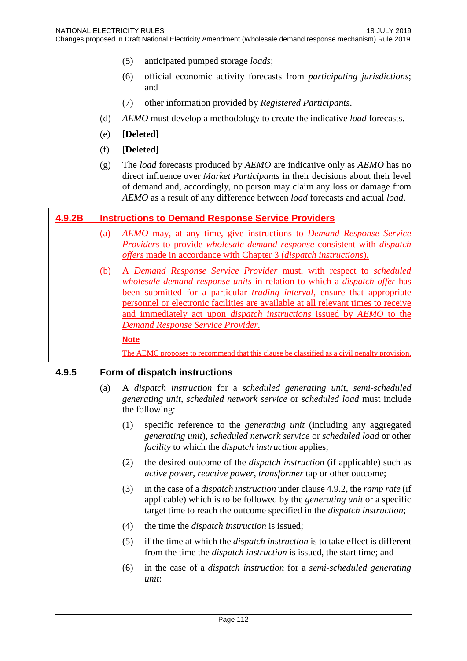- (5) anticipated pumped storage *loads*;
- (6) official economic activity forecasts from *participating jurisdictions*; and
- (7) other information provided by *Registered Participants*.
- (d) *AEMO* must develop a methodology to create the indicative *load* forecasts.
- (e) **[Deleted]**
- (f) **[Deleted]**
- (g) The *load* forecasts produced by *AEMO* are indicative only as *AEMO* has no direct influence over *Market Participants* in their decisions about their level of demand and, accordingly, no person may claim any loss or damage from *AEMO* as a result of any difference between *load* forecasts and actual *load*.

## **4.9.2B Instructions to Demand Response Service Providers**

- (a) *AEMO* may, at any time, give instructions to *Demand Response Service Providers* to provide *wholesale demand response* consistent with *dispatch offers* made in accordance with Chapter 3 (*dispatch instructions*).
- (b) A *Demand Response Service Provider* must, with respect to *scheduled wholesale demand response units* in relation to which a *dispatch offer* has been submitted for a particular *trading interval*, ensure that appropriate personnel or electronic facilities are available at all relevant times to receive and immediately act upon *dispatch instructions* issued by *AEMO* to the *Demand Response Service Provider*.

**Note**

The AEMC proposes to recommend that this clause be classified as a civil penalty provision.

## **4.9.5 Form of dispatch instructions**

- (a) A *dispatch instruction* for a *scheduled generating unit*, *semi-scheduled generating unit*, *scheduled network service* or *scheduled load* must include the following:
	- (1) specific reference to the *generating unit* (including any aggregated *generating unit*), *scheduled network service* or *scheduled load* or other *facility* to which the *dispatch instruction* applies;
	- (2) the desired outcome of the *dispatch instruction* (if applicable) such as *active power*, *reactive power*, *transformer* tap or other outcome;
	- (3) in the case of a *dispatch instruction* under clause 4.9.2, the *ramp rate* (if applicable) which is to be followed by the *generating unit* or a specific target time to reach the outcome specified in the *dispatch instruction*;
	- (4) the time the *dispatch instruction* is issued;
	- (5) if the time at which the *dispatch instruction* is to take effect is different from the time the *dispatch instruction* is issued, the start time; and
	- (6) in the case of a *dispatch instruction* for a *semi-scheduled generating unit*: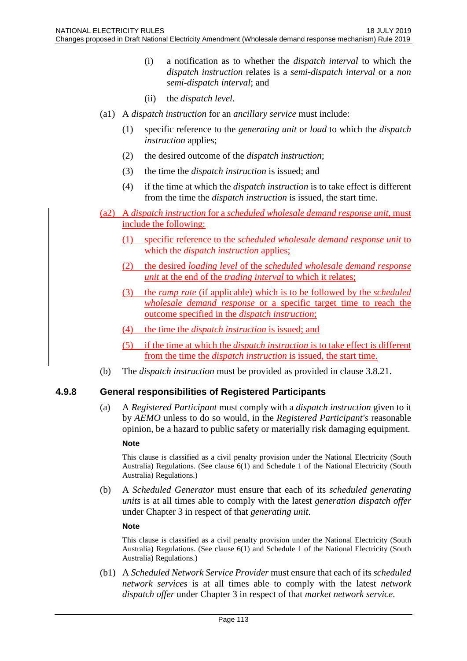- (i) a notification as to whether the *dispatch interval* to which the *dispatch instruction* relates is a *semi-dispatch interval* or a *non semi-dispatch interval*; and
- (ii) the *dispatch level*.
- (a1) A *dispatch instruction* for an *ancillary service* must include:
	- (1) specific reference to the *generating unit* or *load* to which the *dispatch instruction* applies;
	- (2) the desired outcome of the *dispatch instruction*;
	- (3) the time the *dispatch instruction* is issued; and
	- (4) if the time at which the *dispatch instruction* is to take effect is different from the time the *dispatch instruction* is issued, the start time.
- (a2) A *dispatch instruction* for a *scheduled wholesale demand response unit*, must include the following:
	- (1) specific reference to the *scheduled wholesale demand response unit* to which the *dispatch instruction* applies;
	- (2) the desired *loading level* of the *scheduled wholesale demand response unit* at the end of the *trading interval* to which it relates;
	- (3) the *ramp rate* (if applicable) which is to be followed by the *scheduled wholesale demand response* or a specific target time to reach the outcome specified in the *dispatch instruction*;
	- (4) the time the *dispatch instruction* is issued; and
	- (5) if the time at which the *dispatch instruction* is to take effect is different from the time the *dispatch instruction* is issued, the start time.
- (b) The *dispatch instruction* must be provided as provided in clause 3.8.21.

## **4.9.8 General responsibilities of Registered Participants**

(a) A *Registered Participant* must comply with a *dispatch instruction* given to it by *AEMO* unless to do so would, in the *Registered Participant's* reasonable opinion, be a hazard to public safety or materially risk damaging equipment.

#### **Note**

This clause is classified as a civil penalty provision under the National Electricity (South Australia) Regulations. (See clause 6(1) and Schedule 1 of the National Electricity (South Australia) Regulations.)

(b) A *Scheduled Generator* must ensure that each of its *scheduled generating units* is at all times able to comply with the latest *generation dispatch offer* under Chapter 3 in respect of that *generating unit*.

## **Note**

This clause is classified as a civil penalty provision under the National Electricity (South Australia) Regulations. (See clause 6(1) and Schedule 1 of the National Electricity (South Australia) Regulations.)

(b1) A *Scheduled Network Service Provider* must ensure that each of its *scheduled network services* is at all times able to comply with the latest *network dispatch offer* under Chapter 3 in respect of that *market network service*.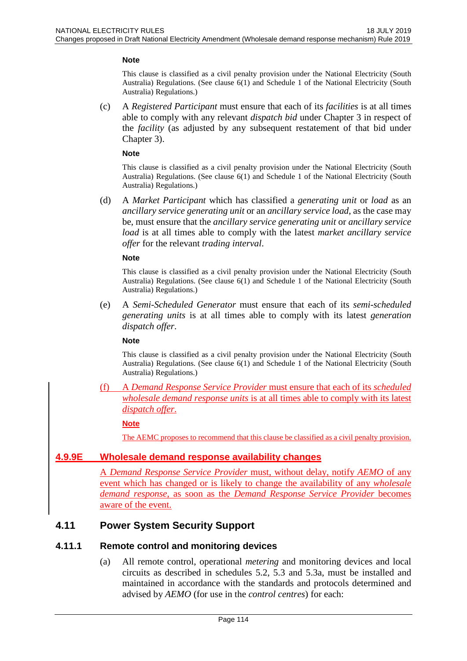#### **Note**

This clause is classified as a civil penalty provision under the National Electricity (South Australia) Regulations. (See clause 6(1) and Schedule 1 of the National Electricity (South Australia) Regulations.)

(c) A *Registered Participant* must ensure that each of its *facilities* is at all times able to comply with any relevant *dispatch bid* under Chapter 3 in respect of the *facility* (as adjusted by any subsequent restatement of that bid under Chapter 3).

#### **Note**

This clause is classified as a civil penalty provision under the National Electricity (South Australia) Regulations. (See clause 6(1) and Schedule 1 of the National Electricity (South Australia) Regulations.)

(d) A *Market Participant* which has classified a *generating unit* or *load* as an *ancillary service generating unit* or an *ancillary service load*, as the case may be, must ensure that the *ancillary service generating unit* or *ancillary service load* is at all times able to comply with the latest *market ancillary service offer* for the relevant *trading interval*.

#### **Note**

This clause is classified as a civil penalty provision under the National Electricity (South Australia) Regulations. (See clause 6(1) and Schedule 1 of the National Electricity (South Australia) Regulations.)

(e) A *Semi-Scheduled Generator* must ensure that each of its *semi-scheduled generating units* is at all times able to comply with its latest *generation dispatch offer*.

#### **Note**

This clause is classified as a civil penalty provision under the National Electricity (South Australia) Regulations. (See clause 6(1) and Schedule 1 of the National Electricity (South Australia) Regulations.)

(f) A *Demand Response Service Provider* must ensure that each of its *scheduled wholesale demand response units* is at all times able to comply with its latest *dispatch offer*.

#### **Note**

The AEMC proposes to recommend that this clause be classified as a civil penalty provision.

## **4.9.9E Wholesale demand response availability changes**

A *Demand Response Service Provider* must, without delay, notify *AEMO* of any event which has changed or is likely to change the availability of any *wholesale demand response*, as soon as the *Demand Response Service Provider* becomes aware of the event.

## **4.11 Power System Security Support**

## **4.11.1 Remote control and monitoring devices**

(a) All remote control, operational *metering* and monitoring devices and local circuits as described in schedules 5.2, 5.3 and 5.3a, must be installed and maintained in accordance with the standards and protocols determined and advised by *AEMO* (for use in the *control centres*) for each: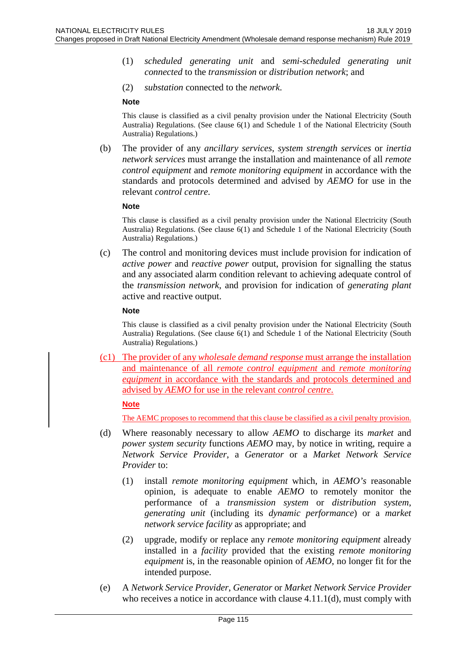- (1) *scheduled generating unit* and *semi-scheduled generating unit connected* to the *transmission* or *distribution network*; and
- (2) *substation* connected to the *network*.

#### **Note**

This clause is classified as a civil penalty provision under the National Electricity (South Australia) Regulations. (See clause 6(1) and Schedule 1 of the National Electricity (South Australia) Regulations.)

(b) The provider of any *ancillary services*, *system strength services* or *inertia network services* must arrange the installation and maintenance of all *remote control equipment* and *remote monitoring equipment* in accordance with the standards and protocols determined and advised by *AEMO* for use in the relevant *control centre*.

#### **Note**

This clause is classified as a civil penalty provision under the National Electricity (South Australia) Regulations. (See clause 6(1) and Schedule 1 of the National Electricity (South Australia) Regulations.)

(c) The control and monitoring devices must include provision for indication of *active power* and *reactive power* output, provision for signalling the status and any associated alarm condition relevant to achieving adequate control of the *transmission network*, and provision for indication of *generating plant* active and reactive output.

#### **Note**

This clause is classified as a civil penalty provision under the National Electricity (South Australia) Regulations. (See clause 6(1) and Schedule 1 of the National Electricity (South Australia) Regulations.)

(c1) The provider of any *wholesale demand response* must arrange the installation and maintenance of all *remote control equipment* and *remote monitoring equipment* in accordance with the standards and protocols determined and advised by *AEMO* for use in the relevant *control centre*.

#### **Note**

The AEMC proposes to recommend that this clause be classified as a civil penalty provision.

- (d) Where reasonably necessary to allow *AEMO* to discharge its *market* and *power system security* functions *AEMO* may, by notice in writing, require a *Network Service Provider*, a *Generator* or a *Market Network Service Provider* to:
	- (1) install *remote monitoring equipment* which, in *AEMO's* reasonable opinion, is adequate to enable *AEMO* to remotely monitor the performance of a *transmission system* or *distribution system*, *generating unit* (including its *dynamic performance*) or a *market network service facility* as appropriate; and
	- (2) upgrade, modify or replace any *remote monitoring equipment* already installed in a *facility* provided that the existing *remote monitoring equipment* is, in the reasonable opinion of *AEMO*, no longer fit for the intended purpose.
- (e) A *Network Service Provider*, *Generator* or *Market Network Service Provider* who receives a notice in accordance with clause 4.11.1(d), must comply with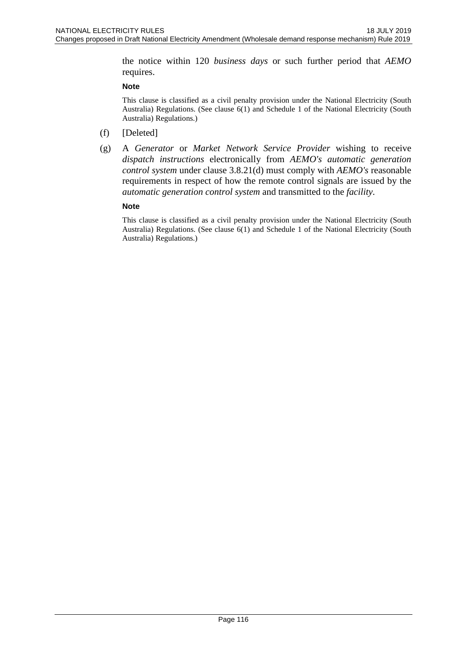the notice within 120 *business days* or such further period that *AEMO* requires.

#### **Note**

This clause is classified as a civil penalty provision under the National Electricity (South Australia) Regulations. (See clause 6(1) and Schedule 1 of the National Electricity (South Australia) Regulations.)

- (f) [Deleted]
- (g) A *Generator* or *Market Network Service Provider* wishing to receive *dispatch instructions* electronically from *AEMO's automatic generation control system* under clause 3.8.21(d) must comply with *AEMO's* reasonable requirements in respect of how the remote control signals are issued by the *automatic generation control system* and transmitted to the *facility*.

#### **Note**

This clause is classified as a civil penalty provision under the National Electricity (South Australia) Regulations. (See clause 6(1) and Schedule 1 of the National Electricity (South Australia) Regulations.)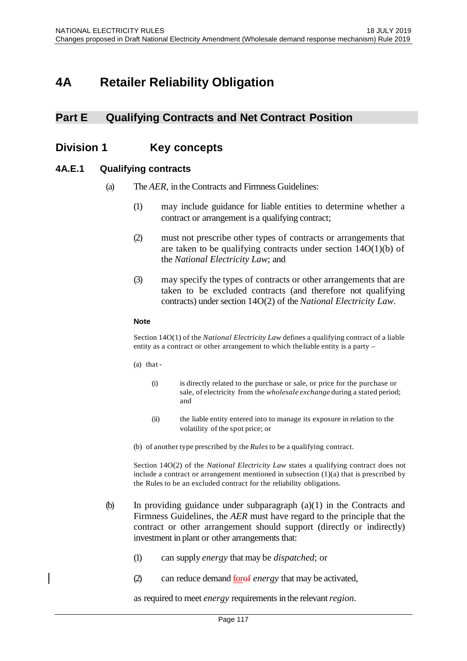# **4A Retailer Reliability Obligation**

# **Part E Qualifying Contracts and Net Contract Position**

# **Division 1 Key concepts**

## **4A.E.1 Qualifying contracts**

- (a) The *AER*, in the Contracts and Firmness Guidelines:
	- (1) may include guidance for liable entities to determine whether a contract or arrangement is a qualifying contract;
	- (2) must not prescribe other types of contracts or arrangements that are taken to be qualifying contracts under section  $14O(1)(b)$  of the *National Electricity Law*; and
	- (3) may specify the types of contracts or other arrangements that are taken to be excluded contracts (and therefore not qualifying contracts) under section 14O(2) of the *National Electricity Law*.

#### **Note**

Section 14O(1) of the *National Electricity Law* defines a qualifying contract of a liable entity as a contract or other arrangement to which theliable entity is a party –

- (a) that
	- (i) is directly related to the purchase or sale, or price for the purchase or sale, of electricity from the *wholesale exchange* during a stated period; and
	- (ii) the liable entity entered into to manage its exposure in relation to the volatility of the spot price; or
- (b) of another type prescribed by the *Rules* to be a qualifying contract.

Section 14O(2) of the *National Electricity Law* states a qualifying contract does not include a contract or arrangement mentioned in subsection (1)(a) that is prescribed by the Rules to be an excluded contract for the reliability obligations.

- (b) In providing guidance under subparagraph (a)(1) in the Contracts and Firmness Guidelines, the *AER* must have regard to the principle that the contract or other arrangement should support (directly or indirectly) investment in plant or other arrangements that:
	- (1) can supply *energy* that may be *dispatched*; or
	- (2) can reduce demand forof *energy* that may be activated,

as required to meet *energy* requirementsin the relevant*region*.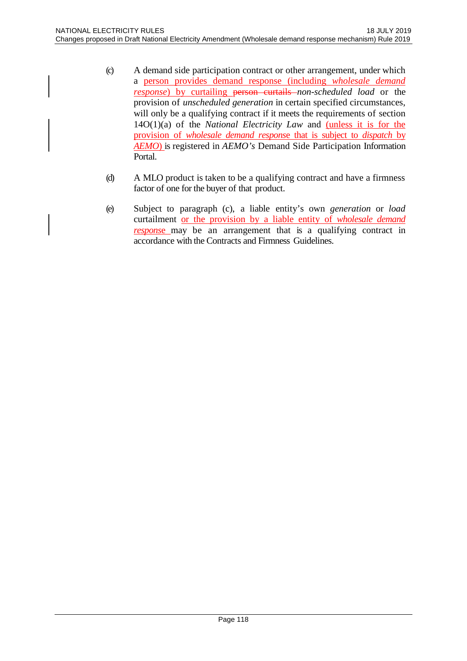- (c) A demand side participation contract or other arrangement, under which a person provides demand response (including *wholesale demand response*) by curtailing **person curtails** *non-scheduled load* or the provision of *unscheduled generation* in certain specified circumstances, will only be a qualifying contract if it meets the requirements of section 14O(1)(a) of the *National Electricity Law* and (unless it is for the provision of *wholesale demand respons*e that is subject to *dispatch* by *AEMO*) is registered in *AEMO's* Demand Side Participation Information Portal.
- (d) A MLO product is taken to be a qualifying contract and have a firmness factor of one for the buyer of that product.
- (e) Subject to paragraph (c), a liable entity's own *generation* or *load*  curtailment or the provision by a liable entity of *wholesale demand respons*e may be an arrangement that is a qualifying contract in accordance with the Contracts and Firmness Guidelines.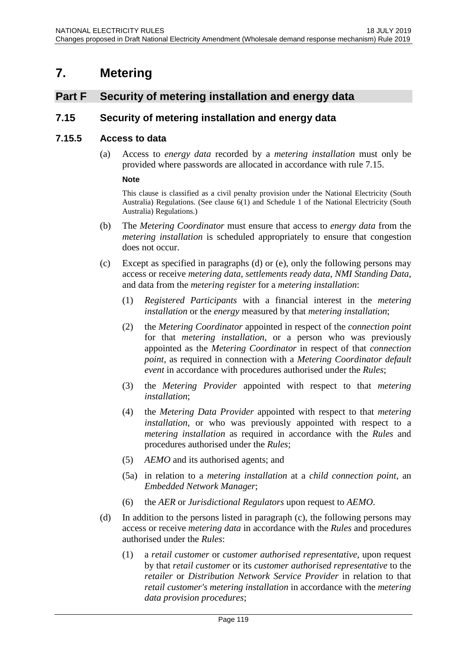# **7. Metering**

# **Part F Security of metering installation and energy data**

## **7.15 Security of metering installation and energy data**

## **7.15.5 Access to data**

(a) Access to *energy data* recorded by a *metering installation* must only be provided where passwords are allocated in accordance with rule 7.15.

#### **Note**

This clause is classified as a civil penalty provision under the National Electricity (South Australia) Regulations. (See clause 6(1) and Schedule 1 of the National Electricity (South Australia) Regulations.)

- (b) The *Metering Coordinator* must ensure that access to *energy data* from the *metering installation* is scheduled appropriately to ensure that congestion does not occur.
- (c) Except as specified in paragraphs (d) or (e), only the following persons may access or receive *metering data*, *settlements ready data*, *NMI Standing Data*, and data from the *metering register* for a *metering installation*:
	- (1) *Registered Participants* with a financial interest in the *metering installation* or the *energy* measured by that *metering installation*;
	- (2) the *Metering Coordinator* appointed in respect of the *connection point* for that *metering installation*, or a person who was previously appointed as the *Metering Coordinator* in respect of that *connection point*, as required in connection with a *Metering Coordinator default event* in accordance with procedures authorised under the *Rules*;
	- (3) the *Metering Provider* appointed with respect to that *metering installation*;
	- (4) the *Metering Data Provider* appointed with respect to that *metering installation*, or who was previously appointed with respect to a *metering installation* as required in accordance with the *Rules* and procedures authorised under the *Rules*;
	- (5) *AEMO* and its authorised agents; and
	- (5a) in relation to a *metering installation* at a *child connection point*, an *Embedded Network Manager*;
	- (6) the *AER* or *Jurisdictional Regulators* upon request to *AEMO*.
- (d) In addition to the persons listed in paragraph (c), the following persons may access or receive *metering data* in accordance with the *Rules* and procedures authorised under the *Rules*:
	- (1) a *retail customer* or *customer authorised representative*, upon request by that *retail customer* or its *customer authorised representative* to the *retailer* or *Distribution Network Service Provider* in relation to that *retail customer's metering installation* in accordance with the *metering data provision procedures*;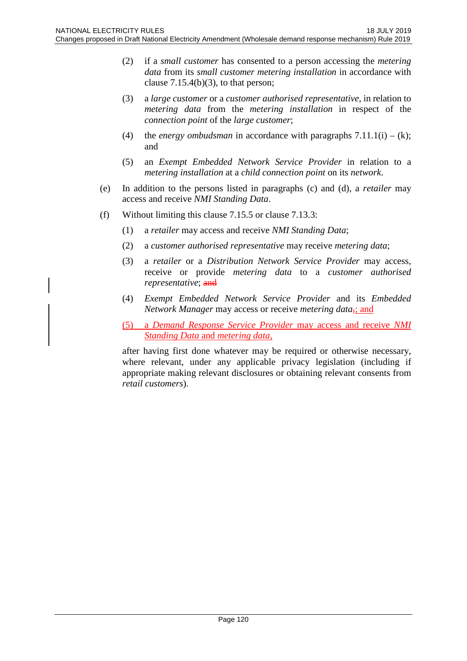- (2) if a *small customer* has consented to a person accessing the *metering data* from its *small customer metering installation* in accordance with clause  $7.15.4(b)(3)$ , to that person;
- (3) a *large customer* or a *customer authorised representative*, in relation to *metering data* from the *metering installation* in respect of the *connection point* of the *large customer*;
- (4) the *energy ombudsman* in accordance with paragraphs  $7.11.1(i) (k)$ ; and
- (5) an *Exempt Embedded Network Service Provider* in relation to a *metering installation* at a *child connection point* on its *network*.
- (e) In addition to the persons listed in paragraphs (c) and (d), a *retailer* may access and receive *NMI Standing Data*.
- (f) Without limiting this clause 7.15.5 or clause 7.13.3:
	- (1) a *retailer* may access and receive *NMI Standing Data*;
	- (2) a *customer authorised representative* may receive *metering data*;
	- (3) a *retailer* or a *Distribution Network Service Provider* may access, receive or provide *metering data* to a *customer authorised representative*; and
	- (4) *Exempt Embedded Network Service Provider* and its *Embedded Network Manager* may access or receive *metering data*<sub> $\frac{1}{2}$ </sub> and
	- (5) a *Demand Response Service Provider* may access and receive *NMI Standing Data* and *metering data,*

after having first done whatever may be required or otherwise necessary, where relevant, under any applicable privacy legislation (including if appropriate making relevant disclosures or obtaining relevant consents from *retail customers*).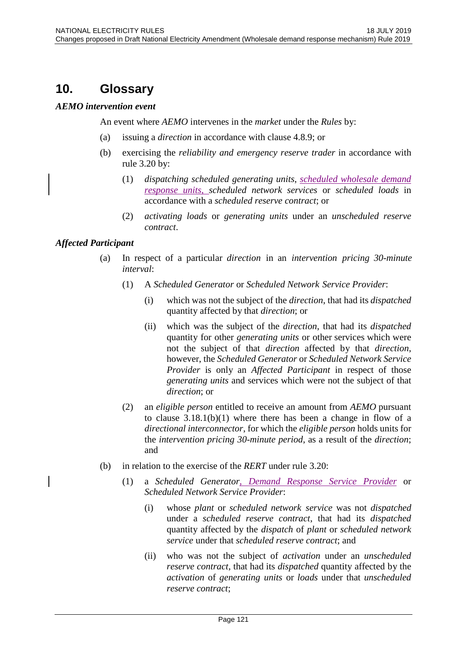# **10. Glossary**

## *AEMO intervention event*

An event where *AEMO* intervenes in the *market* under the *Rules* by:

- (a) issuing a *direction* in accordance with clause 4.8.9; or
- (b) exercising the *reliability and emergency reserve trader* in accordance with rule 3.20 by:
	- (1) *dispatching scheduled generating units*, *scheduled wholesale demand response units*, *scheduled network services* or *scheduled loads* in accordance with a *scheduled reserve contract*; or
	- (2) *activating loads* or *generating units* under an *unscheduled reserve contract*.

## *Affected Participant*

- (a) In respect of a particular *direction* in an *intervention pricing 30-minute interval*:
	- (1) A *Scheduled Generator* or *Scheduled Network Service Provider*:
		- (i) which was not the subject of the *direction*, that had its *dispatched*  quantity affected by that *direction*; or
		- (ii) which was the subject of the *direction*, that had its *dispatched* quantity for other *generating units* or other services which were not the subject of that *direction* affected by that *direction*, however, the *Scheduled Generator* or *Scheduled Network Service Provider* is only an *Affected Participant* in respect of those *generating units* and services which were not the subject of that *direction*; or
	- (2) an *eligible person* entitled to receive an amount from *AEMO* pursuant to clause 3.18.1(b)(1) where there has been a change in flow of a *directional interconnector*, for which the *eligible person* holds units for the *intervention pricing 30-minute period*, as a result of the *direction*; and
- (b) in relation to the exercise of the *RERT* under rule 3.20:
	- (1) a *Scheduled Generator*, *Demand Response Service Provider* or *Scheduled Network Service Provider*:
		- (i) whose *plant* or *scheduled network service* was not *dispatched* under a *scheduled reserve contract*, that had its *dispatched* quantity affected by the *dispatch* of *plant* or *scheduled network service* under that *scheduled reserve contract*; and
		- (ii) who was not the subject of *activation* under an *unscheduled reserve contract*, that had its *dispatched* quantity affected by the *activation* of *generating units* or *loads* under that *unscheduled reserve contract*;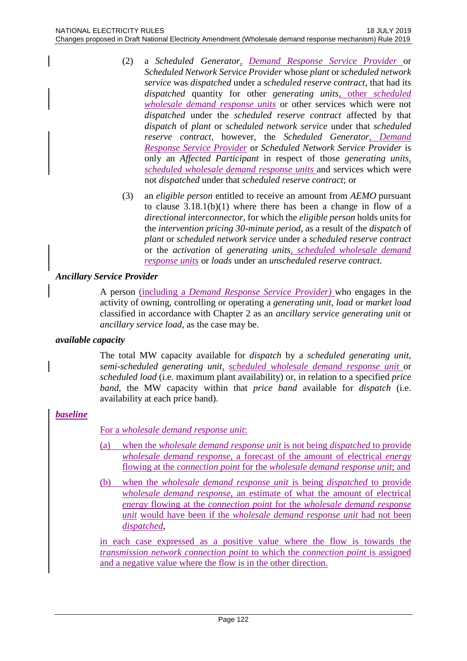- (2) a *Scheduled Generator*, *Demand Response Service Provider* or *Scheduled Network Service Provider* whose *plant* or *scheduled network service* was *dispatched* under a *scheduled reserve contract*, that had its *dispatched* quantity for other *generating units*, other *scheduled wholesale demand response units* or other services which were not *dispatched* under the *scheduled reserve contract* affected by that *dispatch* of *plant* or *scheduled network service* under that *scheduled reserve contract*, however, the *Scheduled Generator*, *Demand Response Service Provider* or *Scheduled Network Service Provider* is only an *Affected Participant* in respect of those *generating units*, *scheduled wholesale demand response units* and services which were not *dispatched* under that *scheduled reserve contract*; or
- (3) an *eligible person* entitled to receive an amount from *AEMO* pursuant to clause 3.18.1(b)(1) where there has been a change in flow of a *directional interconnector*, for which the *eligible person* holds units for the *intervention pricing 30-minute period*, as a result of the *dispatch* of *plant* or *scheduled network service* under a *scheduled reserve contract* or the *activation* of *generating units*, *scheduled wholesale demand response units* or *loads* under an *unscheduled reserve contract*.

## *Ancillary Service Provider*

A person (including a *Demand Response Service Provider)* who engages in the activity of owning, controlling or operating a *generating unit*, *load* or *market load* classified in accordance with Chapter 2 as an *ancillary service generating unit* or *ancillary service load*, as the case may be.

## *available capacity*

The total MW capacity available for *dispatch* by a *scheduled generating unit*, *semi-scheduled generating unit, scheduled wholesale demand response unit* or *scheduled load* (i.e. maximum plant availability) or, in relation to a specified *price band*, the MW capacity within that *price band* available for *dispatch* (i.e. availability at each price band).

## *baseline*

For a *wholesale demand response unit*:

- (a) when the *wholesale demand response unit* is not being *dispatched* to provide *wholesale demand response*, a forecast of the amount of electrical *energy* flowing at the *connection point* for the *wholesale demand response unit*; and
- (b) when the *wholesale demand response unit* is being *dispatched* to provide *wholesale demand response*, an estimate of what the amount of electrical *energy* flowing at the *connection point* for the *wholesale demand response unit* would have been if the *wholesale demand response unit* had not been *dispatched*,

in each case expressed as a positive value where the flow is towards the *transmission network connection point* to which the *connection point* is assigned and a negative value where the flow is in the other direction.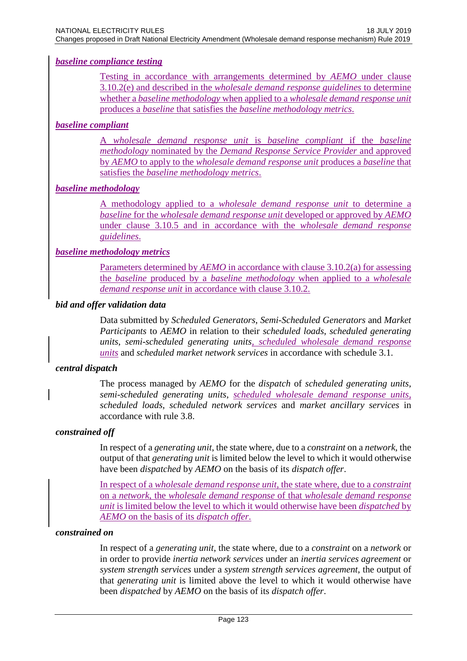## *baseline compliance testing*

Testing in accordance with arrangements determined by *AEMO* under clause 3.10.2(e) and described in the *wholesale demand response guidelines* to determine whether a *baseline methodology* when applied to a *wholesale demand response unit* produces a *baseline* that satisfies the *baseline methodology metrics*.

## *baseline compliant*

A *wholesale demand response unit* is *baseline compliant* if the *baseline methodology* nominated by the *Demand Response Service Provider* and approved by *AEMO* to apply to the *wholesale demand response unit* produces a *baseline* that satisfies the *baseline methodology metrics*.

## *baseline methodology*

A methodology applied to a *wholesale demand response unit* to determine a *baseline* for the *wholesale demand response unit* developed or approved by *AEMO*  under clause 3.10.5 and in accordance with the *wholesale demand response guidelines*.

#### *baseline methodology metrics*

Parameters determined by *AEMO* in accordance with clause 3.10.2(a) for assessing the *baseline* produced by a *baseline methodology* when applied to a *wholesale demand response unit* in accordance with clause 3.10.2.

#### *bid and offer validation data*

Data submitted by *Scheduled Generators*, *Semi-Scheduled Generators* and *Market Participants* to *AEMO* in relation to their *scheduled loads*, *scheduled generating units*, *semi-scheduled generating units, scheduled wholesale demand response units* and *scheduled market network services* in accordance with schedule 3.1.

## *central dispatch*

The process managed by *AEMO* for the *dispatch* of *scheduled generating units*, *semi-scheduled generating units*, *scheduled wholesale demand response units, scheduled loads*, *scheduled network services* and *market ancillary services* in accordance with rule 3.8.

#### *constrained off*

In respect of a *generating unit*, the state where, due to a *constraint* on a *network*, the output of that *generating unit* is limited below the level to which it would otherwise have been *dispatched* by *AEMO* on the basis of its *dispatch offer*.

In respect of a *wholesale demand response unit*, the state where, due to a *constraint* on a *network*, the *wholesale demand response* of that *wholesale demand response unit* is limited below the level to which it would otherwise have been *dispatched* by *AEMO* on the basis of its *dispatch offer*.

#### *constrained on*

In respect of a *generating unit*, the state where, due to a *constraint* on a *network* or in order to provide *inertia network services* under an *inertia services agreement* or *system strength services* under a *system strength services agreement*, the output of that *generating unit* is limited above the level to which it would otherwise have been *dispatched* by *AEMO* on the basis of its *dispatch offer*.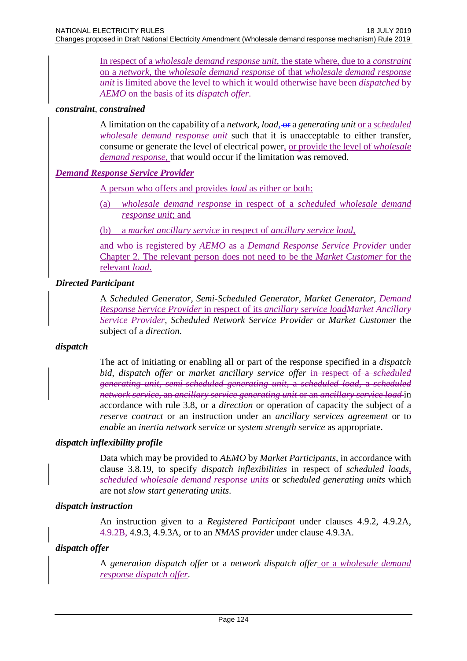In respect of a *wholesale demand response unit*, the state where, due to a *constraint* on a *network*, the *wholesale demand response* of that *wholesale demand response unit* is limited above the level to which it would otherwise have been *dispatched* by *AEMO* on the basis of its *dispatch offer*.

## *constraint*, *constrained*

A limitation on the capability of a *network*, *load,* or a *generating unit* or a *scheduled wholesale demand response unit* such that it is unacceptable to either transfer, consume or generate the level of electrical power, or provide the level of *wholesale demand response*, that would occur if the limitation was removed.

## *Demand Response Service Provider*

A person who offers and provides *load* as either or both:

- (a) *wholesale demand response* in respect of a *scheduled wholesale demand response unit*; and
- (b) a *market ancillary service* in respect of *ancillary service load,*

and who is registered by *AEMO* as a *Demand Response Service Provider* under Chapter 2. The relevant person does not need to be the *Market Customer* for the relevant *load*.

## *Directed Participant*

A *Scheduled Generator, Semi-Scheduled Generator, Market Generator, Demand Response Service Provider* in respect of its *ancillary service loadMarket Ancillary Service Provider, Scheduled Network Service Provider* or *Market Customer* the subject of a *direction.*

## *dispatch*

The act of initiating or enabling all or part of the response specified in a *dispatch bid*, *dispatch offer* or *market ancillary service offer* in respect of a *scheduled generating unit*, *semi-scheduled generating unit*, a *scheduled load*, a *scheduled network service*, an *ancillary service generating unit* or an *ancillary service load* in accordance with rule 3.8, or a *direction* or operation of capacity the subject of a *reserve contract* or an instruction under an *ancillary services agreement* or to *enable* an *inertia network service* or *system strength service* as appropriate.

## *dispatch inflexibility profile*

Data which may be provided to *AEMO* by *Market Participants*, in accordance with clause 3.8.19, to specify *dispatch inflexibilities* in respect of *scheduled loads, scheduled wholesale demand response units* or *scheduled generating units* which are not *slow start generating units*.

## *dispatch instruction*

An instruction given to a *Registered Participant* under clauses 4.9.2, 4.9.2A, 4.9.2B, 4.9.3, 4.9.3A, or to an *NMAS provider* under clause 4.9.3A.

## *dispatch offer*

A *generation dispatch offer* or a *network dispatch offer* or a *wholesale demand response dispatch offer*.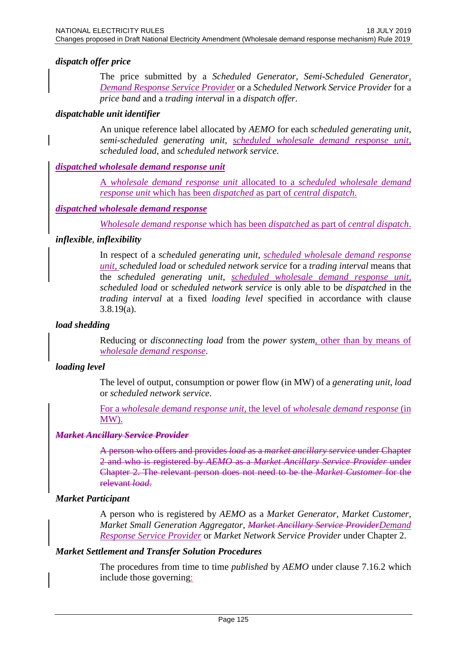## *dispatch offer price*

The price submitted by a *Scheduled Generator*, *Semi-Scheduled Generator, Demand Response Service Provider* or a *Scheduled Network Service Provider* for a *price band* and a *trading interval* in a *dispatch offer*.

## *dispatchable unit identifier*

An unique reference label allocated by *AEMO* for each *scheduled generating unit*, *semi-scheduled generating unit*, *scheduled wholesale demand response unit*, *scheduled load*, and *scheduled network service*.

## *dispatched wholesale demand response unit*

A *wholesale demand response unit* allocated to a *scheduled wholesale demand response unit* which has been *dispatched* as part of *central dispatch*.

#### *dispatched wholesale demand response*

*Wholesale demand response* which has been *dispatched* as part of *central dispatch*.

#### *inflexible*, *inflexibility*

In respect of a *scheduled generating unit*, *scheduled wholesale demand response unit*, *scheduled load* or *scheduled network service* for a *trading interval* means that the *scheduled generating unit*, *scheduled wholesale demand response unit*, *scheduled load* or *scheduled network service* is only able to be *dispatched* in the *trading interval* at a fixed *loading level* specified in accordance with clause 3.8.19(a).

## *load shedding*

Reducing or *disconnecting load* from the *power system*, other than by means of *wholesale demand response*.

## *loading level*

The level of output, consumption or power flow (in MW) of a *generating unit*, *load* or *scheduled network service*.

For a *wholesale demand response unit*, the level of *wholesale demand response* (in MW).

#### *Market Ancillary Service Provider*

A person who offers and provides *load* as a *market ancillary service* under Chapter 2 and who is registered by *AEMO* as a *Market Ancillary Service Provider* under Chapter 2. The relevant person does not need to be the *Market Customer* for the relevant *load*.

## *Market Participant*

A person who is registered by *AEMO* as a *Market Generator, Market Customer, Market Small Generation Aggregator, Market Ancillary Service ProviderDemand Response Service Provider* or *Market Network Service Provider* under Chapter 2.

#### *Market Settlement and Transfer Solution Procedures*

The procedures from time to time *published* by *AEMO* under clause 7.16.2 which include those governing: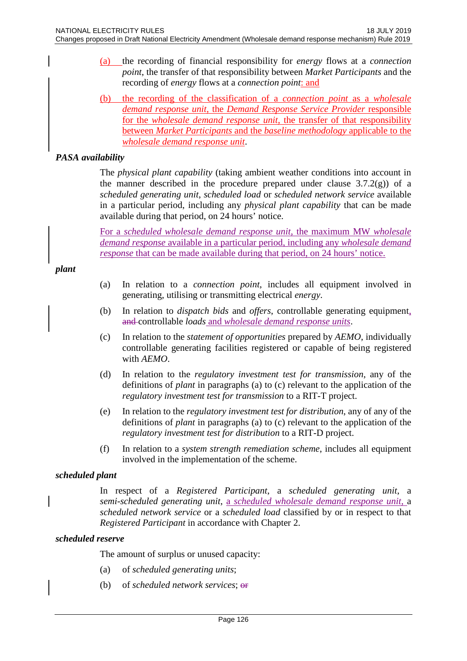- (a) the recording of financial responsibility for *energy* flows at a *connection point*, the transfer of that responsibility between *Market Participants* and the recording of *energy* flows at a *connection point*: and
- (b) the recording of the classification of a *connection point* as a *wholesale demand response unit*, the *Demand Response Service Provider* responsible for the *wholesale demand response unit*, the transfer of that responsibility between *Market Participants* and the *baseline methodology* applicable to the *wholesale demand response unit*.

## *PASA availability*

The *physical plant capability* (taking ambient weather conditions into account in the manner described in the procedure prepared under clause  $3.7.2(g)$  of a *scheduled generating unit*, *scheduled load* or *scheduled network service* available in a particular period, including any *physical plant capability* that can be made available during that period, on 24 hours' notice.

For a *scheduled wholesale demand response unit*, the maximum MW *wholesale demand response* available in a particular period, including any *wholesale demand response* that can be made available during that period, on 24 hours' notice.

#### *plant*

- (a) In relation to a *connection point*, includes all equipment involved in generating, utilising or transmitting electrical *energy*.
- (b) In relation to *dispatch bids* and *offers*, controllable generating equipment, and controllable *loads* and *wholesale demand response units*.
- (c) In relation to the *statement of opportunities* prepared by *AEMO*, individually controllable generating facilities registered or capable of being registered with *AEMO*.
- (d) In relation to the *regulatory investment test for transmission*, any of the definitions of *plant* in paragraphs (a) to (c) relevant to the application of the *regulatory investment test for transmission* to a RIT-T project.
- (e) In relation to the *regulatory investment test for distribution*, any of any of the definitions of *plant* in paragraphs (a) to (c) relevant to the application of the *regulatory investment test for distribution* to a RIT-D project.
- (f) In relation to a *system strength remediation scheme*, includes all equipment involved in the implementation of the scheme.

## *scheduled plant*

In respect of a *Registered Participant*, a *scheduled generating unit*, a *semi-scheduled generating unit*, a *scheduled wholesale demand response unit,* a *scheduled network service* or a *scheduled load* classified by or in respect to that *Registered Participant* in accordance with Chapter 2.

#### *scheduled reserve*

The amount of surplus or unused capacity:

- (a) of *scheduled generating units*;
- (b) of *scheduled network services*; or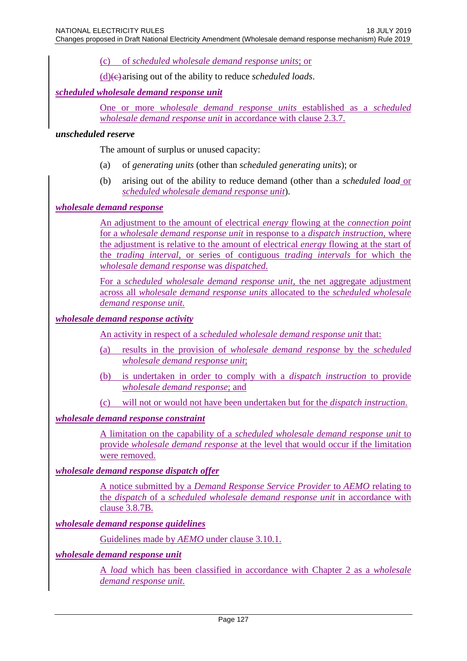(c) of *scheduled wholesale demand response units*; or

 $(d)$ (e) arising out of the ability to reduce *scheduled loads*.

## *scheduled wholesale demand response unit*

One or more *wholesale demand response units* established as a *scheduled wholesale demand response unit* in accordance with clause 2.3.7.

#### *unscheduled reserve*

The amount of surplus or unused capacity:

- (a) of *generating units* (other than *scheduled generating units*); or
- (b) arising out of the ability to reduce demand (other than a *scheduled load* or *scheduled wholesale demand response unit*).

## *wholesale demand response*

An adjustment to the amount of electrical *energy* flowing at the *connection point* for a *wholesale demand response unit* in response to a *dispatch instruction,* where the adjustment is relative to the amount of electrical *energy* flowing at the start of the *trading interval*, or series of contiguous *trading intervals* for which the *wholesale demand response* was *dispatched*.

For a *scheduled wholesale demand response unit*, the net aggregate adjustment across all *wholesale demand response units* allocated to the *scheduled wholesale demand response unit.*

#### *wholesale demand response activity*

An activity in respect of a *scheduled wholesale demand response unit* that:

- (a) results in the provision of *wholesale demand response* by the *scheduled wholesale demand response unit*;
- (b) is undertaken in order to comply with a *dispatch instruction* to provide *wholesale demand response*; and
- (c) will not or would not have been undertaken but for the *dispatch instruction*.

## *wholesale demand response constraint*

A limitation on the capability of a *scheduled wholesale demand response unit* to provide *wholesale demand response* at the level that would occur if the limitation were removed.

#### *wholesale demand response dispatch offer*

A notice submitted by a *Demand Response Service Provider* to *AEMO* relating to the *dispatch* of a *scheduled wholesale demand response unit* in accordance with clause 3.8.7B.

#### *wholesale demand response guidelines*

Guidelines made by *AEMO* under clause 3.10.1.

#### *wholesale demand response unit*

A *load* which has been classified in accordance with Chapter 2 as a *wholesale demand response unit*.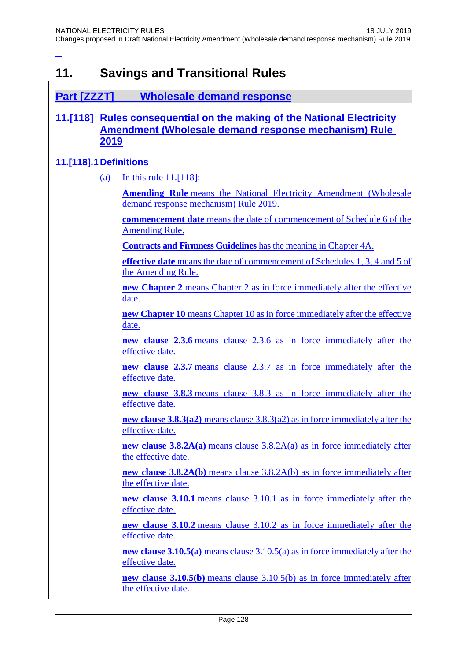# **11. Savings and Transitional Rules**

## **Part [ZZZT] Wholesale demand response**

## **11.[118] Rules consequential on the making of the National Electricity Amendment (Wholesale demand response mechanism) Rule 2019**

## **11.[118].1 Definitions**

(a) In this rule 11.[118]:

**Amending Rule** means the National Electricity Amendment (Wholesale demand response mechanism) Rule 2019.

**commencement date** means the date of commencement of Schedule 6 of the Amending Rule.

**Contracts and Firmness Guidelines** has the meaning in Chapter 4A.

**effective date** means the date of commencement of Schedules 1, 3, 4 and 5 of the Amending Rule.

**new Chapter 2** means Chapter 2 as in force immediately after the effective date.

**new Chapter 10** means Chapter 10 as in force immediately after the effective date.

**new clause 2.3.6** means clause 2.3.6 as in force immediately after the effective date.

**new clause 2.3.7** means clause 2.3.7 as in force immediately after the effective date.

**new clause 3.8.3** means clause 3.8.3 as in force immediately after the effective date.

**new clause 3.8.3(a2)** means clause 3.8.3(a2) as in force immediately after the effective date.

**new clause 3.8.2A(a)** means clause 3.8.2A(a) as in force immediately after the effective date.

**new clause 3.8.2A(b)** means clause 3.8.2A(b) as in force immediately after the effective date.

**new clause 3.10.1** means clause 3.10.1 as in force immediately after the effective date.

**new clause 3.10.2** means clause 3.10.2 as in force immediately after the effective date.

**new clause 3.10.5(a)** means clause 3.10.5(a) as in force immediately after the effective date.

**new clause 3.10.5(b)** means clause 3.10.5(b) as in force immediately after the effective date.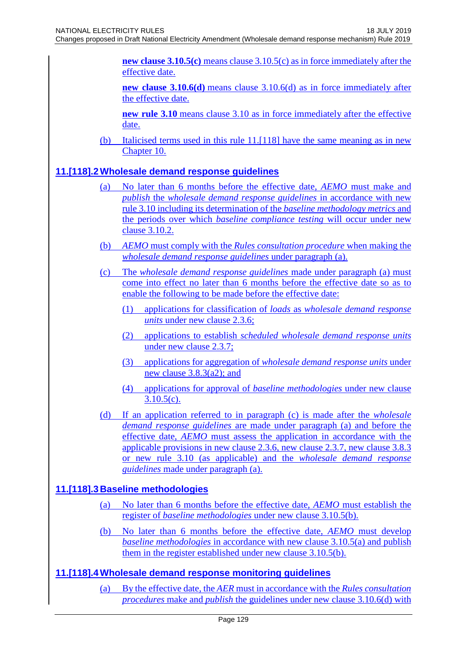**new clause 3.10.5(c)** means clause 3.10.5(c) as in force immediately after the effective date.

**new clause 3.10.6(d)** means clause 3.10.6(d) as in force immediately after the effective date.

**new rule 3.10** means clause 3.10 as in force immediately after the effective date.

(b) Italicised terms used in this rule 11.[118] have the same meaning as in new Chapter 10.

## **11.[118].2Wholesale demand response guidelines**

- No later than 6 months before the effective date, *AEMO* must make and *publish* the *wholesale demand response guidelines* in accordance with new rule 3.10 including its determination of the *baseline methodology metrics* and the periods over which *baseline compliance testing* will occur under new clause 3.10.2.
- (b) *AEMO* must comply with the *Rules consultation procedure* when making the *wholesale demand response guidelines* under paragraph (a).
- (c) The *wholesale demand response guidelines* made under paragraph (a) must come into effect no later than 6 months before the effective date so as to enable the following to be made before the effective date:
	- (1) applications for classification of *loads* as *wholesale demand response units* under new clause 2.3.6;
	- (2) applications to establish *scheduled wholesale demand response units* under new clause 2.3.7;
	- (3) applications for aggregation of *wholesale demand response units* under new clause 3.8.3(a2); and
	- (4) applications for approval of *baseline methodologies* under new clause  $3.10.5(c)$ .
- (d) If an application referred to in paragraph (c) is made after the *wholesale demand response guidelines* are made under paragraph (a) and before the effective date, *AEMO* must assess the application in accordance with the applicable provisions in new clause 2.3.6, new clause 2.3.7, new clause 3.8.3 or new rule 3.10 (as applicable) and the *wholesale demand response guidelines* made under paragraph (a).

## **11.[118].3 Baseline methodologies**

- (a) No later than 6 months before the effective date, *AEMO* must establish the register of *baseline methodologies* under new clause 3.10.5(b).
- (b) No later than 6 months before the effective date, *AEMO* must develop *baseline methodologies* in accordance with new clause 3.10.5(a) and publish them in the register established under new clause 3.10.5(b).

## **11.[118].4Wholesale demand response monitoring guidelines**

(a) By the effective date, the *AER* must in accordance with the *Rules consultation procedures* make and *publish* the guidelines under new clause 3.10.6(d) with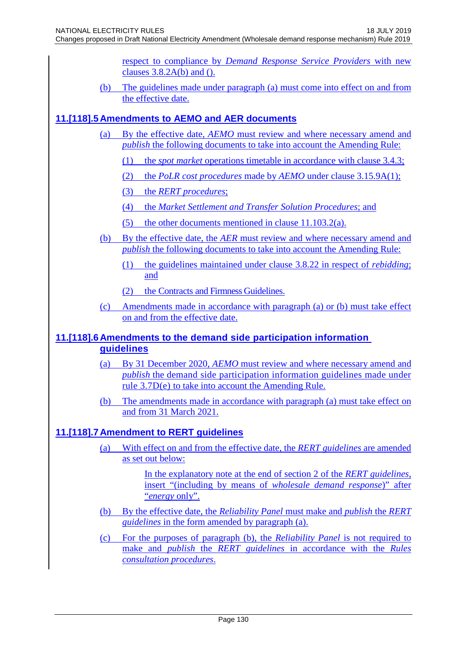respect to compliance by *Demand Response Service Providers* with new clauses  $3.8.2A(b)$  and ().

(b) The guidelines made under paragraph (a) must come into effect on and from the effective date.

## **11.[118].5 Amendments to AEMO and AER documents**

- By the effective date, *AEMO* must review and where necessary amend and *publish* the following documents to take into account the Amending Rule:
	- (1) the *spot market* operations timetable in accordance with clause 3.4.3;
	- (2) the *PoLR cost procedures* made by *AEMO* under clause 3.15.9A(1);
	- (3) the *RERT procedures*;
	- (4) the *Market Settlement and Transfer Solution Procedures*; and
	- (5) the other documents mentioned in clause 11.103.2(a).
- (b) By the effective date, the *AER* must review and where necessary amend and *publish* the following documents to take into account the Amending Rule:
	- (1) the guidelines maintained under clause 3.8.22 in respect of *rebidding*; and
	- (2) the Contracts and Firmness Guidelines.
- (c) Amendments made in accordance with paragraph (a) or (b) must take effect on and from the effective date.

## **11.[118].6 Amendments to the demand side participation information guidelines**

- (a) By 31 December 2020, *AEMO* must review and where necessary amend and *publish* the demand side participation information guidelines made under rule 3.7D(e) to take into account the Amending Rule.
- (b) The amendments made in accordance with paragraph (a) must take effect on and from 31 March 2021.

## **11.[118].7 Amendment to RERT guidelines**

(a) With effect on and from the effective date, the *RERT guidelines* are amended as set out below:

> In the explanatory note at the end of section 2 of the *RERT guidelines*, insert "(including by means of *wholesale demand response*)" after "*energy* only".

- (b) By the effective date, the *Reliability Panel* must make and *publish* the *RERT guidelines* in the form amended by paragraph (a).
- (c) For the purposes of paragraph (b), the *Reliability Panel* is not required to make and *publish* the *RERT guidelines* in accordance with the *Rules consultation procedures*.